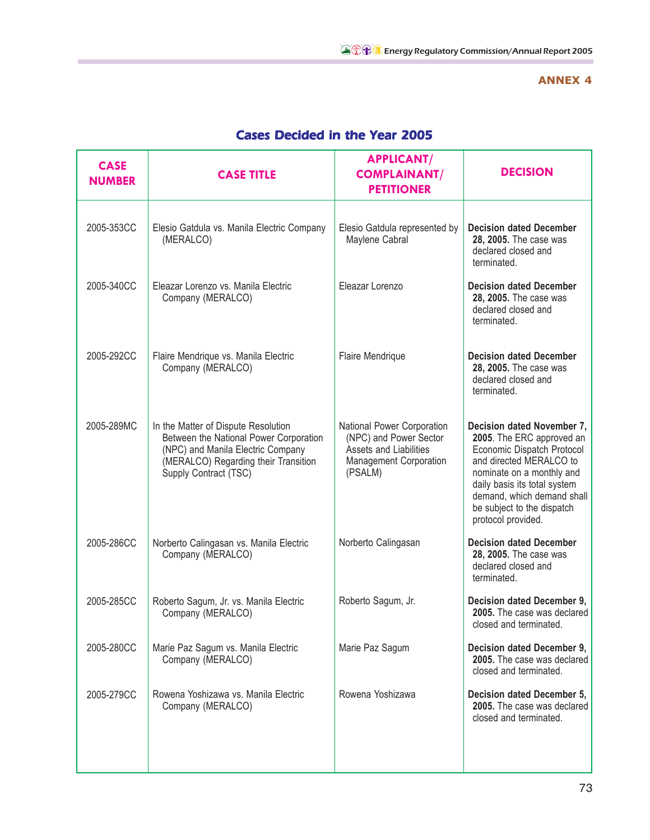## **ANNEX 4**

| <b>CASE</b><br><b>NUMBER</b> | <b>CASE TITLE</b>                                                                                                                                                                   | <b>APPLICANT/</b><br><b>COMPLAINANT/</b><br><b>PETITIONER</b>                                                       | <b>DECISION</b>                                                                                                                                                                                                                                                 |
|------------------------------|-------------------------------------------------------------------------------------------------------------------------------------------------------------------------------------|---------------------------------------------------------------------------------------------------------------------|-----------------------------------------------------------------------------------------------------------------------------------------------------------------------------------------------------------------------------------------------------------------|
| 2005-353CC                   | Elesio Gatdula vs. Manila Electric Company<br>(MERALCO)                                                                                                                             | Elesio Gatdula represented by<br>Maylene Cabral                                                                     | <b>Decision dated December</b><br>28, 2005. The case was<br>declared closed and<br>terminated.                                                                                                                                                                  |
| 2005-340CC                   | Eleazar Lorenzo vs. Manila Electric<br>Company (MERALCO)                                                                                                                            | Eleazar Lorenzo                                                                                                     | <b>Decision dated December</b><br>28, 2005. The case was<br>declared closed and<br>terminated.                                                                                                                                                                  |
| 2005-292CC                   | Flaire Mendrique vs. Manila Electric<br>Company (MERALCO)                                                                                                                           | Flaire Mendrique                                                                                                    | <b>Decision dated December</b><br>28, 2005. The case was<br>declared closed and<br>terminated.                                                                                                                                                                  |
| 2005-289MC                   | In the Matter of Dispute Resolution<br>Between the National Power Corporation<br>(NPC) and Manila Electric Company<br>(MERALCO) Regarding their Transition<br>Supply Contract (TSC) | National Power Corporation<br>(NPC) and Power Sector<br>Assets and Liabilities<br>Management Corporation<br>(PSALM) | Decision dated November 7,<br>2005. The ERC approved an<br>Economic Dispatch Protocol<br>and directed MERALCO to<br>nominate on a monthly and<br>daily basis its total system<br>demand, which demand shall<br>be subject to the dispatch<br>protocol provided. |
| 2005-286CC                   | Norberto Calingasan vs. Manila Electric<br>Company (MERALCO)                                                                                                                        | Norberto Calingasan                                                                                                 | <b>Decision dated December</b><br>28, 2005. The case was<br>declared closed and<br>terminated.                                                                                                                                                                  |
| 2005-285CC                   | Roberto Sagum, Jr. vs. Manila Electric<br>Company (MERALCO)                                                                                                                         | Roberto Sagum, Jr.                                                                                                  | Decision dated December 9,<br>2005. The case was declared<br>closed and terminated.                                                                                                                                                                             |
| 2005-280CC                   | Marie Paz Sagum vs. Manila Electric<br>Company (MERALCO)                                                                                                                            | Marie Paz Sagum                                                                                                     | Decision dated December 9,<br>2005. The case was declared<br>closed and terminated.                                                                                                                                                                             |
| 2005-279CC                   | Rowena Yoshizawa vs. Manila Electric<br>Company (MERALCO)                                                                                                                           | Rowena Yoshizawa                                                                                                    | Decision dated December 5,<br>2005. The case was declared<br>closed and terminated.                                                                                                                                                                             |

## Cases Decided in the Year 2005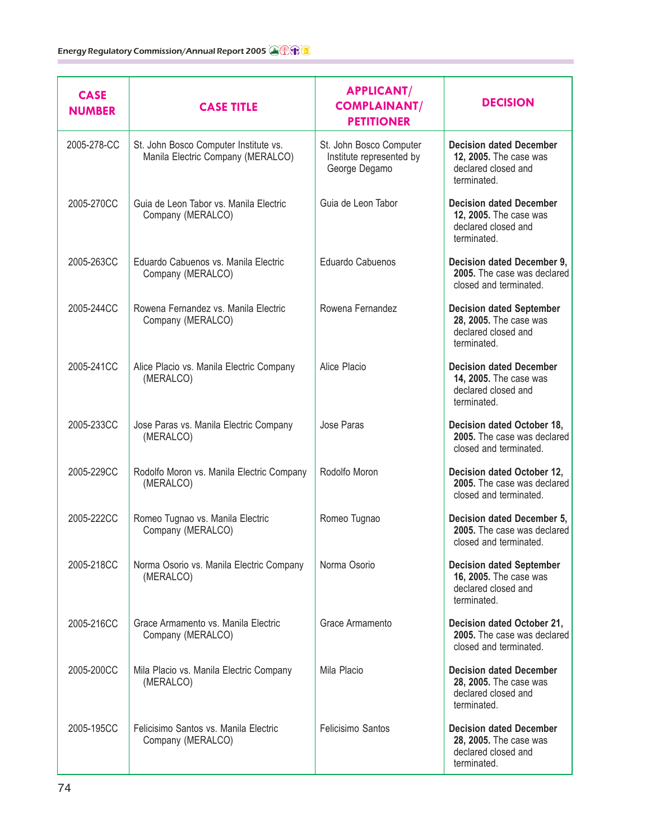| <b>CASE</b><br><b>NUMBER</b> | <b>CASE TITLE</b>                                                          | <b>APPLICANT/</b><br><b>COMPLAINANT/</b><br><b>PETITIONER</b>        | <b>DECISION</b>                                                                                 |
|------------------------------|----------------------------------------------------------------------------|----------------------------------------------------------------------|-------------------------------------------------------------------------------------------------|
| 2005-278-CC                  | St. John Bosco Computer Institute vs.<br>Manila Electric Company (MERALCO) | St. John Bosco Computer<br>Institute represented by<br>George Degamo | <b>Decision dated December</b><br>12, 2005. The case was<br>declared closed and<br>terminated.  |
| 2005-270CC                   | Guia de Leon Tabor vs. Manila Electric<br>Company (MERALCO)                | Guia de Leon Tabor                                                   | <b>Decision dated December</b><br>12, 2005. The case was<br>declared closed and<br>terminated.  |
| 2005-263CC                   | Eduardo Cabuenos vs. Manila Electric<br>Company (MERALCO)                  | Eduardo Cabuenos                                                     | Decision dated December 9,<br>2005. The case was declared<br>closed and terminated.             |
| 2005-244CC                   | Rowena Fernandez vs. Manila Electric<br>Company (MERALCO)                  | Rowena Fernandez                                                     | <b>Decision dated September</b><br>28, 2005. The case was<br>declared closed and<br>terminated. |
| 2005-241CC                   | Alice Placio vs. Manila Electric Company<br>(MERALCO)                      | Alice Placio                                                         | <b>Decision dated December</b><br>14, 2005. The case was<br>declared closed and<br>terminated.  |
| 2005-233CC                   | Jose Paras vs. Manila Electric Company<br>(MERALCO)                        | Jose Paras                                                           | Decision dated October 18,<br>2005. The case was declared<br>closed and terminated.             |
| 2005-229CC                   | Rodolfo Moron vs. Manila Electric Company<br>(MERALCO)                     | Rodolfo Moron                                                        | Decision dated October 12,<br>2005. The case was declared<br>closed and terminated.             |
| 2005-222CC                   | Romeo Tugnao vs. Manila Electric<br>Company (MERALCO)                      | Romeo Tugnao                                                         | <b>Decision dated December 5,</b><br>2005. The case was declared<br>closed and terminated.      |
| 2005-218CC                   | Norma Osorio vs. Manila Electric Company<br>(MERALCO)                      | Norma Osorio                                                         | <b>Decision dated September</b><br>16, 2005. The case was<br>declared closed and<br>terminated. |
| 2005-216CC                   | Grace Armamento vs. Manila Electric<br>Company (MERALCO)                   | Grace Armamento                                                      | Decision dated October 21,<br>2005. The case was declared<br>closed and terminated.             |
| 2005-200CC                   | Mila Placio vs. Manila Electric Company<br>(MERALCO)                       | Mila Placio                                                          | <b>Decision dated December</b><br>28, 2005. The case was<br>declared closed and<br>terminated.  |
| 2005-195CC                   | Felicisimo Santos vs. Manila Electric<br>Company (MERALCO)                 | Felicisimo Santos                                                    | <b>Decision dated December</b><br>28, 2005. The case was<br>declared closed and<br>terminated.  |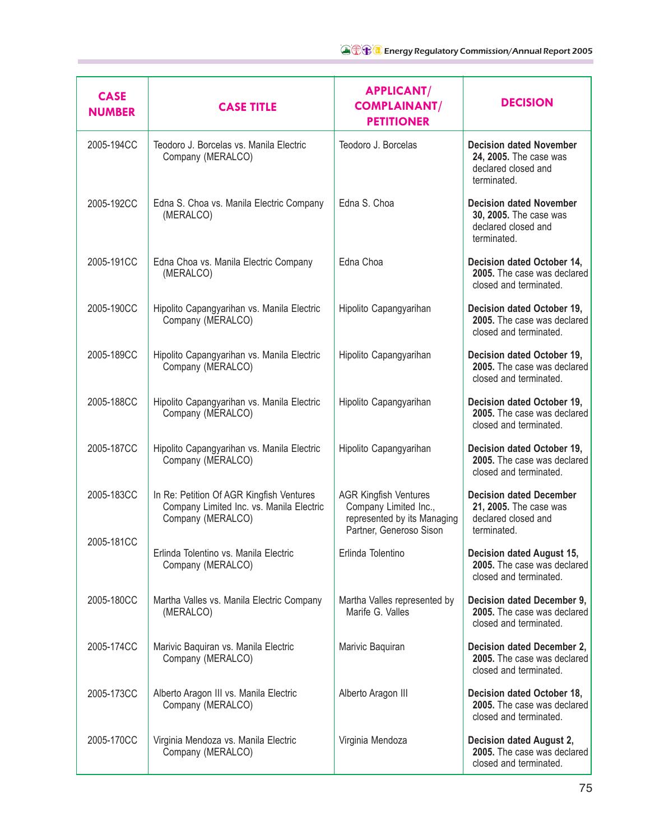| <b>CASE</b><br><b>NUMBER</b> | <b>CASE TITLE</b>                                                                                         | <b>APPLICANT/</b><br><b>COMPLAINANT/</b><br><b>PETITIONER</b>                                                   | <b>DECISION</b>                                                                                |
|------------------------------|-----------------------------------------------------------------------------------------------------------|-----------------------------------------------------------------------------------------------------------------|------------------------------------------------------------------------------------------------|
| 2005-194CC                   | Teodoro J. Borcelas vs. Manila Electric<br>Company (MERALCO)                                              | Teodoro J. Borcelas                                                                                             | <b>Decision dated November</b><br>24, 2005. The case was<br>declared closed and<br>terminated. |
| 2005-192CC                   | Edna S. Choa vs. Manila Electric Company<br>(MERALCO)                                                     | Edna S. Choa                                                                                                    | <b>Decision dated November</b><br>30, 2005. The case was<br>declared closed and<br>terminated. |
| 2005-191CC                   | Edna Choa vs. Manila Electric Company<br>(MERALCO)                                                        | Edna Choa                                                                                                       | Decision dated October 14,<br>2005. The case was declared<br>closed and terminated.            |
| 2005-190CC                   | Hipolito Capangyarihan vs. Manila Electric<br>Company (MERALCO)                                           | Hipolito Capangyarihan                                                                                          | Decision dated October 19,<br>2005. The case was declared<br>closed and terminated.            |
| 2005-189CC                   | Hipolito Capangyarihan vs. Manila Electric<br>Company (MERALCO)                                           | Hipolito Capangyarihan                                                                                          | Decision dated October 19,<br>2005. The case was declared<br>closed and terminated.            |
| 2005-188CC                   | Hipolito Capangyarihan vs. Manila Electric<br>Company (MERALCO)                                           | Hipolito Capangyarihan                                                                                          | Decision dated October 19,<br>2005. The case was declared<br>closed and terminated.            |
| 2005-187CC                   | Hipolito Capangyarihan vs. Manila Electric<br>Company (MERALCO)                                           | Hipolito Capangyarihan                                                                                          | Decision dated October 19,<br>2005. The case was declared<br>closed and terminated.            |
| 2005-183CC                   | In Re: Petition Of AGR Kingfish Ventures<br>Company Limited Inc. vs. Manila Electric<br>Company (MERALCO) | <b>AGR Kingfish Ventures</b><br>Company Limited Inc.,<br>represented by its Managing<br>Partner, Generoso Sison | <b>Decision dated December</b><br>21, 2005. The case was<br>declared closed and<br>terminated. |
| 2005-181CC                   | Erlinda Tolentino vs. Manila Electric<br>Company (MERALCO)                                                | Erlinda Tolentino                                                                                               | <b>Decision dated August 15,</b><br>2005. The case was declared<br>closed and terminated.      |
| 2005-180CC                   | Martha Valles vs. Manila Electric Company<br>(MERALCO)                                                    | Martha Valles represented by<br>Marife G. Valles                                                                | Decision dated December 9,<br>2005. The case was declared<br>closed and terminated.            |
| 2005-174CC                   | Marivic Baquiran vs. Manila Electric<br>Company (MERALCO)                                                 | Marivic Baquiran                                                                                                | Decision dated December 2,<br>2005. The case was declared<br>closed and terminated.            |
| 2005-173CC                   | Alberto Aragon III vs. Manila Electric<br>Company (MERALCO)                                               | Alberto Aragon III                                                                                              | Decision dated October 18,<br>2005. The case was declared<br>closed and terminated.            |
| 2005-170CC                   | Virginia Mendoza vs. Manila Electric<br>Company (MERALCO)                                                 | Virginia Mendoza                                                                                                | Decision dated August 2,<br>2005. The case was declared<br>closed and terminated.              |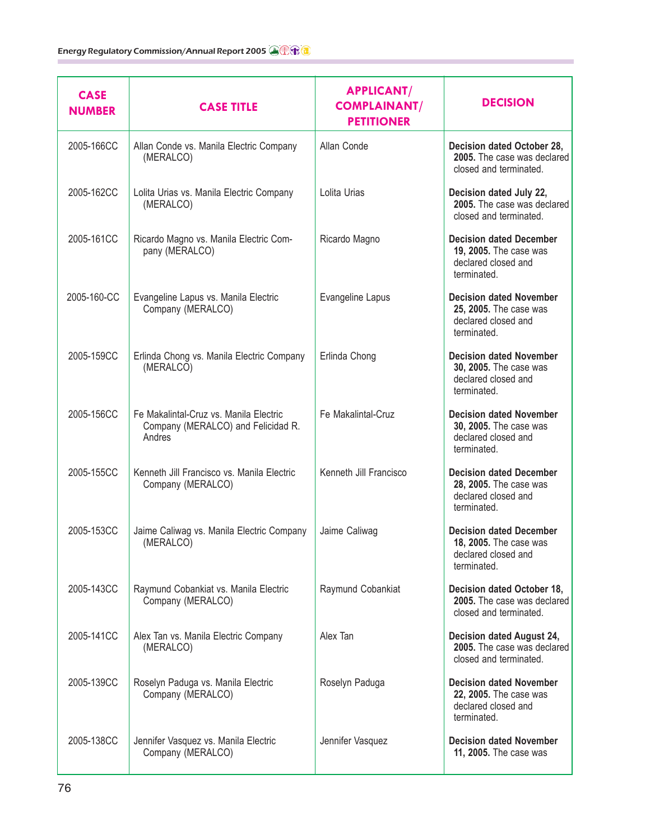| <b>CASE</b><br><b>NUMBER</b> | <b>CASE TITLE</b>                                                                      | <b>APPLICANT/</b><br><b>COMPLAINANT/</b><br><b>PETITIONER</b> | <b>DECISION</b>                                                                                |
|------------------------------|----------------------------------------------------------------------------------------|---------------------------------------------------------------|------------------------------------------------------------------------------------------------|
| 2005-166CC                   | Allan Conde vs. Manila Electric Company<br>(MERALCO)                                   | Allan Conde                                                   | Decision dated October 28,<br>2005. The case was declared<br>closed and terminated.            |
| 2005-162CC                   | Lolita Urias vs. Manila Electric Company<br>(MERALCO)                                  | Lolita Urias                                                  | Decision dated July 22,<br>2005. The case was declared<br>closed and terminated.               |
| 2005-161CC                   | Ricardo Magno vs. Manila Electric Com-<br>pany (MERALCO)                               | Ricardo Magno                                                 | <b>Decision dated December</b><br>19, 2005. The case was<br>declared closed and<br>terminated. |
| 2005-160-CC                  | Evangeline Lapus vs. Manila Electric<br>Company (MERALCO)                              | Evangeline Lapus                                              | <b>Decision dated November</b><br>25, 2005. The case was<br>declared closed and<br>terminated. |
| 2005-159CC                   | Erlinda Chong vs. Manila Electric Company<br>(MERALCO)                                 | Erlinda Chong                                                 | <b>Decision dated November</b><br>30, 2005. The case was<br>declared closed and<br>terminated. |
| 2005-156CC                   | Fe Makalintal-Cruz vs. Manila Electric<br>Company (MERALCO) and Felicidad R.<br>Andres | Fe Makalintal-Cruz                                            | <b>Decision dated November</b><br>30, 2005. The case was<br>declared closed and<br>terminated. |
| 2005-155CC                   | Kenneth Jill Francisco vs. Manila Electric<br>Company (MERALCO)                        | Kenneth Jill Francisco                                        | <b>Decision dated December</b><br>28, 2005. The case was<br>declared closed and<br>terminated. |
| 2005-153CC                   | Jaime Caliwag vs. Manila Electric Company<br>(MERALCO)                                 | Jaime Caliwag                                                 | <b>Decision dated December</b><br>18, 2005. The case was<br>declared closed and<br>terminated. |
| 2005-143CC                   | Raymund Cobankiat vs. Manila Electric<br>Company (MERALCO)                             | Raymund Cobankiat                                             | Decision dated October 18,<br>2005. The case was declared<br>closed and terminated.            |
| 2005-141CC                   | Alex Tan vs. Manila Electric Company<br>(MERALCO)                                      | Alex Tan                                                      | Decision dated August 24,<br>2005. The case was declared<br>closed and terminated.             |
| 2005-139CC                   | Roselyn Paduga vs. Manila Electric<br>Company (MERALCO)                                | Roselyn Paduga                                                | <b>Decision dated November</b><br>22, 2005. The case was<br>declared closed and<br>terminated. |
| 2005-138CC                   | Jennifer Vasquez vs. Manila Electric<br>Company (MERALCO)                              | Jennifer Vasquez                                              | <b>Decision dated November</b><br>11, 2005. The case was                                       |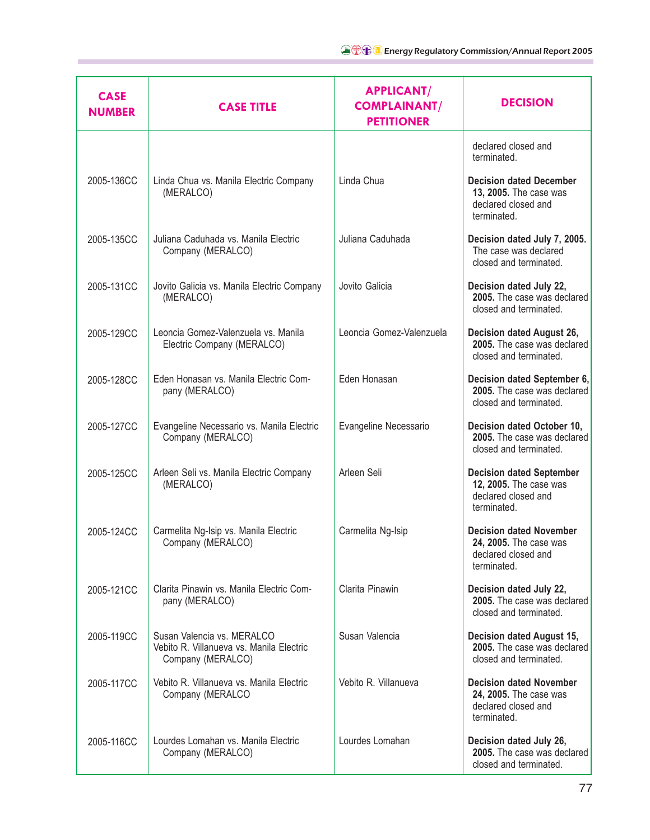| <b>CASE</b><br><b>NUMBER</b> | <b>CASE TITLE</b>                                                                           | <b>APPLICANT/</b><br><b>COMPLAINANT/</b><br><b>PETITIONER</b> | <b>DECISION</b>                                                                                 |
|------------------------------|---------------------------------------------------------------------------------------------|---------------------------------------------------------------|-------------------------------------------------------------------------------------------------|
|                              |                                                                                             |                                                               | declared closed and<br>terminated.                                                              |
| 2005-136CC                   | Linda Chua vs. Manila Electric Company<br>(MERALCO)                                         | Linda Chua                                                    | <b>Decision dated December</b><br>13, 2005. The case was<br>declared closed and<br>terminated.  |
| 2005-135CC                   | Juliana Caduhada vs. Manila Electric<br>Company (MERALCO)                                   | Juliana Caduhada                                              | Decision dated July 7, 2005.<br>The case was declared<br>closed and terminated.                 |
| 2005-131CC                   | Jovito Galicia vs. Manila Electric Company<br>(MERALCO)                                     | Jovito Galicia                                                | Decision dated July 22,<br>2005. The case was declared<br>closed and terminated.                |
| 2005-129CC                   | Leoncia Gomez-Valenzuela vs. Manila<br>Electric Company (MERALCO)                           | Leoncia Gomez-Valenzuela                                      | Decision dated August 26,<br>2005. The case was declared<br>closed and terminated.              |
| 2005-128CC                   | Eden Honasan vs. Manila Electric Com-<br>pany (MERALCO)                                     | Eden Honasan                                                  | Decision dated September 6,<br>2005. The case was declared<br>closed and terminated.            |
| 2005-127CC                   | Evangeline Necessario vs. Manila Electric<br>Company (MERALCO)                              | Evangeline Necessario                                         | Decision dated October 10,<br>2005. The case was declared<br>closed and terminated.             |
| 2005-125CC                   | Arleen Seli vs. Manila Electric Company<br>(MERALCO)                                        | Arleen Seli                                                   | <b>Decision dated September</b><br>12, 2005. The case was<br>declared closed and<br>terminated. |
| 2005-124CC                   | Carmelita Ng-Isip vs. Manila Electric<br>Company (MERALCO)                                  | Carmelita Ng-Isip                                             | <b>Decision dated November</b><br>24, 2005. The case was<br>declared closed and<br>terminated.  |
| 2005-121CC                   | Clarita Pinawin vs. Manila Electric Com-<br>pany (MERALCO)                                  | Clarita Pinawin                                               | Decision dated July 22,<br>2005. The case was declared<br>closed and terminated.                |
| 2005-119CC                   | Susan Valencia vs. MERALCO<br>Vebito R. Villanueva vs. Manila Electric<br>Company (MERALCO) | Susan Valencia                                                | Decision dated August 15,<br>2005. The case was declared<br>closed and terminated.              |
| 2005-117CC                   | Vebito R. Villanueva vs. Manila Electric<br>Company (MERALCO                                | Vebito R. Villanueva                                          | <b>Decision dated November</b><br>24, 2005. The case was<br>declared closed and<br>terminated.  |
| 2005-116CC                   | Lourdes Lomahan vs. Manila Electric<br>Company (MERALCO)                                    | Lourdes Lomahan                                               | Decision dated July 26,<br>2005. The case was declared<br>closed and terminated.                |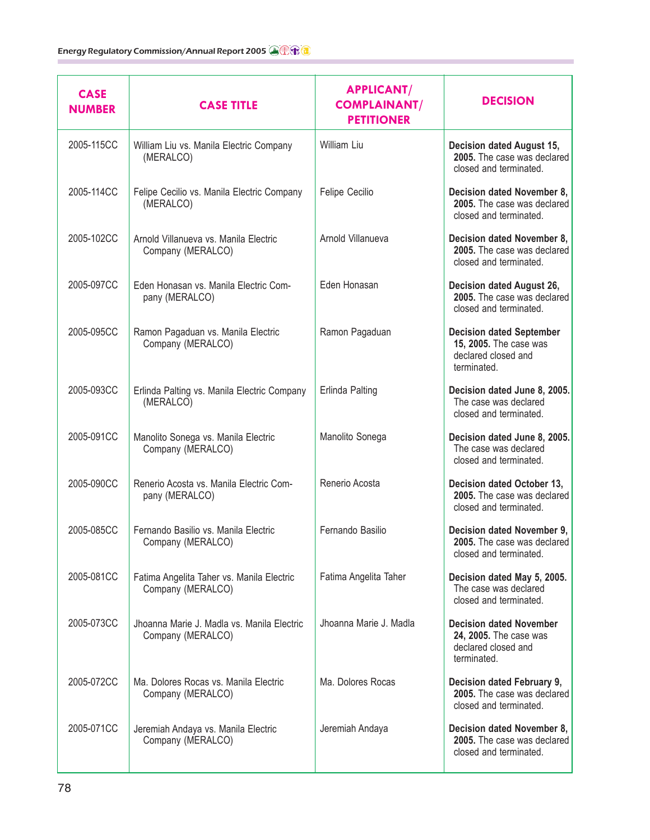| <b>CASE</b><br><b>NUMBER</b> | <b>CASE TITLE</b>                                               | <b>APPLICANT/</b><br><b>COMPLAINANT/</b><br><b>PETITIONER</b> | <b>DECISION</b>                                                                                 |
|------------------------------|-----------------------------------------------------------------|---------------------------------------------------------------|-------------------------------------------------------------------------------------------------|
| 2005-115CC                   | William Liu vs. Manila Electric Company<br>(MERALCO)            | William Liu                                                   | Decision dated August 15,<br>2005. The case was declared<br>closed and terminated.              |
| 2005-114CC                   | Felipe Cecilio vs. Manila Electric Company<br>(MERALCO)         | Felipe Cecilio                                                | Decision dated November 8,<br>2005. The case was declared<br>closed and terminated.             |
| 2005-102CC                   | Arnold Villanueva vs. Manila Electric<br>Company (MERALCO)      | Arnold Villanueva                                             | Decision dated November 8,<br>2005. The case was declared<br>closed and terminated.             |
| 2005-097CC                   | Eden Honasan vs. Manila Electric Com-<br>pany (MERALCO)         | Eden Honasan                                                  | Decision dated August 26,<br>2005. The case was declared<br>closed and terminated.              |
| 2005-095CC                   | Ramon Pagaduan vs. Manila Electric<br>Company (MERALCO)         | Ramon Pagaduan                                                | <b>Decision dated September</b><br>15, 2005. The case was<br>declared closed and<br>terminated. |
| 2005-093CC                   | Erlinda Palting vs. Manila Electric Company<br>(MERALCO)        | Erlinda Palting                                               | Decision dated June 8, 2005.<br>The case was declared<br>closed and terminated.                 |
| 2005-091CC                   | Manolito Sonega vs. Manila Electric<br>Company (MERALCO)        | Manolito Sonega                                               | Decision dated June 8, 2005.<br>The case was declared<br>closed and terminated.                 |
| 2005-090CC                   | Renerio Acosta vs. Manila Electric Com-<br>pany (MERALCO)       | Renerio Acosta                                                | Decision dated October 13,<br>2005. The case was declared<br>closed and terminated.             |
| 2005-085CC                   | Fernando Basilio vs. Manila Electric<br>Company (MERALCO)       | Fernando Basilio                                              | Decision dated November 9,<br>2005. The case was declared<br>closed and terminated.             |
| 2005-081CC                   | Fatima Angelita Taher vs. Manila Electric<br>Company (MERALCO)  | Fatima Angelita Taher                                         | Decision dated May 5, 2005.<br>The case was declared<br>closed and terminated.                  |
| 2005-073CC                   | Jhoanna Marie J. Madla vs. Manila Electric<br>Company (MERALCO) | Jhoanna Marie J. Madla                                        | <b>Decision dated November</b><br>24, 2005. The case was<br>declared closed and<br>terminated.  |
| 2005-072CC                   | Ma. Dolores Rocas vs. Manila Electric<br>Company (MERALCO)      | Ma. Dolores Rocas                                             | Decision dated February 9,<br>2005. The case was declared<br>closed and terminated.             |
| 2005-071CC                   | Jeremiah Andaya vs. Manila Electric<br>Company (MERALCO)        | Jeremiah Andaya                                               | Decision dated November 8,<br>2005. The case was declared<br>closed and terminated.             |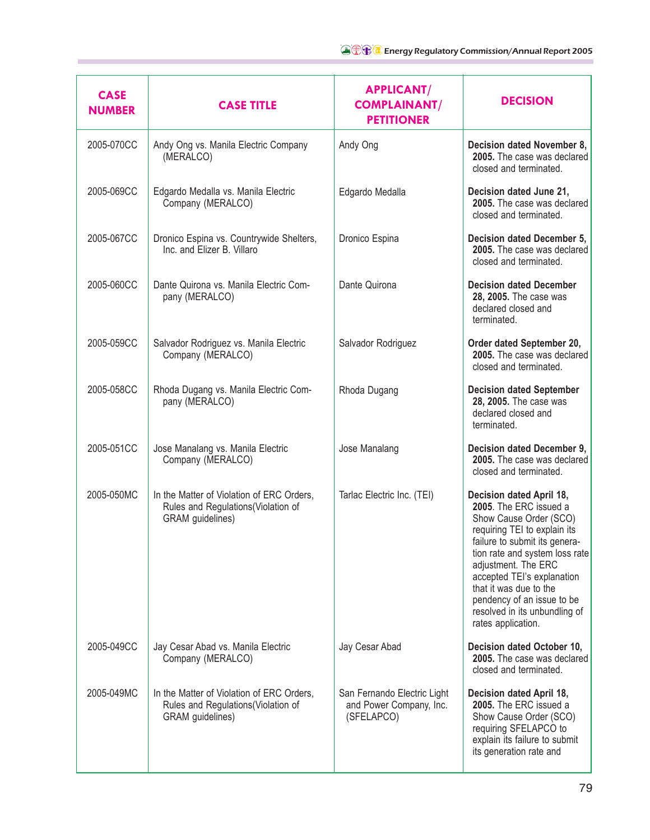| <b>CASE</b><br><b>NUMBER</b> | <b>CASE TITLE</b>                                                                                   | <b>APPLICANT/</b><br><b>COMPLAINANT/</b><br><b>PETITIONER</b>        | <b>DECISION</b>                                                                                                                                                                                                                                                                                                                                     |
|------------------------------|-----------------------------------------------------------------------------------------------------|----------------------------------------------------------------------|-----------------------------------------------------------------------------------------------------------------------------------------------------------------------------------------------------------------------------------------------------------------------------------------------------------------------------------------------------|
| 2005-070CC                   | Andy Ong vs. Manila Electric Company<br>(MERALCO)                                                   | Andy Ong                                                             | Decision dated November 8,<br>2005. The case was declared<br>closed and terminated.                                                                                                                                                                                                                                                                 |
| 2005-069CC                   | Edgardo Medalla vs. Manila Electric<br>Company (MERALCO)                                            | Edgardo Medalla                                                      | Decision dated June 21,<br>2005. The case was declared<br>closed and terminated.                                                                                                                                                                                                                                                                    |
| 2005-067CC                   | Dronico Espina vs. Countrywide Shelters,<br>Inc. and Elizer B. Villaro                              | Dronico Espina                                                       | Decision dated December 5,<br>2005. The case was declared<br>closed and terminated.                                                                                                                                                                                                                                                                 |
| 2005-060CC                   | Dante Quirona vs. Manila Electric Com-<br>pany (MERALCO)                                            | Dante Quirona                                                        | <b>Decision dated December</b><br>28, 2005. The case was<br>declared closed and<br>terminated.                                                                                                                                                                                                                                                      |
| 2005-059CC                   | Salvador Rodriguez vs. Manila Electric<br>Company (MERALCO)                                         | Salvador Rodriguez                                                   | Order dated September 20,<br>2005. The case was declared<br>closed and terminated.                                                                                                                                                                                                                                                                  |
| 2005-058CC                   | Rhoda Dugang vs. Manila Electric Com-<br>pany (MERALCO)                                             | Rhoda Dugang                                                         | <b>Decision dated September</b><br>28, 2005. The case was<br>declared closed and<br>terminated.                                                                                                                                                                                                                                                     |
| 2005-051CC                   | Jose Manalang vs. Manila Electric<br>Company (MERALCO)                                              | Jose Manalang                                                        | Decision dated December 9,<br>2005. The case was declared<br>closed and terminated.                                                                                                                                                                                                                                                                 |
| 2005-050MC                   | In the Matter of Violation of ERC Orders,<br>Rules and Regulations(Violation of<br>GRAM guidelines) | Tarlac Electric Inc. (TEI)                                           | Decision dated April 18,<br>2005. The ERC issued a<br>Show Cause Order (SCO)<br>requiring TEI to explain its<br>failure to submit its genera-<br>tion rate and system loss rate<br>adjustment. The ERC<br>accepted TEI's explanation<br>that it was due to the<br>pendency of an issue to be<br>resolved in its unbundling of<br>rates application. |
| 2005-049CC                   | Jay Cesar Abad vs. Manila Electric<br>Company (MERALCO)                                             | Jay Cesar Abad                                                       | Decision dated October 10,<br>2005. The case was declared<br>closed and terminated.                                                                                                                                                                                                                                                                 |
| 2005-049MC                   | In the Matter of Violation of ERC Orders,<br>Rules and Regulations(Violation of<br>GRAM guidelines) | San Fernando Electric Light<br>and Power Company, Inc.<br>(SFELAPCO) | Decision dated April 18,<br>2005. The ERC issued a<br>Show Cause Order (SCO)<br>requiring SFELAPCO to<br>explain its failure to submit<br>its generation rate and                                                                                                                                                                                   |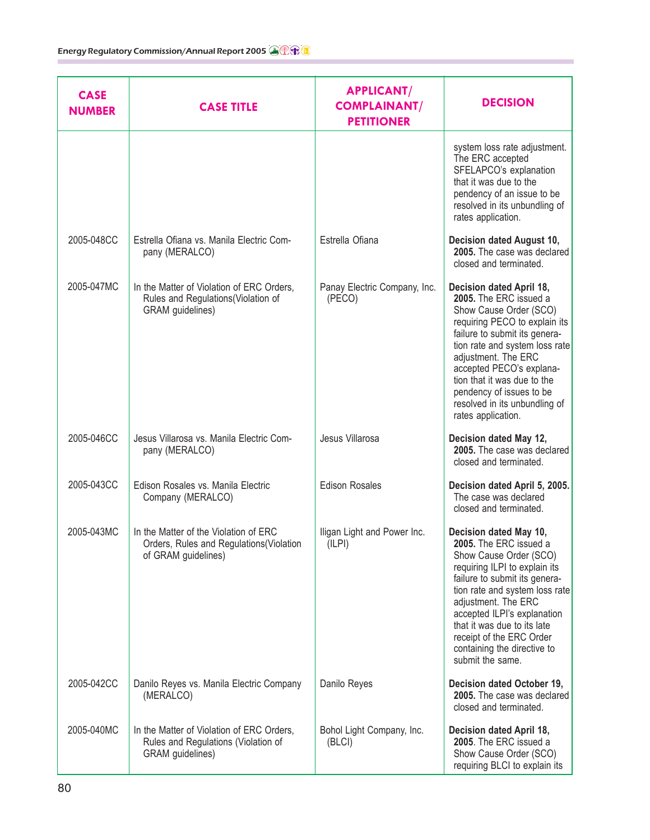| <b>CASE</b><br><b>NUMBER</b> | <b>CASE TITLE</b>                                                                                       | <b>APPLICANT/</b><br><b>COMPLAINANT/</b><br><b>PETITIONER</b> | <b>DECISION</b>                                                                                                                                                                                                                                                                                                                                       |
|------------------------------|---------------------------------------------------------------------------------------------------------|---------------------------------------------------------------|-------------------------------------------------------------------------------------------------------------------------------------------------------------------------------------------------------------------------------------------------------------------------------------------------------------------------------------------------------|
|                              |                                                                                                         |                                                               | system loss rate adjustment.<br>The ERC accepted<br>SFELAPCO's explanation<br>that it was due to the<br>pendency of an issue to be<br>resolved in its unbundling of<br>rates application.                                                                                                                                                             |
| 2005-048CC                   | Estrella Ofiana vs. Manila Electric Com-<br>pany (MERALCO)                                              | Estrella Ofiana                                               | Decision dated August 10,<br>2005. The case was declared<br>closed and terminated.                                                                                                                                                                                                                                                                    |
| 2005-047MC                   | In the Matter of Violation of ERC Orders,<br>Rules and Regulations(Violation of<br>GRAM guidelines)     | Panay Electric Company, Inc.<br>(PECO)                        | Decision dated April 18,<br>2005. The ERC issued a<br>Show Cause Order (SCO)<br>requiring PECO to explain its<br>failure to submit its genera-<br>tion rate and system loss rate<br>adjustment. The ERC<br>accepted PECO's explana-<br>tion that it was due to the<br>pendency of issues to be<br>resolved in its unbundling of<br>rates application. |
| 2005-046CC                   | Jesus Villarosa vs. Manila Electric Com-<br>pany (MERALCO)                                              | Jesus Villarosa                                               | Decision dated May 12,<br>2005. The case was declared<br>closed and terminated.                                                                                                                                                                                                                                                                       |
| 2005-043CC                   | Edison Rosales vs. Manila Electric<br>Company (MERALCO)                                                 | <b>Edison Rosales</b>                                         | Decision dated April 5, 2005.<br>The case was declared<br>closed and terminated.                                                                                                                                                                                                                                                                      |
| 2005-043MC                   | In the Matter of the Violation of ERC<br>Orders, Rules and Regulations(Violation<br>of GRAM guidelines) | Iligan Light and Power Inc.<br>(ILPI)                         | Decision dated May 10,<br>2005. The ERC issued a<br>Show Cause Order (SCO)<br>requiring ILPI to explain its<br>failure to submit its genera-<br>tion rate and system loss rate<br>adjustment. The ERC<br>accepted ILPI's explanation<br>that it was due to its late<br>receipt of the ERC Order<br>containing the directive to<br>submit the same.    |
| 2005-042CC                   | Danilo Reyes vs. Manila Electric Company<br>(MERALCO)                                                   | Danilo Reyes                                                  | Decision dated October 19,<br>2005. The case was declared<br>closed and terminated.                                                                                                                                                                                                                                                                   |
| 2005-040MC                   | In the Matter of Violation of ERC Orders,<br>Rules and Regulations (Violation of<br>GRAM guidelines)    | Bohol Light Company, Inc.<br>(BLCI)                           | Decision dated April 18,<br>2005. The ERC issued a<br>Show Cause Order (SCO)<br>requiring BLCI to explain its                                                                                                                                                                                                                                         |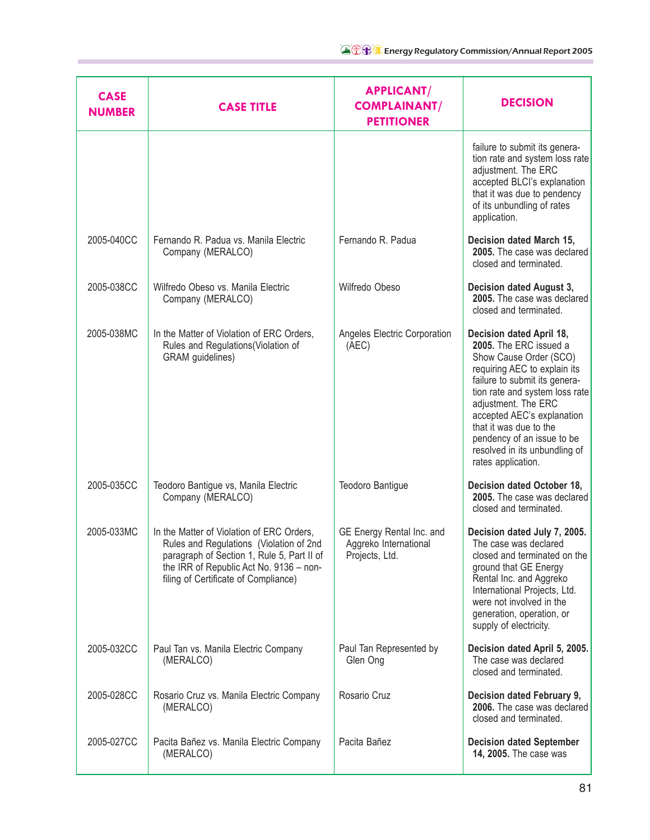| <b>CASE</b><br><b>NUMBER</b> | <b>CASE TITLE</b>                                                                                                                                                                                                     | <b>APPLICANT/</b><br><b>COMPLAINANT/</b><br><b>PETITIONER</b>        | <b>DECISION</b>                                                                                                                                                                                                                                                                                                                                     |
|------------------------------|-----------------------------------------------------------------------------------------------------------------------------------------------------------------------------------------------------------------------|----------------------------------------------------------------------|-----------------------------------------------------------------------------------------------------------------------------------------------------------------------------------------------------------------------------------------------------------------------------------------------------------------------------------------------------|
|                              |                                                                                                                                                                                                                       |                                                                      | failure to submit its genera-<br>tion rate and system loss rate<br>adjustment. The ERC<br>accepted BLCI's explanation<br>that it was due to pendency<br>of its unbundling of rates<br>application.                                                                                                                                                  |
| 2005-040CC                   | Fernando R. Padua vs. Manila Electric<br>Company (MERALCO)                                                                                                                                                            | Fernando R. Padua                                                    | Decision dated March 15,<br>2005. The case was declared<br>closed and terminated.                                                                                                                                                                                                                                                                   |
| 2005-038CC                   | Wilfredo Obeso vs. Manila Electric<br>Company (MERALCO)                                                                                                                                                               | Wilfredo Obeso                                                       | Decision dated August 3,<br>2005. The case was declared<br>closed and terminated.                                                                                                                                                                                                                                                                   |
| 2005-038MC                   | In the Matter of Violation of ERC Orders,<br>Rules and Regulations (Violation of<br>GRAM guidelines)                                                                                                                  | Angeles Electric Corporation<br>(AEC)                                | Decision dated April 18,<br>2005. The ERC issued a<br>Show Cause Order (SCO)<br>requiring AEC to explain its<br>failure to submit its genera-<br>tion rate and system loss rate<br>adjustment. The ERC<br>accepted AEC's explanation<br>that it was due to the<br>pendency of an issue to be<br>resolved in its unbundling of<br>rates application. |
| 2005-035CC                   | Teodoro Bantigue vs, Manila Electric<br>Company (MERALCO)                                                                                                                                                             | Teodoro Bantigue                                                     | Decision dated October 18,<br>2005. The case was declared<br>closed and terminated.                                                                                                                                                                                                                                                                 |
| 2005-033MC                   | In the Matter of Violation of ERC Orders,<br>Rules and Regulations (Violation of 2nd<br>paragraph of Section 1, Rule 5, Part II of<br>the IRR of Republic Act No. 9136 - non-<br>filing of Certificate of Compliance) | GE Energy Rental Inc. and<br>Aggreko International<br>Projects, Ltd. | Decision dated July 7, 2005.<br>The case was declared<br>closed and terminated on the<br>ground that GE Energy<br>Rental Inc. and Aggreko<br>International Projects, Ltd.<br>were not involved in the<br>generation, operation, or<br>supply of electricity.                                                                                        |
| 2005-032CC                   | Paul Tan vs. Manila Electric Company<br>(MERALCO)                                                                                                                                                                     | Paul Tan Represented by<br>Glen Ong                                  | Decision dated April 5, 2005.<br>The case was declared<br>closed and terminated.                                                                                                                                                                                                                                                                    |
| 2005-028CC                   | Rosario Cruz vs. Manila Electric Company<br>(MERALCO)                                                                                                                                                                 | Rosario Cruz                                                         | Decision dated February 9,<br>2006. The case was declared<br>closed and terminated.                                                                                                                                                                                                                                                                 |
| 2005-027CC                   | Pacita Bañez vs. Manila Electric Company<br>(MERALCO)                                                                                                                                                                 | Pacita Bañez                                                         | <b>Decision dated September</b><br>14, 2005. The case was                                                                                                                                                                                                                                                                                           |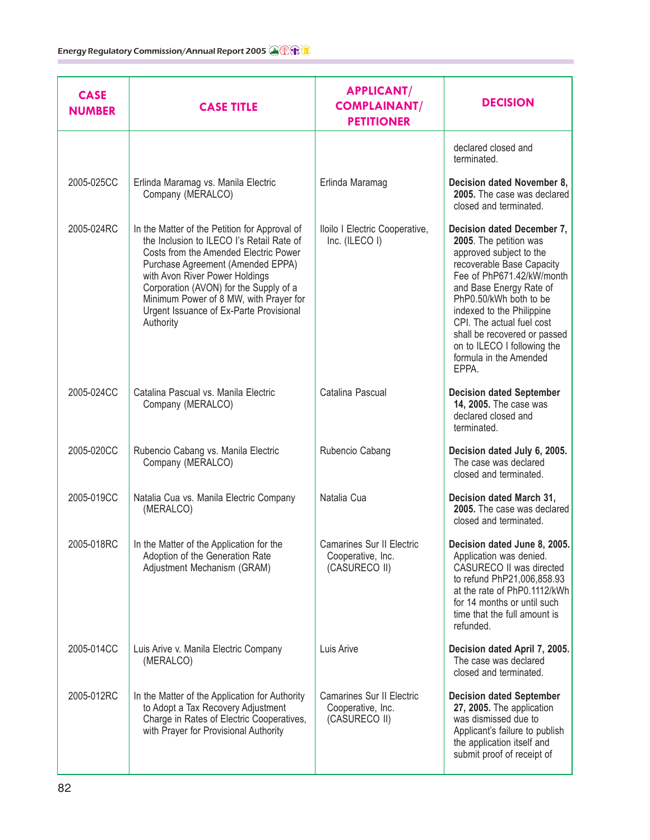| <b>CASE</b><br><b>NUMBER</b> | <b>CASE TITLE</b>                                                                                                                                                                                                                                                                                                                                      | <b>APPLICANT/</b><br><b>COMPLAINANT/</b><br><b>PETITIONER</b>          | <b>DECISION</b>                                                                                                                                                                                                                                                                                                                                            |
|------------------------------|--------------------------------------------------------------------------------------------------------------------------------------------------------------------------------------------------------------------------------------------------------------------------------------------------------------------------------------------------------|------------------------------------------------------------------------|------------------------------------------------------------------------------------------------------------------------------------------------------------------------------------------------------------------------------------------------------------------------------------------------------------------------------------------------------------|
|                              |                                                                                                                                                                                                                                                                                                                                                        |                                                                        | declared closed and<br>terminated.                                                                                                                                                                                                                                                                                                                         |
| 2005-025CC                   | Erlinda Maramag vs. Manila Electric<br>Company (MERALCO)                                                                                                                                                                                                                                                                                               | Erlinda Maramag                                                        | Decision dated November 8,<br>2005. The case was declared<br>closed and terminated.                                                                                                                                                                                                                                                                        |
| 2005-024RC                   | In the Matter of the Petition for Approval of<br>the Inclusion to ILECO I's Retail Rate of<br>Costs from the Amended Electric Power<br>Purchase Agreement (Amended EPPA)<br>with Avon River Power Holdings<br>Corporation (AVON) for the Supply of a<br>Minimum Power of 8 MW, with Prayer for<br>Urgent Issuance of Ex-Parte Provisional<br>Authority | Iloilo I Electric Cooperative,<br>Inc. (ILECO I)                       | Decision dated December 7,<br>2005. The petition was<br>approved subject to the<br>recoverable Base Capacity<br>Fee of PhP671.42/kW/month<br>and Base Energy Rate of<br>PhP0.50/kWh both to be<br>indexed to the Philippine<br>CPI. The actual fuel cost<br>shall be recovered or passed<br>on to ILECO I following the<br>formula in the Amended<br>EPPA. |
| 2005-024CC                   | Catalina Pascual vs. Manila Electric<br>Company (MERALCO)                                                                                                                                                                                                                                                                                              | Catalina Pascual                                                       | <b>Decision dated September</b><br>14, 2005. The case was<br>declared closed and<br>terminated.                                                                                                                                                                                                                                                            |
| 2005-020CC                   | Rubencio Cabang vs. Manila Electric<br>Company (MERALCO)                                                                                                                                                                                                                                                                                               | Rubencio Cabang                                                        | Decision dated July 6, 2005.<br>The case was declared<br>closed and terminated.                                                                                                                                                                                                                                                                            |
| 2005-019CC                   | Natalia Cua vs. Manila Electric Company<br>(MERALCO)                                                                                                                                                                                                                                                                                                   | Natalia Cua                                                            | Decision dated March 31,<br>2005. The case was declared<br>closed and terminated.                                                                                                                                                                                                                                                                          |
| 2005-018RC                   | In the Matter of the Application for the<br>Adoption of the Generation Rate<br>Adjustment Mechanism (GRAM)                                                                                                                                                                                                                                             | <b>Camarines Sur II Electric</b><br>Cooperative, Inc.<br>(CASURECO II) | Decision dated June 8, 2005.<br>Application was denied.<br>CASURECO II was directed<br>to refund PhP21,006,858.93<br>at the rate of PhP0.1112/kWh<br>for 14 months or until such<br>time that the full amount is<br>refunded.                                                                                                                              |
| 2005-014CC                   | Luis Arive v. Manila Electric Company<br>(MERALCO)                                                                                                                                                                                                                                                                                                     | Luis Arive                                                             | Decision dated April 7, 2005.<br>The case was declared<br>closed and terminated.                                                                                                                                                                                                                                                                           |
| 2005-012RC                   | In the Matter of the Application for Authority<br>to Adopt a Tax Recovery Adjustment<br>Charge in Rates of Electric Cooperatives,<br>with Prayer for Provisional Authority                                                                                                                                                                             | Camarines Sur II Electric<br>Cooperative, Inc.<br>(CASURECO II)        | <b>Decision dated September</b><br>27, 2005. The application<br>was dismissed due to<br>Applicant's failure to publish<br>the application itself and<br>submit proof of receipt of                                                                                                                                                                         |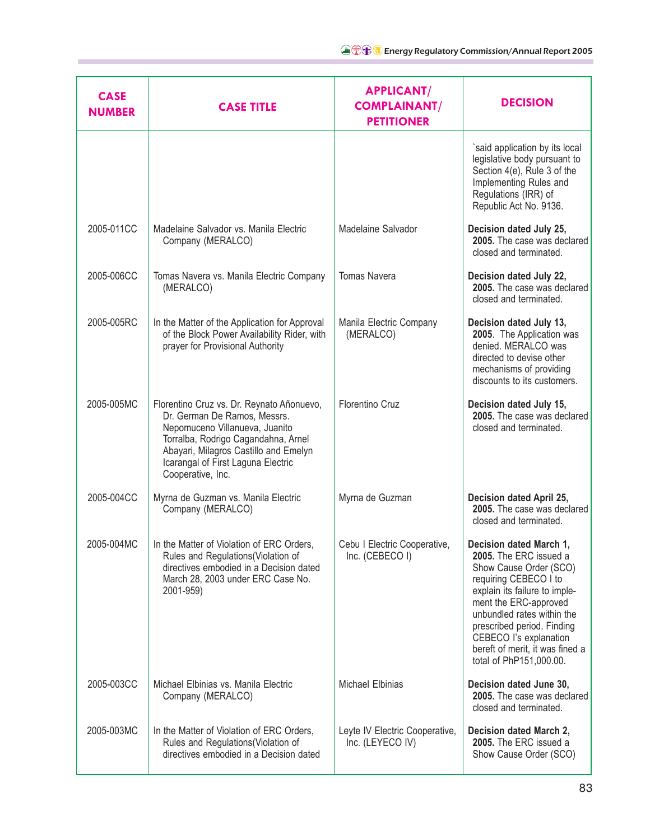| <b>CASE</b><br><b>NUMBER</b> | <b>CASE TITLE</b>                                                                                                                                                                                                                                      | <b>APPLICANT/</b><br><b>COMPLAINANT/</b><br><b>PETITIONER</b> | <b>DECISION</b>                                                                                                                                                                                                                                                                                                    |
|------------------------------|--------------------------------------------------------------------------------------------------------------------------------------------------------------------------------------------------------------------------------------------------------|---------------------------------------------------------------|--------------------------------------------------------------------------------------------------------------------------------------------------------------------------------------------------------------------------------------------------------------------------------------------------------------------|
|                              |                                                                                                                                                                                                                                                        |                                                               | `said application by its local<br>legislative body pursuant to<br>Section 4(e), Rule 3 of the<br>Implementing Rules and<br>Regulations (IRR) of<br>Republic Act No. 9136.                                                                                                                                          |
| 2005-011CC                   | Madelaine Salvador vs. Manila Electric<br>Company (MERALCO)                                                                                                                                                                                            | Madelaine Salvador                                            | Decision dated July 25,<br>2005. The case was declared<br>closed and terminated.                                                                                                                                                                                                                                   |
| 2005-006CC                   | Tomas Navera vs. Manila Electric Company<br>(MERALCO)                                                                                                                                                                                                  | <b>Tomas Navera</b>                                           | Decision dated July 22,<br>2005. The case was declared<br>closed and terminated.                                                                                                                                                                                                                                   |
| 2005-005RC                   | In the Matter of the Application for Approval<br>of the Block Power Availability Rider, with<br>prayer for Provisional Authority                                                                                                                       | Manila Electric Company<br>(MERALCO)                          | Decision dated July 13,<br>2005. The Application was<br>denied. MERALCO was<br>directed to devise other<br>mechanisms of providing<br>discounts to its customers.                                                                                                                                                  |
| 2005-005MC                   | Florentino Cruz vs. Dr. Reynato Añonuevo,<br>Dr. German De Ramos, Messrs.<br>Nepomuceno Villanueva, Juanito<br>Torralba, Rodrigo Cagandahna, Arnel<br>Abayari, Milagros Castillo and Emelyn<br>Icarangal of First Laguna Electric<br>Cooperative, Inc. | Florentino Cruz                                               | Decision dated July 15,<br>2005. The case was declared<br>closed and terminated.                                                                                                                                                                                                                                   |
| 2005-004CC                   | Myrna de Guzman vs. Manila Electric<br>Company (MERALCO)                                                                                                                                                                                               | Myrna de Guzman                                               | Decision dated April 25,<br>2005. The case was declared<br>closed and terminated.                                                                                                                                                                                                                                  |
| 2005-004MC                   | In the Matter of Violation of ERC Orders.<br>Rules and Regulations (Violation of<br>directives embodied in a Decision dated<br>March 28, 2003 under ERC Case No.<br>2001-959)                                                                          | Cebu I Electric Cooperative,<br>Inc. (CEBECO I)               | Decision dated March 1,<br>2005. The ERC issued a<br>Show Cause Order (SCO)<br>requiring CEBECO I to<br>explain its failure to imple-<br>ment the ERC-approved<br>unbundled rates within the<br>prescribed period. Finding<br>CEBECO I's explanation<br>bereft of merit, it was fined a<br>total of PhP151,000.00. |
| 2005-003CC                   | Michael Elbinias vs. Manila Electric<br>Company (MERALCO)                                                                                                                                                                                              | <b>Michael Elbinias</b>                                       | Decision dated June 30,<br>2005. The case was declared<br>closed and terminated.                                                                                                                                                                                                                                   |
| 2005-003MC                   | In the Matter of Violation of ERC Orders,<br>Rules and Regulations (Violation of<br>directives embodied in a Decision dated                                                                                                                            | Leyte IV Electric Cooperative,<br>Inc. (LEYECO IV)            | Decision dated March 2,<br>2005. The ERC issued a<br>Show Cause Order (SCO)                                                                                                                                                                                                                                        |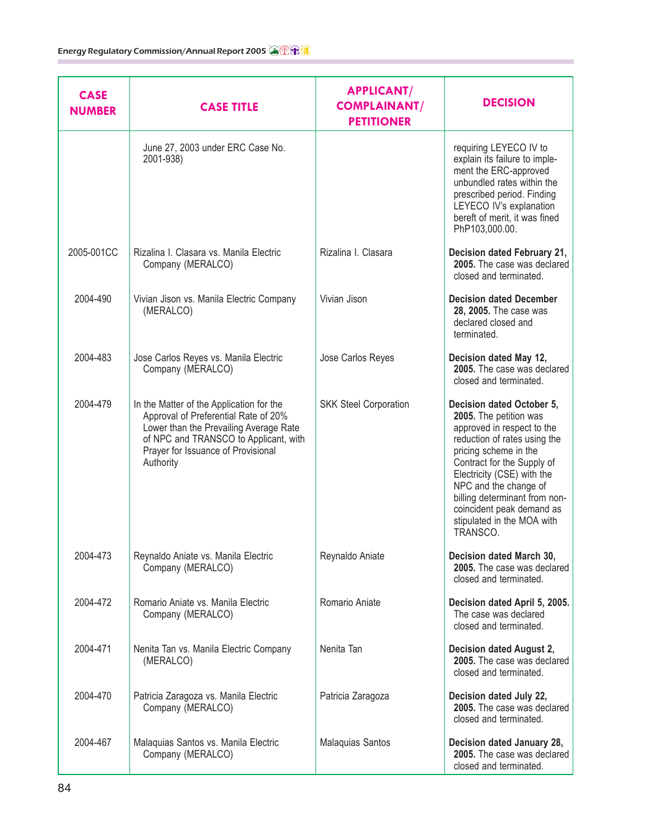| <b>CASE</b><br><b>NUMBER</b> | <b>CASE TITLE</b>                                                                                                                                                                                                      | <b>APPLICANT/</b><br><b>COMPLAINANT/</b><br><b>PETITIONER</b> | <b>DECISION</b>                                                                                                                                                                                                                                                                                                                         |
|------------------------------|------------------------------------------------------------------------------------------------------------------------------------------------------------------------------------------------------------------------|---------------------------------------------------------------|-----------------------------------------------------------------------------------------------------------------------------------------------------------------------------------------------------------------------------------------------------------------------------------------------------------------------------------------|
|                              | June 27, 2003 under ERC Case No.<br>2001-938)                                                                                                                                                                          |                                                               | requiring LEYECO IV to<br>explain its failure to imple-<br>ment the ERC-approved<br>unbundled rates within the<br>prescribed period. Finding<br>LEYECO IV's explanation<br>bereft of merit, it was fined<br>PhP103,000.00.                                                                                                              |
| 2005-001CC                   | Rizalina I. Clasara vs. Manila Electric<br>Company (MERALCO)                                                                                                                                                           | Rizalina I. Clasara                                           | Decision dated February 21,<br>2005. The case was declared<br>closed and terminated.                                                                                                                                                                                                                                                    |
| 2004-490                     | Vivian Jison vs. Manila Electric Company<br>(MERALCO)                                                                                                                                                                  | Vivian Jison                                                  | <b>Decision dated December</b><br>28, 2005. The case was<br>declared closed and<br>terminated.                                                                                                                                                                                                                                          |
| 2004-483                     | Jose Carlos Reyes vs. Manila Electric<br>Company (MERALCO)                                                                                                                                                             | Jose Carlos Reyes                                             | Decision dated May 12,<br>2005. The case was declared<br>closed and terminated.                                                                                                                                                                                                                                                         |
| 2004-479                     | In the Matter of the Application for the<br>Approval of Preferential Rate of 20%<br>Lower than the Prevailing Average Rate<br>of NPC and TRANSCO to Applicant, with<br>Prayer for Issuance of Provisional<br>Authority | <b>SKK Steel Corporation</b>                                  | Decision dated October 5,<br>2005. The petition was<br>approved in respect to the<br>reduction of rates using the<br>pricing scheme in the<br>Contract for the Supply of<br>Electricity (CSE) with the<br>NPC and the change of<br>billing determinant from non-<br>coincident peak demand as<br>stipulated in the MOA with<br>TRANSCO. |
| 2004-473                     | Reynaldo Aniate vs. Manila Electric<br>Company (MERALCO)                                                                                                                                                               | Reynaldo Aniate                                               | Decision dated March 30,<br>2005. The case was declared<br>closed and terminated.                                                                                                                                                                                                                                                       |
| 2004-472                     | Romario Aniate vs. Manila Electric<br>Company (MERALCO)                                                                                                                                                                | Romario Aniate                                                | Decision dated April 5, 2005.<br>The case was declared<br>closed and terminated.                                                                                                                                                                                                                                                        |
| 2004-471                     | Nenita Tan vs. Manila Electric Company<br>(MERALCO)                                                                                                                                                                    | Nenita Tan                                                    | Decision dated August 2,<br>2005. The case was declared<br>closed and terminated.                                                                                                                                                                                                                                                       |
| 2004-470                     | Patricia Zaragoza vs. Manila Electric<br>Company (MERALCO)                                                                                                                                                             | Patricia Zaragoza                                             | Decision dated July 22,<br>2005. The case was declared<br>closed and terminated.                                                                                                                                                                                                                                                        |
| 2004-467                     | Malaquias Santos vs. Manila Electric<br>Company (MERALCO)                                                                                                                                                              | Malaquias Santos                                              | Decision dated January 28,<br>2005. The case was declared<br>closed and terminated.                                                                                                                                                                                                                                                     |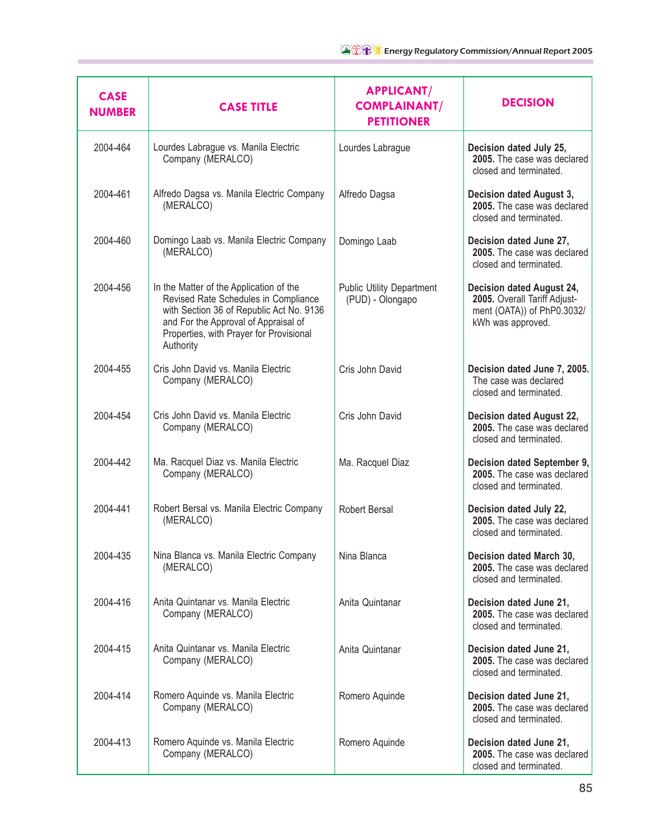| <b>CASE</b><br><b>NUMBER</b> | <b>CASE TITLE</b>                                                                                                                                                                                                           | <b>APPLICANT/</b><br><b>COMPLAINANT/</b><br><b>PETITIONER</b> | <b>DECISION</b>                                                                                              |
|------------------------------|-----------------------------------------------------------------------------------------------------------------------------------------------------------------------------------------------------------------------------|---------------------------------------------------------------|--------------------------------------------------------------------------------------------------------------|
| 2004-464                     | Lourdes Labrague vs. Manila Electric<br>Company (MERALCO)                                                                                                                                                                   | Lourdes Labrague                                              | Decision dated July 25,<br>2005. The case was declared<br>closed and terminated.                             |
| 2004-461                     | Alfredo Dagsa vs. Manila Electric Company<br>(MERALCO)                                                                                                                                                                      | Alfredo Dagsa                                                 | Decision dated August 3,<br>2005. The case was declared<br>closed and terminated.                            |
| 2004-460                     | Domingo Laab vs. Manila Electric Company<br>(MERALCO)                                                                                                                                                                       | Domingo Laab                                                  | Decision dated June 27,<br>2005. The case was declared<br>closed and terminated.                             |
| 2004-456                     | In the Matter of the Application of the<br>Revised Rate Schedules in Compliance<br>with Section 36 of Republic Act No. 9136<br>and For the Approval of Appraisal of<br>Properties, with Prayer for Provisional<br>Authority | <b>Public Utility Department</b><br>(PUD) - Olongapo          | Decision dated August 24,<br>2005. Overall Tariff Adjust-<br>ment (OATA)) of PhP0.3032/<br>kWh was approved. |
| 2004-455                     | Cris John David vs. Manila Electric<br>Company (MERALCO)                                                                                                                                                                    | Cris John David                                               | Decision dated June 7, 2005.<br>The case was declared<br>closed and terminated.                              |
| 2004-454                     | Cris John David vs. Manila Electric<br>Company (MERALCO)                                                                                                                                                                    | Cris John David                                               | Decision dated August 22,<br>2005. The case was declared<br>closed and terminated.                           |
| 2004-442                     | Ma. Racquel Diaz vs. Manila Electric<br>Company (MERALCO)                                                                                                                                                                   | Ma. Racquel Diaz                                              | Decision dated September 9,<br>2005. The case was declared<br>closed and terminated.                         |
| 2004-441                     | Robert Bersal vs. Manila Electric Company<br>(MERALCO)                                                                                                                                                                      | <b>Robert Bersal</b>                                          | Decision dated July 22,<br>2005. The case was declared<br>closed and terminated.                             |
| 2004-435                     | Nina Blanca vs. Manila Electric Company<br>(MERALCO)                                                                                                                                                                        | Nina Blanca                                                   | Decision dated March 30,<br>2005. The case was declared<br>closed and terminated.                            |
| 2004-416                     | Anita Quintanar vs. Manila Electric<br>Company (MERALCO)                                                                                                                                                                    | Anita Quintanar                                               | Decision dated June 21,<br>2005. The case was declared<br>closed and terminated.                             |
| 2004-415                     | Anita Quintanar vs. Manila Electric<br>Company (MERALCO)                                                                                                                                                                    | Anita Quintanar                                               | Decision dated June 21,<br>2005. The case was declared<br>closed and terminated.                             |
| 2004-414                     | Romero Aquinde vs. Manila Electric<br>Company (MERALCO)                                                                                                                                                                     | Romero Aquinde                                                | Decision dated June 21,<br>2005. The case was declared<br>closed and terminated.                             |
| 2004-413                     | Romero Aquinde vs. Manila Electric<br>Company (MERALCO)                                                                                                                                                                     | Romero Aquinde                                                | Decision dated June 21,<br>2005. The case was declared<br>closed and terminated.                             |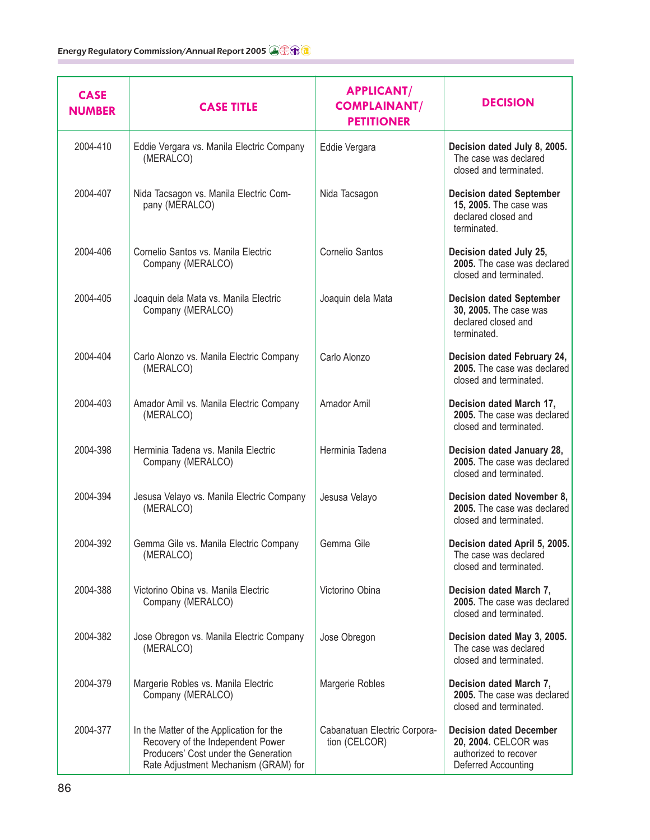| <b>CASE</b><br><b>NUMBER</b> | <b>CASE TITLE</b>                                                                                                                                             | <b>APPLICANT/</b><br><b>COMPLAINANT/</b><br><b>PETITIONER</b> | <b>DECISION</b>                                                                                        |
|------------------------------|---------------------------------------------------------------------------------------------------------------------------------------------------------------|---------------------------------------------------------------|--------------------------------------------------------------------------------------------------------|
| 2004-410                     | Eddie Vergara vs. Manila Electric Company<br>(MERALCO)                                                                                                        | Eddie Vergara                                                 | Decision dated July 8, 2005.<br>The case was declared<br>closed and terminated.                        |
| 2004-407                     | Nida Tacsagon vs. Manila Electric Com-<br>pany (MERALCO)                                                                                                      | Nida Tacsagon                                                 | <b>Decision dated September</b><br>15, 2005. The case was<br>declared closed and<br>terminated.        |
| 2004-406                     | Cornelio Santos vs. Manila Electric<br>Company (MERALCO)                                                                                                      | Cornelio Santos                                               | Decision dated July 25,<br>2005. The case was declared<br>closed and terminated.                       |
| 2004-405                     | Joaquin dela Mata vs. Manila Electric<br>Company (MERALCO)                                                                                                    | Joaquin dela Mata                                             | <b>Decision dated September</b><br>30, 2005. The case was<br>declared closed and<br>terminated.        |
| 2004-404                     | Carlo Alonzo vs. Manila Electric Company<br>(MERALCO)                                                                                                         | Carlo Alonzo                                                  | Decision dated February 24,<br>2005. The case was declared<br>closed and terminated.                   |
| 2004-403                     | Amador Amil vs. Manila Electric Company<br>(MERALCO)                                                                                                          | Amador Amil                                                   | Decision dated March 17,<br>2005. The case was declared<br>closed and terminated.                      |
| 2004-398                     | Herminia Tadena vs. Manila Electric<br>Company (MERALCO)                                                                                                      | Herminia Tadena                                               | Decision dated January 28,<br>2005. The case was declared<br>closed and terminated.                    |
| 2004-394                     | Jesusa Velayo vs. Manila Electric Company<br>(MERALCO)                                                                                                        | Jesusa Velayo                                                 | Decision dated November 8,<br>2005. The case was declared<br>closed and terminated.                    |
| 2004-392                     | Gemma Gile vs. Manila Electric Company<br>(MERALCO)                                                                                                           | Gemma Gile                                                    | Decision dated April 5, 2005.<br>The case was declared<br>closed and terminated.                       |
| 2004-388                     | Victorino Obina vs. Manila Electric<br>Company (MERALCO)                                                                                                      | Victorino Obina                                               | Decision dated March 7,<br>2005. The case was declared<br>closed and terminated.                       |
| 2004-382                     | Jose Obregon vs. Manila Electric Company<br>(MERALCO)                                                                                                         | Jose Obregon                                                  | Decision dated May 3, 2005.<br>The case was declared<br>closed and terminated.                         |
| 2004-379                     | Margerie Robles vs. Manila Electric<br>Company (MERALCO)                                                                                                      | Margerie Robles                                               | Decision dated March 7,<br>2005. The case was declared<br>closed and terminated.                       |
| 2004-377                     | In the Matter of the Application for the<br>Recovery of the Independent Power<br>Producers' Cost under the Generation<br>Rate Adjustment Mechanism (GRAM) for | Cabanatuan Electric Corpora-<br>tion (CELCOR)                 | <b>Decision dated December</b><br>20, 2004. CELCOR was<br>authorized to recover<br>Deferred Accounting |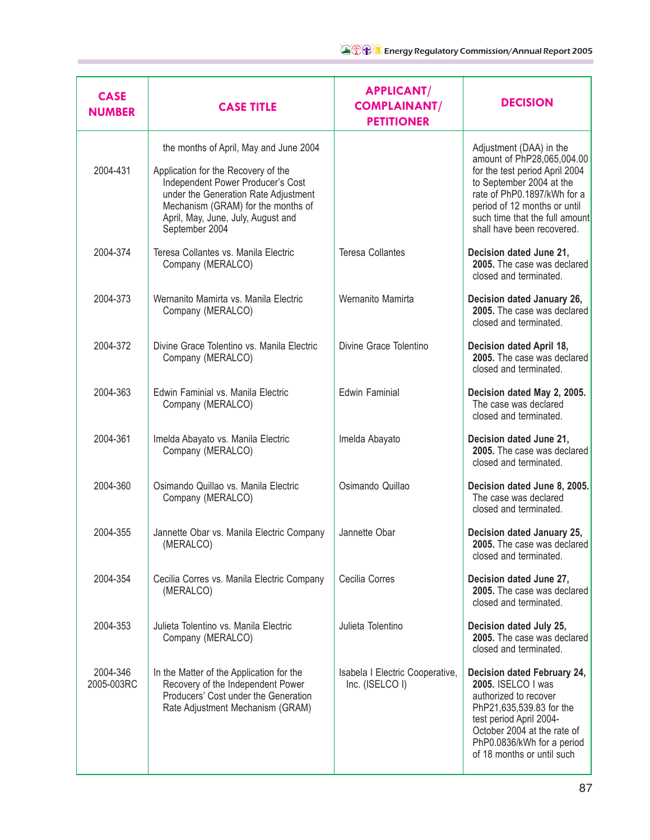| <b>CASE</b><br><b>NUMBER</b> | <b>CASE TITLE</b>                                                                                                                                                                                                                                        | <b>APPLICANT/</b><br><b>COMPLAINANT/</b><br><b>PETITIONER</b> | <b>DECISION</b>                                                                                                                                                                                                                                    |
|------------------------------|----------------------------------------------------------------------------------------------------------------------------------------------------------------------------------------------------------------------------------------------------------|---------------------------------------------------------------|----------------------------------------------------------------------------------------------------------------------------------------------------------------------------------------------------------------------------------------------------|
| 2004-431                     | the months of April, May and June 2004<br>Application for the Recovery of the<br>Independent Power Producer's Cost<br>under the Generation Rate Adjustment<br>Mechanism (GRAM) for the months of<br>April, May, June, July, August and<br>September 2004 |                                                               | Adjustment (DAA) in the<br>amount of PhP28,065,004.00<br>for the test period April 2004<br>to September 2004 at the<br>rate of PhP0.1897/kWh for a<br>period of 12 months or until<br>such time that the full amount<br>shall have been recovered. |
| 2004-374                     | Teresa Collantes vs. Manila Electric<br>Company (MERALCO)                                                                                                                                                                                                | <b>Teresa Collantes</b>                                       | Decision dated June 21,<br>2005. The case was declared<br>closed and terminated.                                                                                                                                                                   |
| 2004-373                     | Wernanito Mamirta vs. Manila Electric<br>Company (MERALCO)                                                                                                                                                                                               | Wernanito Mamirta                                             | Decision dated January 26,<br>2005. The case was declared<br>closed and terminated.                                                                                                                                                                |
| 2004-372                     | Divine Grace Tolentino vs. Manila Electric<br>Company (MERALCO)                                                                                                                                                                                          | Divine Grace Tolentino                                        | Decision dated April 18,<br>2005. The case was declared<br>closed and terminated.                                                                                                                                                                  |
| 2004-363                     | Edwin Faminial vs. Manila Electric<br>Company (MERALCO)                                                                                                                                                                                                  | <b>Edwin Faminial</b>                                         | Decision dated May 2, 2005.<br>The case was declared<br>closed and terminated.                                                                                                                                                                     |
| 2004-361                     | Imelda Abayato vs. Manila Electric<br>Company (MERALCO)                                                                                                                                                                                                  | Imelda Abayato                                                | Decision dated June 21,<br>2005. The case was declared<br>closed and terminated.                                                                                                                                                                   |
| 2004-360                     | Osimando Quillao vs. Manila Electric<br>Company (MERALCO)                                                                                                                                                                                                | Osimando Quillao                                              | Decision dated June 8, 2005.<br>The case was declared<br>closed and terminated.                                                                                                                                                                    |
| 2004-355                     | Jannette Obar vs. Manila Electric Company<br>(MERALCO)                                                                                                                                                                                                   | Jannette Obar                                                 | Decision dated January 25,<br>2005. The case was declared<br>closed and terminated.                                                                                                                                                                |
| 2004-354                     | Cecilia Corres vs. Manila Electric Company<br>(MERALCO)                                                                                                                                                                                                  | Cecilia Corres                                                | Decision dated June 27,<br>2005. The case was declared<br>closed and terminated.                                                                                                                                                                   |
| 2004-353                     | Julieta Tolentino vs. Manila Electric<br>Company (MERALCO)                                                                                                                                                                                               | Julieta Tolentino                                             | Decision dated July 25,<br>2005. The case was declared<br>closed and terminated.                                                                                                                                                                   |
| 2004-346<br>2005-003RC       | In the Matter of the Application for the<br>Recovery of the Independent Power<br>Producers' Cost under the Generation<br>Rate Adjustment Mechanism (GRAM)                                                                                                | Isabela I Electric Cooperative,<br>Inc. (ISELCO I)            | Decision dated February 24,<br>2005. ISELCO I was<br>authorized to recover<br>PhP21,635,539.83 for the<br>test period April 2004-<br>October 2004 at the rate of<br>PhP0.0836/kWh for a period<br>of 18 months or until such                       |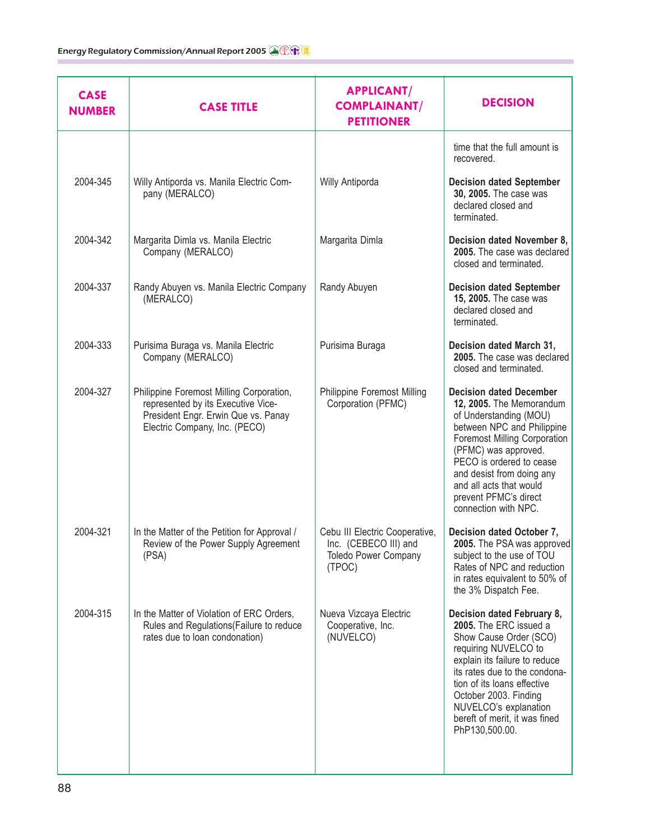| <b>CASE</b><br><b>NUMBER</b> | <b>CASE TITLE</b>                                                                                                                                      | <b>APPLICANT/</b><br><b>COMPLAINANT/</b><br><b>PETITIONER</b>                                    | <b>DECISION</b>                                                                                                                                                                                                                                                                                                        |
|------------------------------|--------------------------------------------------------------------------------------------------------------------------------------------------------|--------------------------------------------------------------------------------------------------|------------------------------------------------------------------------------------------------------------------------------------------------------------------------------------------------------------------------------------------------------------------------------------------------------------------------|
|                              |                                                                                                                                                        |                                                                                                  | time that the full amount is<br>recovered.                                                                                                                                                                                                                                                                             |
| 2004-345                     | Willy Antiporda vs. Manila Electric Com-<br>pany (MERALCO)                                                                                             | Willy Antiporda                                                                                  | <b>Decision dated September</b><br>30, 2005. The case was<br>declared closed and<br>terminated.                                                                                                                                                                                                                        |
| 2004-342                     | Margarita Dimla vs. Manila Electric<br>Company (MERALCO)                                                                                               | Margarita Dimla                                                                                  | Decision dated November 8,<br>2005. The case was declared<br>closed and terminated.                                                                                                                                                                                                                                    |
| 2004-337                     | Randy Abuyen vs. Manila Electric Company<br>(MERALCO)                                                                                                  | Randy Abuyen                                                                                     | <b>Decision dated September</b><br>15, 2005. The case was<br>declared closed and<br>terminated.                                                                                                                                                                                                                        |
| 2004-333                     | Purisima Buraga vs. Manila Electric<br>Company (MERALCO)                                                                                               | Purisima Buraga                                                                                  | Decision dated March 31,<br>2005. The case was declared<br>closed and terminated.                                                                                                                                                                                                                                      |
| 2004-327                     | Philippine Foremost Milling Corporation,<br>represented by its Executive Vice-<br>President Engr. Erwin Que vs. Panay<br>Electric Company, Inc. (PECO) | Philippine Foremost Milling<br>Corporation (PFMC)                                                | <b>Decision dated December</b><br>12, 2005. The Memorandum<br>of Understanding (MOU)<br>between NPC and Philippine<br><b>Foremost Milling Corporation</b><br>(PFMC) was approved.<br>PECO is ordered to cease<br>and desist from doing any<br>and all acts that would<br>prevent PFMC's direct<br>connection with NPC. |
| 2004-321                     | In the Matter of the Petition for Approval /<br>Review of the Power Supply Agreement<br>(PSA)                                                          | Cebu III Electric Cooperative,<br>Inc. (CEBECO III) and<br><b>Toledo Power Company</b><br>(TPOC) | Decision dated October 7,<br>2005. The PSA was approved<br>subject to the use of TOU<br>Rates of NPC and reduction<br>in rates equivalent to 50% of<br>the 3% Dispatch Fee.                                                                                                                                            |
| 2004-315                     | In the Matter of Violation of ERC Orders,<br>Rules and Regulations (Failure to reduce<br>rates due to loan condonation)                                | Nueva Vizcaya Electric<br>Cooperative, Inc.<br>(NUVELCO)                                         | Decision dated February 8,<br>2005. The ERC issued a<br>Show Cause Order (SCO)<br>requiring NUVELCO to<br>explain its failure to reduce<br>its rates due to the condona-<br>tion of its loans effective<br>October 2003. Finding<br>NUVELCO's explanation<br>bereft of merit, it was fined<br>PhP130,500.00.           |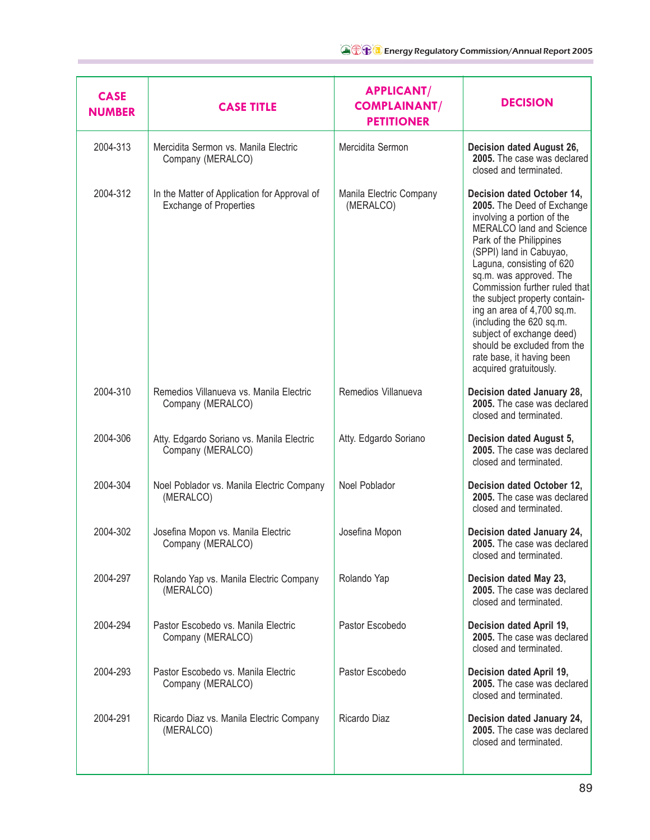| <b>CASE</b><br><b>NUMBER</b> | <b>CASE TITLE</b>                                                             | <b>APPLICANT/</b><br><b>COMPLAINANT/</b><br><b>PETITIONER</b> | <b>DECISION</b>                                                                                                                                                                                                                                                                                                                                                                                                                                                                        |
|------------------------------|-------------------------------------------------------------------------------|---------------------------------------------------------------|----------------------------------------------------------------------------------------------------------------------------------------------------------------------------------------------------------------------------------------------------------------------------------------------------------------------------------------------------------------------------------------------------------------------------------------------------------------------------------------|
| 2004-313                     | Mercidita Sermon vs. Manila Electric<br>Company (MERALCO)                     | Mercidita Sermon                                              | Decision dated August 26,<br>2005. The case was declared<br>closed and terminated.                                                                                                                                                                                                                                                                                                                                                                                                     |
| 2004-312                     | In the Matter of Application for Approval of<br><b>Exchange of Properties</b> | Manila Electric Company<br>(MERALCO)                          | Decision dated October 14,<br>2005. The Deed of Exchange<br>involving a portion of the<br><b>MERALCO</b> land and Science<br>Park of the Philippines<br>(SPPI) land in Cabuyao,<br>Laguna, consisting of 620<br>sq.m. was approved. The<br>Commission further ruled that<br>the subject property contain-<br>ing an area of 4,700 sq.m.<br>(including the 620 sq.m.<br>subject of exchange deed)<br>should be excluded from the<br>rate base, it having been<br>acquired gratuitously. |
| 2004-310                     | Remedios Villanueva vs. Manila Electric<br>Company (MERALCO)                  | Remedios Villanueva                                           | Decision dated January 28,<br>2005. The case was declared<br>closed and terminated.                                                                                                                                                                                                                                                                                                                                                                                                    |
| 2004-306                     | Atty. Edgardo Soriano vs. Manila Electric<br>Company (MERALCO)                | Atty. Edgardo Soriano                                         | Decision dated August 5,<br>2005. The case was declared<br>closed and terminated.                                                                                                                                                                                                                                                                                                                                                                                                      |
| 2004-304                     | Noel Poblador vs. Manila Electric Company<br>(MERALCO)                        | Noel Poblador                                                 | Decision dated October 12,<br>2005. The case was declared<br>closed and terminated.                                                                                                                                                                                                                                                                                                                                                                                                    |
| 2004-302                     | Josefina Mopon vs. Manila Electric<br>Company (MERALCO)                       | Josefina Mopon                                                | Decision dated January 24,<br>2005. The case was declared<br>closed and terminated.                                                                                                                                                                                                                                                                                                                                                                                                    |
| 2004-297                     | Rolando Yap vs. Manila Electric Company<br>(MERALCO)                          | Rolando Yap                                                   | Decision dated May 23,<br>2005. The case was declared<br>closed and terminated.                                                                                                                                                                                                                                                                                                                                                                                                        |
| 2004-294                     | Pastor Escobedo vs. Manila Electric<br>Company (MERALCO)                      | Pastor Escobedo                                               | Decision dated April 19,<br>2005. The case was declared<br>closed and terminated.                                                                                                                                                                                                                                                                                                                                                                                                      |
| 2004-293                     | Pastor Escobedo vs. Manila Electric<br>Company (MERALCO)                      | Pastor Escobedo                                               | Decision dated April 19,<br>2005. The case was declared<br>closed and terminated.                                                                                                                                                                                                                                                                                                                                                                                                      |
| 2004-291                     | Ricardo Diaz vs. Manila Electric Company<br>(MERALCO)                         | Ricardo Diaz                                                  | Decision dated January 24,<br>2005. The case was declared<br>closed and terminated.                                                                                                                                                                                                                                                                                                                                                                                                    |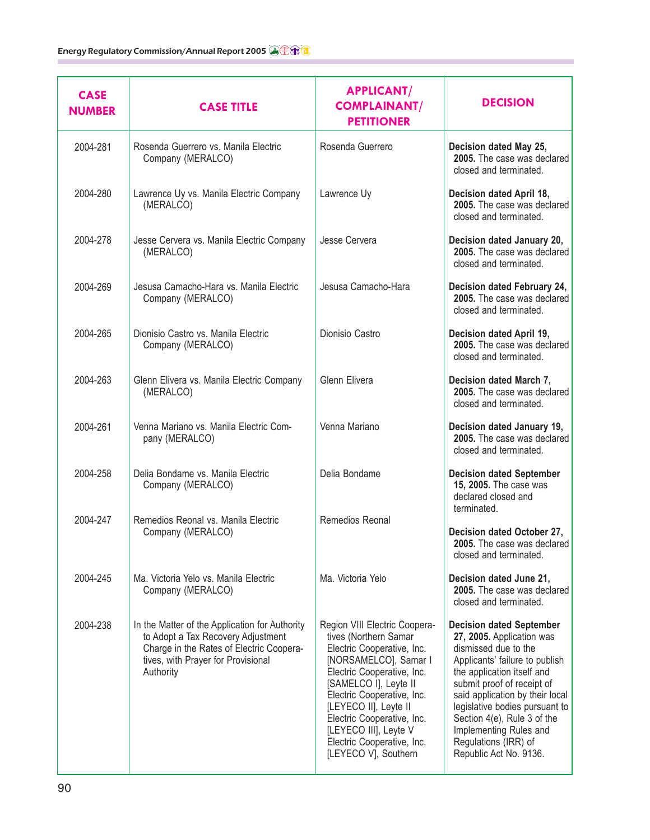| <b>CASE</b><br><b>NUMBER</b> | <b>CASE TITLE</b>                                                                                                                                                                   | <b>APPLICANT/</b><br><b>COMPLAINANT/</b><br><b>PETITIONER</b>                                                                                                                                                                                                                                                                            | <b>DECISION</b>                                                                                                                                                                                                                                                                                                                                                    |
|------------------------------|-------------------------------------------------------------------------------------------------------------------------------------------------------------------------------------|------------------------------------------------------------------------------------------------------------------------------------------------------------------------------------------------------------------------------------------------------------------------------------------------------------------------------------------|--------------------------------------------------------------------------------------------------------------------------------------------------------------------------------------------------------------------------------------------------------------------------------------------------------------------------------------------------------------------|
| 2004-281                     | Rosenda Guerrero vs. Manila Electric<br>Company (MERALCO)                                                                                                                           | Rosenda Guerrero                                                                                                                                                                                                                                                                                                                         | Decision dated May 25,<br>2005. The case was declared<br>closed and terminated.                                                                                                                                                                                                                                                                                    |
| 2004-280                     | Lawrence Uy vs. Manila Electric Company<br>(MERALCO)                                                                                                                                | Lawrence Uy                                                                                                                                                                                                                                                                                                                              | Decision dated April 18,<br>2005. The case was declared<br>closed and terminated.                                                                                                                                                                                                                                                                                  |
| 2004-278                     | Jesse Cervera vs. Manila Electric Company<br>(MERALCO)                                                                                                                              | Jesse Cervera                                                                                                                                                                                                                                                                                                                            | Decision dated January 20,<br>2005. The case was declared<br>closed and terminated.                                                                                                                                                                                                                                                                                |
| 2004-269                     | Jesusa Camacho-Hara vs. Manila Electric<br>Company (MERALCO)                                                                                                                        | Jesusa Camacho-Hara                                                                                                                                                                                                                                                                                                                      | Decision dated February 24,<br>2005. The case was declared<br>closed and terminated.                                                                                                                                                                                                                                                                               |
| 2004-265                     | Dionisio Castro vs. Manila Electric<br>Company (MERALCO)                                                                                                                            | Dionisio Castro                                                                                                                                                                                                                                                                                                                          | Decision dated April 19,<br>2005. The case was declared<br>closed and terminated.                                                                                                                                                                                                                                                                                  |
| 2004-263                     | Glenn Elivera vs. Manila Electric Company<br>(MERALCO)                                                                                                                              | <b>Glenn Elivera</b>                                                                                                                                                                                                                                                                                                                     | Decision dated March 7,<br>2005. The case was declared<br>closed and terminated.                                                                                                                                                                                                                                                                                   |
| 2004-261                     | Venna Mariano vs. Manila Electric Com-<br>pany (MERALCO)                                                                                                                            | Venna Mariano                                                                                                                                                                                                                                                                                                                            | Decision dated January 19,<br>2005. The case was declared<br>closed and terminated.                                                                                                                                                                                                                                                                                |
| 2004-258                     | Delia Bondame vs. Manila Electric<br>Company (MERALCO)                                                                                                                              | Delia Bondame                                                                                                                                                                                                                                                                                                                            | <b>Decision dated September</b><br>15, 2005. The case was<br>declared closed and<br>terminated.                                                                                                                                                                                                                                                                    |
| 2004-247                     | Remedios Reonal vs. Manila Electric<br>Company (MERALCO)                                                                                                                            | Remedios Reonal                                                                                                                                                                                                                                                                                                                          | Decision dated October 27,<br>2005. The case was declared<br>closed and terminated.                                                                                                                                                                                                                                                                                |
| 2004-245                     | Ma. Victoria Yelo vs. Manila Electric<br>Company (MERALCO)                                                                                                                          | Ma. Victoria Yelo                                                                                                                                                                                                                                                                                                                        | Decision dated June 21,<br>2005. The case was declared<br>closed and terminated.                                                                                                                                                                                                                                                                                   |
| 2004-238                     | In the Matter of the Application for Authority<br>to Adopt a Tax Recovery Adjustment<br>Charge in the Rates of Electric Coopera-<br>tives, with Prayer for Provisional<br>Authority | Region VIII Electric Coopera-<br>tives (Northern Samar<br>Electric Cooperative, Inc.<br>[NORSAMELCO], Samar I<br>Electric Cooperative, Inc.<br>[SAMELCO I], Leyte II<br>Electric Cooperative, Inc.<br>[LEYECO II], Leyte II<br>Electric Cooperative, Inc.<br>[LEYECO III], Leyte V<br>Electric Cooperative, Inc.<br>[LEYECO V], Southern | <b>Decision dated September</b><br>27, 2005. Application was<br>dismissed due to the<br>Applicants' failure to publish<br>the application itself and<br>submit proof of receipt of<br>said application by their local<br>legislative bodies pursuant to<br>Section 4(e), Rule 3 of the<br>Implementing Rules and<br>Regulations (IRR) of<br>Republic Act No. 9136. |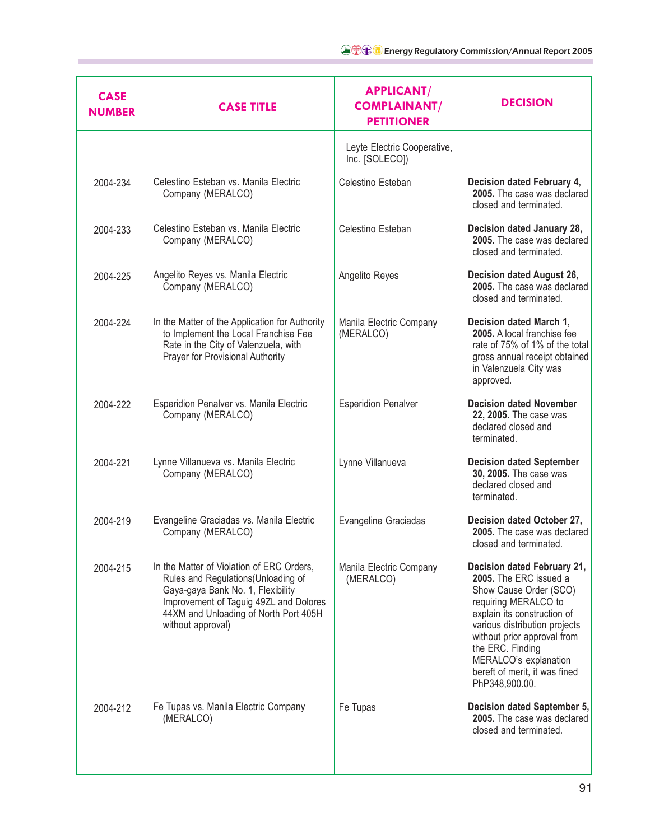| <b>CASE</b><br><b>NUMBER</b> | <b>CASE TITLE</b>                                                                                                                                                                                                             | <b>APPLICANT/</b><br><b>COMPLAINANT/</b><br><b>PETITIONER</b> | <b>DECISION</b>                                                                                                                                                                                                                                                                                        |
|------------------------------|-------------------------------------------------------------------------------------------------------------------------------------------------------------------------------------------------------------------------------|---------------------------------------------------------------|--------------------------------------------------------------------------------------------------------------------------------------------------------------------------------------------------------------------------------------------------------------------------------------------------------|
|                              |                                                                                                                                                                                                                               | Leyte Electric Cooperative,<br>Inc. [SOLECO])                 |                                                                                                                                                                                                                                                                                                        |
| 2004-234                     | Celestino Esteban vs. Manila Electric<br>Company (MERALCO)                                                                                                                                                                    | Celestino Esteban                                             | Decision dated February 4,<br>2005. The case was declared<br>closed and terminated.                                                                                                                                                                                                                    |
| 2004-233                     | Celestino Esteban vs. Manila Electric<br>Company (MERALCO)                                                                                                                                                                    | Celestino Esteban                                             | Decision dated January 28,<br>2005. The case was declared<br>closed and terminated.                                                                                                                                                                                                                    |
| 2004-225                     | Angelito Reyes vs. Manila Electric<br>Company (MERALCO)                                                                                                                                                                       | Angelito Reyes                                                | Decision dated August 26,<br>2005. The case was declared<br>closed and terminated.                                                                                                                                                                                                                     |
| 2004-224                     | In the Matter of the Application for Authority<br>to Implement the Local Franchise Fee<br>Rate in the City of Valenzuela, with<br>Prayer for Provisional Authority                                                            | Manila Electric Company<br>(MERALCO)                          | Decision dated March 1,<br>2005. A local franchise fee<br>rate of 75% of 1% of the total<br>gross annual receipt obtained<br>in Valenzuela City was<br>approved.                                                                                                                                       |
| 2004-222                     | Esperidion Penalver vs. Manila Electric<br>Company (MERALCO)                                                                                                                                                                  | <b>Esperidion Penalver</b>                                    | <b>Decision dated November</b><br>22, 2005. The case was<br>declared closed and<br>terminated.                                                                                                                                                                                                         |
| 2004-221                     | Lynne Villanueva vs. Manila Electric<br>Company (MERALCO)                                                                                                                                                                     | Lynne Villanueva                                              | <b>Decision dated September</b><br>30, 2005. The case was<br>declared closed and<br>terminated.                                                                                                                                                                                                        |
| 2004-219                     | Evangeline Graciadas vs. Manila Electric<br>Company (MERALCO)                                                                                                                                                                 | Evangeline Graciadas                                          | Decision dated October 27,<br>2005. The case was declared<br>closed and terminated.                                                                                                                                                                                                                    |
| 2004-215                     | In the Matter of Violation of ERC Orders,<br>Rules and Regulations (Unloading of<br>Gaya-gaya Bank No. 1, Flexibility<br>Improvement of Taguig 49ZL and Dolores<br>44XM and Unloading of North Port 405H<br>without approval) | Manila Electric Company<br>(MERALCO)                          | Decision dated February 21,<br>2005. The ERC issued a<br>Show Cause Order (SCO)<br>requiring MERALCO to<br>explain its construction of<br>various distribution projects<br>without prior approval from<br>the ERC. Finding<br>MERALCO's explanation<br>bereft of merit, it was fined<br>PhP348,900.00. |
| 2004-212                     | Fe Tupas vs. Manila Electric Company<br>(MERALCO)                                                                                                                                                                             | Fe Tupas                                                      | Decision dated September 5,<br>2005. The case was declared<br>closed and terminated.                                                                                                                                                                                                                   |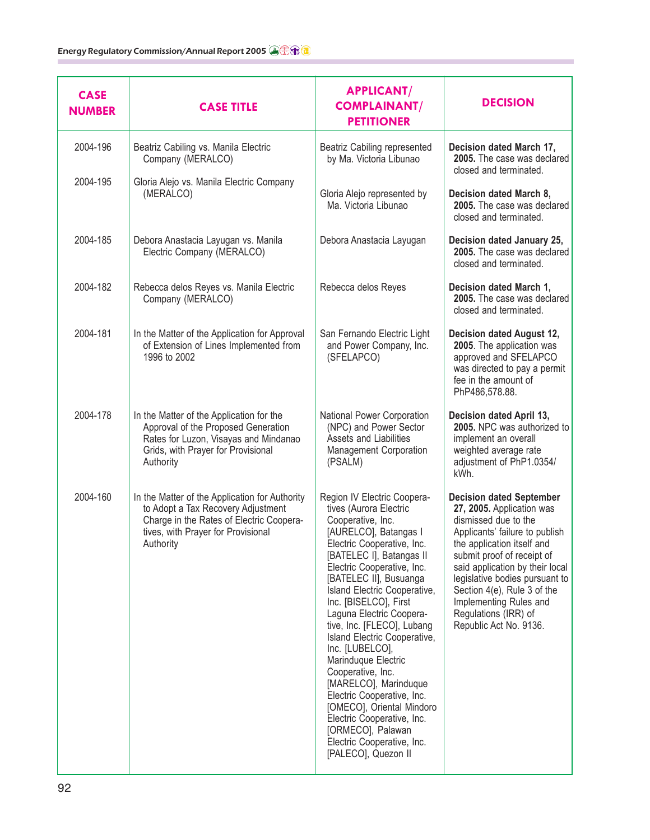| <b>CASE</b><br><b>NUMBER</b> | <b>CASE TITLE</b>                                                                                                                                                                   | <b>APPLICANT/</b><br><b>COMPLAINANT/</b><br><b>PETITIONER</b>                                                                                                                                                                                                                                                                                                                                                                                                                                                                                                                                                                       | <b>DECISION</b>                                                                                                                                                                                                                                                                                                                                                    |
|------------------------------|-------------------------------------------------------------------------------------------------------------------------------------------------------------------------------------|-------------------------------------------------------------------------------------------------------------------------------------------------------------------------------------------------------------------------------------------------------------------------------------------------------------------------------------------------------------------------------------------------------------------------------------------------------------------------------------------------------------------------------------------------------------------------------------------------------------------------------------|--------------------------------------------------------------------------------------------------------------------------------------------------------------------------------------------------------------------------------------------------------------------------------------------------------------------------------------------------------------------|
| 2004-196                     | Beatriz Cabiling vs. Manila Electric<br>Company (MERALCO)                                                                                                                           | Beatriz Cabiling represented<br>by Ma. Victoria Libunao                                                                                                                                                                                                                                                                                                                                                                                                                                                                                                                                                                             | Decision dated March 17,<br>2005. The case was declared<br>closed and terminated.                                                                                                                                                                                                                                                                                  |
| 2004-195                     | Gloria Alejo vs. Manila Electric Company<br>(MERALCO)                                                                                                                               | Gloria Alejo represented by<br>Ma. Victoria Libunao                                                                                                                                                                                                                                                                                                                                                                                                                                                                                                                                                                                 | Decision dated March 8,<br>2005. The case was declared<br>closed and terminated.                                                                                                                                                                                                                                                                                   |
| 2004-185                     | Debora Anastacia Layugan vs. Manila<br>Electric Company (MERALCO)                                                                                                                   | Debora Anastacia Layugan                                                                                                                                                                                                                                                                                                                                                                                                                                                                                                                                                                                                            | Decision dated January 25,<br>2005. The case was declared<br>closed and terminated.                                                                                                                                                                                                                                                                                |
| 2004-182                     | Rebecca delos Reyes vs. Manila Electric<br>Company (MERALCO)                                                                                                                        | Rebecca delos Reyes                                                                                                                                                                                                                                                                                                                                                                                                                                                                                                                                                                                                                 | Decision dated March 1,<br>2005. The case was declared<br>closed and terminated.                                                                                                                                                                                                                                                                                   |
| 2004-181                     | In the Matter of the Application for Approval<br>of Extension of Lines Implemented from<br>1996 to 2002                                                                             | San Fernando Electric Light<br>and Power Company, Inc.<br>(SFELAPCO)                                                                                                                                                                                                                                                                                                                                                                                                                                                                                                                                                                | Decision dated August 12,<br>2005. The application was<br>approved and SFELAPCO<br>was directed to pay a permit<br>fee in the amount of<br>PhP486,578.88.                                                                                                                                                                                                          |
| 2004-178                     | In the Matter of the Application for the<br>Approval of the Proposed Generation<br>Rates for Luzon, Visayas and Mindanao<br>Grids, with Prayer for Provisional<br>Authority         | National Power Corporation<br>(NPC) and Power Sector<br>Assets and Liabilities<br>Management Corporation<br>(PSALM)                                                                                                                                                                                                                                                                                                                                                                                                                                                                                                                 | Decision dated April 13,<br>2005. NPC was authorized to<br>implement an overall<br>weighted average rate<br>adjustment of PhP1.0354/<br>kWh.                                                                                                                                                                                                                       |
| 2004-160                     | In the Matter of the Application for Authority<br>to Adopt a Tax Recovery Adjustment<br>Charge in the Rates of Electric Coopera-<br>tives, with Prayer for Provisional<br>Authority | Region IV Electric Coopera-<br>tives (Aurora Electric<br>Cooperative, Inc.<br>[AURELCO], Batangas I<br>Electric Cooperative, Inc.<br>[BATELEC I], Batangas II<br>Electric Cooperative, Inc.<br>[BATELEC II], Busuanga<br>Island Electric Cooperative,<br>Inc. [BISELCO], First<br>Laguna Electric Coopera-<br>tive, Inc. [FLECO], Lubang<br>Island Electric Cooperative,<br>Inc. [LUBELCO],<br>Marinduque Electric<br>Cooperative, Inc.<br>[MARELCO], Marinduque<br>Electric Cooperative, Inc.<br>[OMECO], Oriental Mindoro<br>Electric Cooperative, Inc.<br>[ORMECO], Palawan<br>Electric Cooperative, Inc.<br>[PALECO], Quezon II | <b>Decision dated September</b><br>27, 2005. Application was<br>dismissed due to the<br>Applicants' failure to publish<br>the application itself and<br>submit proof of receipt of<br>said application by their local<br>legislative bodies pursuant to<br>Section 4(e), Rule 3 of the<br>Implementing Rules and<br>Regulations (IRR) of<br>Republic Act No. 9136. |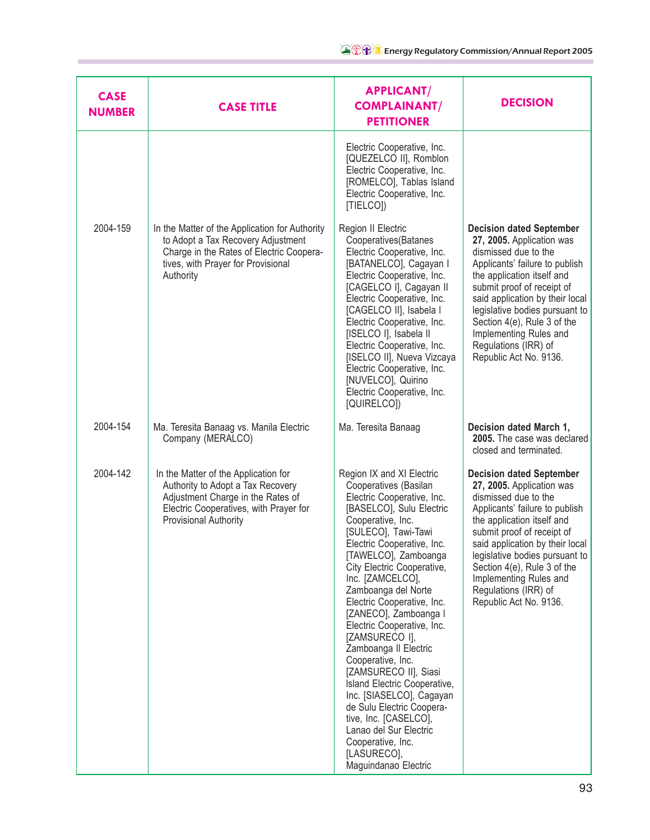| <b>CASE</b><br><b>NUMBER</b> | <b>CASE TITLE</b>                                                                                                                                                                   | <b>APPLICANT/</b><br><b>COMPLAINANT/</b><br><b>PETITIONER</b>                                                                                                                                                                                                                                                                                                                                                                                                                                                                                                                                                                                                                 | <b>DECISION</b>                                                                                                                                                                                                                                                                                                                                                    |
|------------------------------|-------------------------------------------------------------------------------------------------------------------------------------------------------------------------------------|-------------------------------------------------------------------------------------------------------------------------------------------------------------------------------------------------------------------------------------------------------------------------------------------------------------------------------------------------------------------------------------------------------------------------------------------------------------------------------------------------------------------------------------------------------------------------------------------------------------------------------------------------------------------------------|--------------------------------------------------------------------------------------------------------------------------------------------------------------------------------------------------------------------------------------------------------------------------------------------------------------------------------------------------------------------|
|                              |                                                                                                                                                                                     | Electric Cooperative, Inc.<br>[QUEZELCO II], Romblon<br>Electric Cooperative, Inc.<br>[ROMELCO], Tablas Island<br>Electric Cooperative, Inc.<br>[TIELCO])                                                                                                                                                                                                                                                                                                                                                                                                                                                                                                                     |                                                                                                                                                                                                                                                                                                                                                                    |
| 2004-159                     | In the Matter of the Application for Authority<br>to Adopt a Tax Recovery Adjustment<br>Charge in the Rates of Electric Coopera-<br>tives, with Prayer for Provisional<br>Authority | Region II Electric<br>Cooperatives(Batanes<br>Electric Cooperative, Inc.<br>[BATANELCO], Cagayan I<br>Electric Cooperative, Inc.<br>[CAGELCO I], Cagayan II<br>Electric Cooperative, Inc.<br>[CAGELCO II], Isabela I<br>Electric Cooperative, Inc.<br>[ISELCO I], Isabela II<br>Electric Cooperative, Inc.<br>[ISELCO II], Nueva Vizcaya<br>Electric Cooperative, Inc.<br>[NUVELCO], Quirino<br>Electric Cooperative, Inc.<br>[QUIRELCO])                                                                                                                                                                                                                                     | <b>Decision dated September</b><br>27, 2005. Application was<br>dismissed due to the<br>Applicants' failure to publish<br>the application itself and<br>submit proof of receipt of<br>said application by their local<br>legislative bodies pursuant to<br>Section 4(e), Rule 3 of the<br>Implementing Rules and<br>Regulations (IRR) of<br>Republic Act No. 9136. |
| 2004-154                     | Ma. Teresita Banaag vs. Manila Electric<br>Company (MERALCO)                                                                                                                        | Ma. Teresita Banaag                                                                                                                                                                                                                                                                                                                                                                                                                                                                                                                                                                                                                                                           | Decision dated March 1,<br>2005. The case was declared<br>closed and terminated.                                                                                                                                                                                                                                                                                   |
| 2004-142                     | In the Matter of the Application for<br>Authority to Adopt a Tax Recovery<br>Adjustment Charge in the Rates of<br>Electric Cooperatives, with Prayer for<br>Provisional Authority   | Region IX and XI Electric<br>Cooperatives (Basilan<br>Electric Cooperative, Inc.<br>[BASELCO], Sulu Electric<br>Cooperative, Inc.<br>[SULECO], Tawi-Tawi<br>Electric Cooperative, Inc.<br>[TAWELCO], Zamboanga<br>City Electric Cooperative,<br>Inc. [ZAMCELCO],<br>Zamboanga del Norte<br>Electric Cooperative, Inc.<br>[ZANECO], Zamboanga I<br>Electric Cooperative, Inc.<br>[ZAMSURECO I],<br>Zamboanga II Electric<br>Cooperative, Inc.<br>[ZAMSURECO II], Siasi<br>Island Electric Cooperative,<br>Inc. [SIASELCO], Cagayan<br>de Sulu Electric Coopera-<br>tive, Inc. [CASELCO],<br>Lanao del Sur Electric<br>Cooperative, Inc.<br>[LASURECO],<br>Maguindanao Electric | <b>Decision dated September</b><br>27, 2005. Application was<br>dismissed due to the<br>Applicants' failure to publish<br>the application itself and<br>submit proof of receipt of<br>said application by their local<br>legislative bodies pursuant to<br>Section 4(e), Rule 3 of the<br>Implementing Rules and<br>Regulations (IRR) of<br>Republic Act No. 9136. |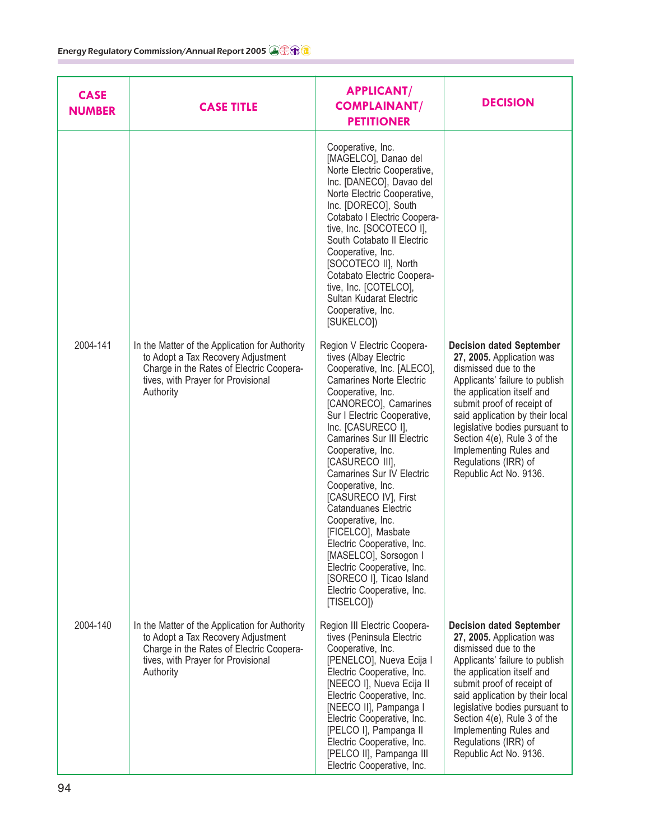| <b>CASE</b><br><b>NUMBER</b> | <b>CASE TITLE</b>                                                                                                                                                                   | <b>APPLICANT/</b><br><b>COMPLAINANT/</b><br><b>PETITIONER</b>                                                                                                                                                                                                                                                                                                                                                                                                                                                                                                                                                         | <b>DECISION</b>                                                                                                                                                                                                                                                                                                                                                    |
|------------------------------|-------------------------------------------------------------------------------------------------------------------------------------------------------------------------------------|-----------------------------------------------------------------------------------------------------------------------------------------------------------------------------------------------------------------------------------------------------------------------------------------------------------------------------------------------------------------------------------------------------------------------------------------------------------------------------------------------------------------------------------------------------------------------------------------------------------------------|--------------------------------------------------------------------------------------------------------------------------------------------------------------------------------------------------------------------------------------------------------------------------------------------------------------------------------------------------------------------|
|                              |                                                                                                                                                                                     | Cooperative, Inc.<br>[MAGELCO], Danao del<br>Norte Electric Cooperative,<br>Inc. [DANECO], Davao del<br>Norte Electric Cooperative,<br>Inc. [DORECO], South<br>Cotabato I Electric Coopera-<br>tive, Inc. [SOCOTECO I],<br>South Cotabato II Electric<br>Cooperative, Inc.<br>[SOCOTECO II], North<br>Cotabato Electric Coopera-<br>tive, Inc. [COTELCO],<br>Sultan Kudarat Electric<br>Cooperative, Inc.<br>[SUKELCO])                                                                                                                                                                                               |                                                                                                                                                                                                                                                                                                                                                                    |
| 2004-141                     | In the Matter of the Application for Authority<br>to Adopt a Tax Recovery Adjustment<br>Charge in the Rates of Electric Coopera-<br>tives, with Prayer for Provisional<br>Authority | Region V Electric Coopera-<br>tives (Albay Electric<br>Cooperative, Inc. [ALECO],<br><b>Camarines Norte Electric</b><br>Cooperative, Inc.<br>[CANORECO], Camarines<br>Sur I Electric Cooperative,<br>Inc. [CASURECO I],<br>Camarines Sur III Electric<br>Cooperative, Inc.<br>[CASURECO III],<br><b>Camarines Sur IV Electric</b><br>Cooperative, Inc.<br>[CASURECO IV], First<br><b>Catanduanes Electric</b><br>Cooperative, Inc.<br>[FICELCO], Masbate<br>Electric Cooperative, Inc.<br>[MASELCO], Sorsogon I<br>Electric Cooperative, Inc.<br>[SORECO I], Ticao Island<br>Electric Cooperative, Inc.<br>[TISELCO]) | <b>Decision dated September</b><br>27, 2005. Application was<br>dismissed due to the<br>Applicants' failure to publish<br>the application itself and<br>submit proof of receipt of<br>said application by their local<br>legislative bodies pursuant to<br>Section 4(e), Rule 3 of the<br>Implementing Rules and<br>Regulations (IRR) of<br>Republic Act No. 9136. |
| 2004-140                     | In the Matter of the Application for Authority<br>to Adopt a Tax Recovery Adjustment<br>Charge in the Rates of Electric Coopera-<br>tives, with Prayer for Provisional<br>Authority | Region III Electric Coopera-<br>tives (Peninsula Electric<br>Cooperative, Inc.<br>[PENELCO], Nueva Ecija I<br>Electric Cooperative, Inc.<br>[NEECO I], Nueva Ecija II<br>Electric Cooperative, Inc.<br>[NEECO II], Pampanga I<br>Electric Cooperative, Inc.<br>[PELCO I], Pampanga II<br>Electric Cooperative, Inc.<br>[PELCO II], Pampanga III<br>Electric Cooperative, Inc.                                                                                                                                                                                                                                         | <b>Decision dated September</b><br>27, 2005. Application was<br>dismissed due to the<br>Applicants' failure to publish<br>the application itself and<br>submit proof of receipt of<br>said application by their local<br>legislative bodies pursuant to<br>Section 4(e), Rule 3 of the<br>Implementing Rules and<br>Regulations (IRR) of<br>Republic Act No. 9136. |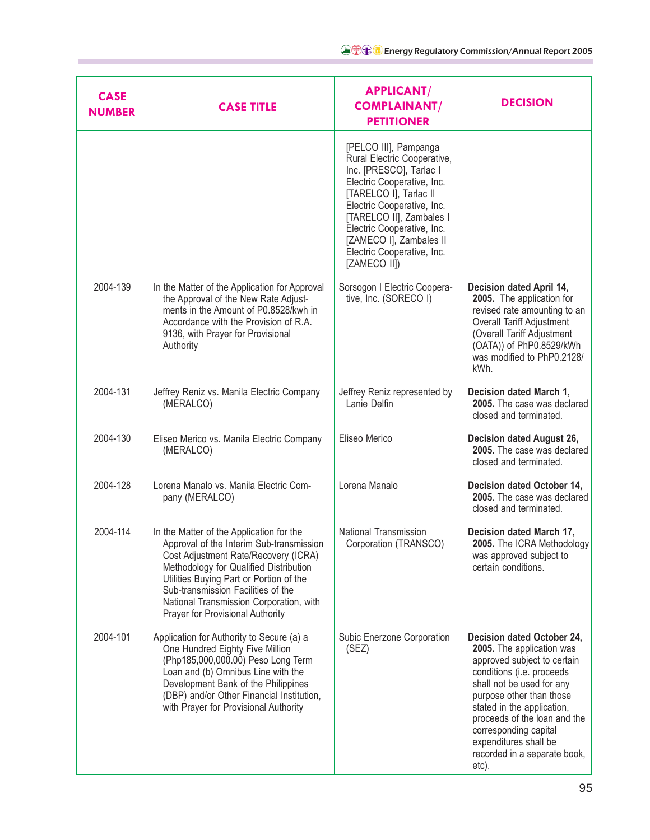| <b>CASE</b><br><b>NUMBER</b> | <b>CASE TITLE</b>                                                                                                                                                                                                                                                                                                                      | <b>APPLICANT/</b><br><b>COMPLAINANT/</b><br><b>PETITIONER</b>                                                                                                                                                                                                                                            | <b>DECISION</b>                                                                                                                                                                                                                                                                                                                       |
|------------------------------|----------------------------------------------------------------------------------------------------------------------------------------------------------------------------------------------------------------------------------------------------------------------------------------------------------------------------------------|----------------------------------------------------------------------------------------------------------------------------------------------------------------------------------------------------------------------------------------------------------------------------------------------------------|---------------------------------------------------------------------------------------------------------------------------------------------------------------------------------------------------------------------------------------------------------------------------------------------------------------------------------------|
|                              |                                                                                                                                                                                                                                                                                                                                        | [PELCO III], Pampanga<br>Rural Electric Cooperative,<br>Inc. [PRESCO], Tarlac I<br>Electric Cooperative, Inc.<br>[TARELCO I], Tarlac II<br>Electric Cooperative, Inc.<br>[TARELCO II], Zambales I<br>Electric Cooperative, Inc.<br>[ZAMECO I], Zambales II<br>Electric Cooperative, Inc.<br>[ZAMECO II]) |                                                                                                                                                                                                                                                                                                                                       |
| 2004-139                     | In the Matter of the Application for Approval<br>the Approval of the New Rate Adjust-<br>ments in the Amount of P0.8528/kwh in<br>Accordance with the Provision of R.A.<br>9136, with Prayer for Provisional<br>Authority                                                                                                              | Sorsogon I Electric Coopera-<br>tive, Inc. (SORECO I)                                                                                                                                                                                                                                                    | Decision dated April 14,<br>2005. The application for<br>revised rate amounting to an<br>Overall Tariff Adjustment<br>(Overall Tariff Adjustment<br>(OATA)) of PhP0.8529/kWh<br>was modified to PhP0.2128/<br>kWh.                                                                                                                    |
| 2004-131                     | Jeffrey Reniz vs. Manila Electric Company<br>(MERALCO)                                                                                                                                                                                                                                                                                 | Jeffrey Reniz represented by<br>Lanie Delfin                                                                                                                                                                                                                                                             | Decision dated March 1,<br>2005. The case was declared<br>closed and terminated.                                                                                                                                                                                                                                                      |
| 2004-130                     | Eliseo Merico vs. Manila Electric Company<br>(MERALCO)                                                                                                                                                                                                                                                                                 | Eliseo Merico                                                                                                                                                                                                                                                                                            | Decision dated August 26,<br>2005. The case was declared<br>closed and terminated.                                                                                                                                                                                                                                                    |
| 2004-128                     | Lorena Manalo vs. Manila Electric Com-<br>pany (MERALCO)                                                                                                                                                                                                                                                                               | Lorena Manalo                                                                                                                                                                                                                                                                                            | Decision dated October 14,<br>2005. The case was declared<br>closed and terminated.                                                                                                                                                                                                                                                   |
| 2004-114                     | In the Matter of the Application for the<br>Approval of the Interim Sub-transmission<br>Cost Adjustment Rate/Recovery (ICRA)<br>Methodology for Qualified Distribution<br>Utilities Buying Part or Portion of the<br>Sub-transmission Facilities of the<br>National Transmission Corporation, with<br>Prayer for Provisional Authority | National Transmission<br>Corporation (TRANSCO)                                                                                                                                                                                                                                                           | Decision dated March 17,<br>2005. The ICRA Methodology<br>was approved subject to<br>certain conditions.                                                                                                                                                                                                                              |
| 2004-101                     | Application for Authority to Secure (a) a<br>One Hundred Eighty Five Million<br>(Php185,000,000.00) Peso Long Term<br>Loan and (b) Omnibus Line with the<br>Development Bank of the Philippines<br>(DBP) and/or Other Financial Institution,<br>with Prayer for Provisional Authority                                                  | Subic Enerzone Corporation<br>(SEZ)                                                                                                                                                                                                                                                                      | Decision dated October 24,<br>2005. The application was<br>approved subject to certain<br>conditions (i.e. proceeds<br>shall not be used for any<br>purpose other than those<br>stated in the application,<br>proceeds of the loan and the<br>corresponding capital<br>expenditures shall be<br>recorded in a separate book,<br>etc). |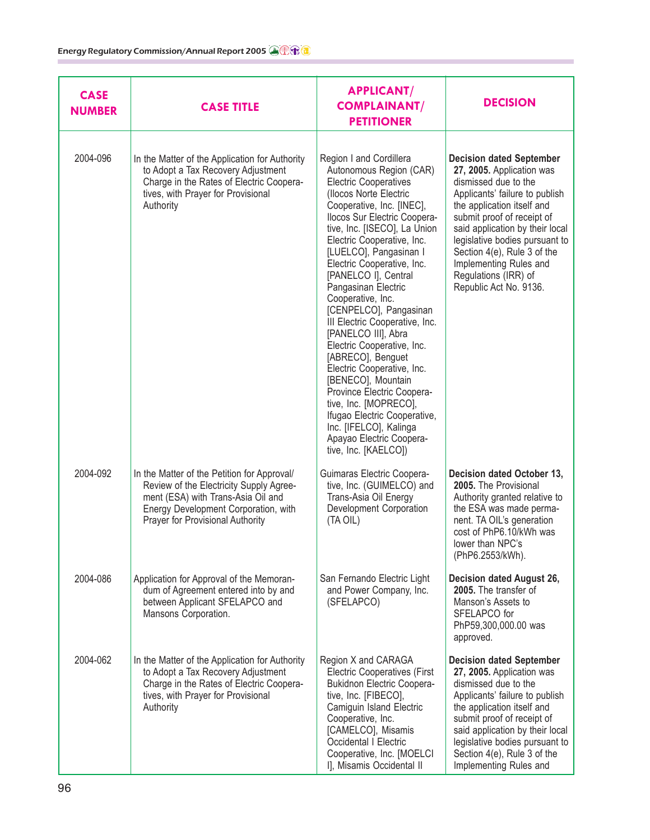| <b>CASE</b><br><b>NUMBER</b> | <b>CASE TITLE</b>                                                                                                                                                                                        | <b>APPLICANT/</b><br><b>COMPLAINANT/</b><br><b>PETITIONER</b>                                                                                                                                                                                                                                                                                                                                                                                                                                                                                                                                                                                                                                                                      | <b>DECISION</b>                                                                                                                                                                                                                                                                                                                                                    |
|------------------------------|----------------------------------------------------------------------------------------------------------------------------------------------------------------------------------------------------------|------------------------------------------------------------------------------------------------------------------------------------------------------------------------------------------------------------------------------------------------------------------------------------------------------------------------------------------------------------------------------------------------------------------------------------------------------------------------------------------------------------------------------------------------------------------------------------------------------------------------------------------------------------------------------------------------------------------------------------|--------------------------------------------------------------------------------------------------------------------------------------------------------------------------------------------------------------------------------------------------------------------------------------------------------------------------------------------------------------------|
| 2004-096                     | In the Matter of the Application for Authority<br>to Adopt a Tax Recovery Adjustment<br>Charge in the Rates of Electric Coopera-<br>tives, with Prayer for Provisional<br>Authority                      | Region I and Cordillera<br>Autonomous Region (CAR)<br><b>Electric Cooperatives</b><br>(Ilocos Norte Electric<br>Cooperative, Inc. [INEC],<br>Ilocos Sur Electric Coopera-<br>tive, Inc. [ISECO], La Union<br>Electric Cooperative, Inc.<br>[LUELCO], Pangasinan I<br>Electric Cooperative, Inc.<br>[PANELCO I], Central<br>Pangasinan Electric<br>Cooperative, Inc.<br>[CENPELCO], Pangasinan<br>III Electric Cooperative, Inc.<br>[PANELCO III], Abra<br>Electric Cooperative, Inc.<br>[ABRECO], Benguet<br>Electric Cooperative, Inc.<br>[BENECO], Mountain<br>Province Electric Coopera-<br>tive, Inc. [MOPRECO],<br>Ifugao Electric Cooperative,<br>Inc. [IFELCO], Kalinga<br>Apayao Electric Coopera-<br>tive, Inc. [KAELCO]) | <b>Decision dated September</b><br>27, 2005. Application was<br>dismissed due to the<br>Applicants' failure to publish<br>the application itself and<br>submit proof of receipt of<br>said application by their local<br>legislative bodies pursuant to<br>Section 4(e), Rule 3 of the<br>Implementing Rules and<br>Regulations (IRR) of<br>Republic Act No. 9136. |
| 2004-092                     | In the Matter of the Petition for Approval/<br>Review of the Electricity Supply Agree-<br>ment (ESA) with Trans-Asia Oil and<br>Energy Development Corporation, with<br>Prayer for Provisional Authority | Guimaras Electric Coopera-<br>tive, Inc. (GUIMELCO) and<br>Trans-Asia Oil Energy<br>Development Corporation<br>(TA OIL)                                                                                                                                                                                                                                                                                                                                                                                                                                                                                                                                                                                                            | Decision dated October 13,<br>2005. The Provisional<br>Authority granted relative to<br>the ESA was made perma-<br>nent. TA OIL's generation<br>cost of PhP6.10/kWh was<br>lower than NPC's<br>(PhP6.2553/kWh).                                                                                                                                                    |
| 2004-086                     | Application for Approval of the Memoran-<br>dum of Agreement entered into by and<br>between Applicant SFELAPCO and<br>Mansons Corporation.                                                               | San Fernando Electric Light<br>and Power Company, Inc.<br>(SFELAPCO)                                                                                                                                                                                                                                                                                                                                                                                                                                                                                                                                                                                                                                                               | Decision dated August 26,<br>2005. The transfer of<br>Manson's Assets to<br>SFELAPCO for<br>PhP59,300,000.00 was<br>approved.                                                                                                                                                                                                                                      |
| 2004-062                     | In the Matter of the Application for Authority<br>to Adopt a Tax Recovery Adjustment<br>Charge in the Rates of Electric Coopera-<br>tives, with Prayer for Provisional<br>Authority                      | Region X and CARAGA<br><b>Electric Cooperatives (First</b><br><b>Bukidnon Electric Coopera-</b><br>tive, Inc. [FIBECO],<br>Camiguin Island Electric<br>Cooperative, Inc.<br>[CAMELCO], Misamis<br>Occidental I Electric<br>Cooperative, Inc. [MOELCI<br>I], Misamis Occidental II                                                                                                                                                                                                                                                                                                                                                                                                                                                  | <b>Decision dated September</b><br>27, 2005. Application was<br>dismissed due to the<br>Applicants' failure to publish<br>the application itself and<br>submit proof of receipt of<br>said application by their local<br>legislative bodies pursuant to<br>Section 4(e), Rule 3 of the<br>Implementing Rules and                                                   |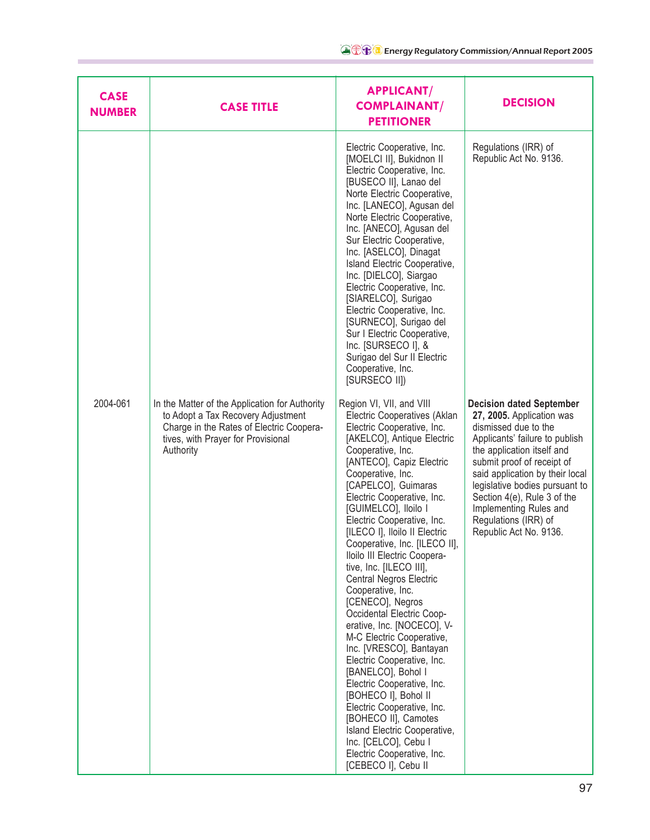| <b>CASE</b><br><b>NUMBER</b> | <b>CASE TITLE</b>                                                                                                                                                                   | <b>APPLICANT/</b><br><b>COMPLAINANT/</b><br><b>PETITIONER</b>                                                                                                                                                                                                                                                                                                                                                                                                                                                                                                                                                                                                                                                                                                                                                                                                                                          | <b>DECISION</b>                                                                                                                                                                                                                                                                                                                                                    |
|------------------------------|-------------------------------------------------------------------------------------------------------------------------------------------------------------------------------------|--------------------------------------------------------------------------------------------------------------------------------------------------------------------------------------------------------------------------------------------------------------------------------------------------------------------------------------------------------------------------------------------------------------------------------------------------------------------------------------------------------------------------------------------------------------------------------------------------------------------------------------------------------------------------------------------------------------------------------------------------------------------------------------------------------------------------------------------------------------------------------------------------------|--------------------------------------------------------------------------------------------------------------------------------------------------------------------------------------------------------------------------------------------------------------------------------------------------------------------------------------------------------------------|
|                              |                                                                                                                                                                                     | Electric Cooperative, Inc.<br>[MOELCI II], Bukidnon II<br>Electric Cooperative, Inc.<br>[BUSECO II], Lanao del<br>Norte Electric Cooperative,<br>Inc. [LANECO], Agusan del<br>Norte Electric Cooperative,<br>Inc. [ANECO], Agusan del<br>Sur Electric Cooperative,<br>Inc. [ASELCO], Dinagat<br>Island Electric Cooperative,<br>Inc. [DIELCO], Siargao<br>Electric Cooperative, Inc.<br>[SIARELCO], Surigao<br>Electric Cooperative, Inc.<br>[SURNECO], Surigao del<br>Sur I Electric Cooperative,<br>Inc. [SURSECO I], &<br>Surigao del Sur II Electric<br>Cooperative, Inc.<br>[SURSECO II])                                                                                                                                                                                                                                                                                                         | Regulations (IRR) of<br>Republic Act No. 9136.                                                                                                                                                                                                                                                                                                                     |
| 2004-061                     | In the Matter of the Application for Authority<br>to Adopt a Tax Recovery Adjustment<br>Charge in the Rates of Electric Coopera-<br>tives, with Prayer for Provisional<br>Authority | Region VI, VII, and VIII<br>Electric Cooperatives (Aklan<br>Electric Cooperative, Inc.<br>[AKELCO], Antique Electric<br>Cooperative, Inc.<br>[ANTECO], Capiz Electric<br>Cooperative, Inc.<br>[CAPELCO], Guimaras<br>Electric Cooperative, Inc.<br>[GUIMELCO], Iloilo I<br>Electric Cooperative, Inc.<br>[ILECO I], Iloilo II Electric<br>Cooperative, Inc. [ILECO II],<br>Iloilo III Electric Coopera-<br>tive, Inc. [ILECO III],<br>Central Negros Electric<br>Cooperative, Inc.<br>[CENECO], Negros<br>Occidental Electric Coop-<br>erative, Inc. [NOCECO], V-<br>M-C Electric Cooperative,<br>Inc. [VRESCO], Bantayan<br>Electric Cooperative, Inc.<br>[BANELCO], Bohol I<br>Electric Cooperative, Inc.<br>[BOHECO I], Bohol II<br>Electric Cooperative, Inc.<br>[BOHECO II], Camotes<br>Island Electric Cooperative,<br>Inc. [CELCO], Cebu I<br>Electric Cooperative, Inc.<br>[CEBECO I], Cebu II | <b>Decision dated September</b><br>27, 2005. Application was<br>dismissed due to the<br>Applicants' failure to publish<br>the application itself and<br>submit proof of receipt of<br>said application by their local<br>legislative bodies pursuant to<br>Section 4(e), Rule 3 of the<br>Implementing Rules and<br>Regulations (IRR) of<br>Republic Act No. 9136. |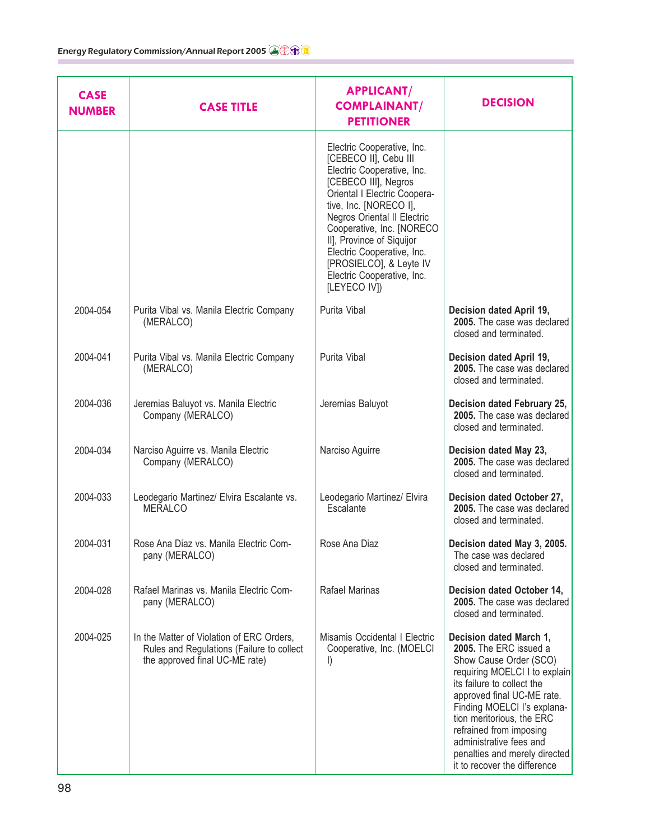| <b>CASE</b><br><b>NUMBER</b> | <b>CASE TITLE</b>                                                                                                        | <b>APPLICANT/</b><br><b>COMPLAINANT/</b><br><b>PETITIONER</b>                                                                                                                                                                                                                                                                                                       | <b>DECISION</b>                                                                                                                                                                                                                                                                                                                                             |
|------------------------------|--------------------------------------------------------------------------------------------------------------------------|---------------------------------------------------------------------------------------------------------------------------------------------------------------------------------------------------------------------------------------------------------------------------------------------------------------------------------------------------------------------|-------------------------------------------------------------------------------------------------------------------------------------------------------------------------------------------------------------------------------------------------------------------------------------------------------------------------------------------------------------|
|                              |                                                                                                                          | Electric Cooperative, Inc.<br>[CEBECO II], Cebu III<br>Electric Cooperative, Inc.<br>[CEBECO III], Negros<br>Oriental I Electric Coopera-<br>tive, Inc. [NORECO I],<br>Negros Oriental II Electric<br>Cooperative, Inc. [NORECO<br>II], Province of Siquijor<br>Electric Cooperative, Inc.<br>[PROSIELCO], & Leyte IV<br>Electric Cooperative, Inc.<br>[LEYECO IV]) |                                                                                                                                                                                                                                                                                                                                                             |
| 2004-054                     | Purita Vibal vs. Manila Electric Company<br>(MERALCO)                                                                    | Purita Vibal                                                                                                                                                                                                                                                                                                                                                        | Decision dated April 19,<br>2005. The case was declared<br>closed and terminated.                                                                                                                                                                                                                                                                           |
| 2004-041                     | Purita Vibal vs. Manila Electric Company<br>(MERALCO)                                                                    | Purita Vibal                                                                                                                                                                                                                                                                                                                                                        | Decision dated April 19,<br>2005. The case was declared<br>closed and terminated.                                                                                                                                                                                                                                                                           |
| 2004-036                     | Jeremias Baluyot vs. Manila Electric<br>Company (MERALCO)                                                                | Jeremias Baluyot                                                                                                                                                                                                                                                                                                                                                    | Decision dated February 25,<br>2005. The case was declared<br>closed and terminated.                                                                                                                                                                                                                                                                        |
| 2004-034                     | Narciso Aguirre vs. Manila Electric<br>Company (MERALCO)                                                                 | Narciso Aguirre                                                                                                                                                                                                                                                                                                                                                     | Decision dated May 23,<br>2005. The case was declared<br>closed and terminated.                                                                                                                                                                                                                                                                             |
| 2004-033                     | Leodegario Martinez/ Elvira Escalante vs.<br><b>MERALCO</b>                                                              | Leodegario Martinez/ Elvira<br>Escalante                                                                                                                                                                                                                                                                                                                            | Decision dated October 27,<br>2005. The case was declared<br>closed and terminated.                                                                                                                                                                                                                                                                         |
| 2004-031                     | Rose Ana Diaz vs. Manila Electric Com-<br>pany (MERALCO)                                                                 | Rose Ana Diaz                                                                                                                                                                                                                                                                                                                                                       | Decision dated May 3, 2005.<br>The case was declared<br>closed and terminated.                                                                                                                                                                                                                                                                              |
| 2004-028                     | Rafael Marinas vs. Manila Electric Com-<br>pany (MERALCO)                                                                | Rafael Marinas                                                                                                                                                                                                                                                                                                                                                      | Decision dated October 14,<br>2005. The case was declared<br>closed and terminated.                                                                                                                                                                                                                                                                         |
| 2004-025                     | In the Matter of Violation of ERC Orders,<br>Rules and Regulations (Failure to collect<br>the approved final UC-ME rate) | Misamis Occidental I Electric<br>Cooperative, Inc. (MOELCI<br>$\vert$                                                                                                                                                                                                                                                                                               | Decision dated March 1,<br>2005. The ERC issued a<br>Show Cause Order (SCO)<br>requiring MOELCI I to explain<br>its failure to collect the<br>approved final UC-ME rate.<br>Finding MOELCI I's explana-<br>tion meritorious, the ERC<br>refrained from imposing<br>administrative fees and<br>penalties and merely directed<br>it to recover the difference |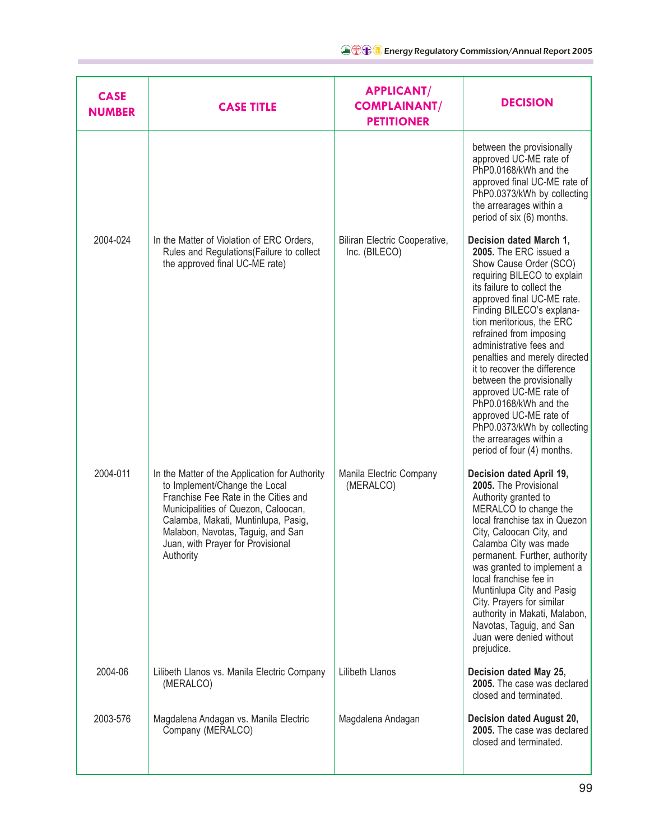| <b>CASE</b><br><b>NUMBER</b> | <b>CASE TITLE</b>                                                                                                                                                                                                                                                                            | <b>APPLICANT/</b><br><b>COMPLAINANT/</b><br><b>PETITIONER</b> | <b>DECISION</b>                                                                                                                                                                                                                                                                                                                                                                                                                                                                                                                                           |
|------------------------------|----------------------------------------------------------------------------------------------------------------------------------------------------------------------------------------------------------------------------------------------------------------------------------------------|---------------------------------------------------------------|-----------------------------------------------------------------------------------------------------------------------------------------------------------------------------------------------------------------------------------------------------------------------------------------------------------------------------------------------------------------------------------------------------------------------------------------------------------------------------------------------------------------------------------------------------------|
|                              |                                                                                                                                                                                                                                                                                              |                                                               | between the provisionally<br>approved UC-ME rate of<br>PhP0.0168/kWh and the<br>approved final UC-ME rate of<br>PhP0.0373/kWh by collecting<br>the arrearages within a<br>period of six (6) months.                                                                                                                                                                                                                                                                                                                                                       |
| 2004-024                     | In the Matter of Violation of ERC Orders,<br>Rules and Regulations (Failure to collect<br>the approved final UC-ME rate)                                                                                                                                                                     | Biliran Electric Cooperative,<br>Inc. (BILECO)                | Decision dated March 1,<br>2005. The ERC issued a<br>Show Cause Order (SCO)<br>requiring BILECO to explain<br>its failure to collect the<br>approved final UC-ME rate.<br>Finding BILECO's explana-<br>tion meritorious, the ERC<br>refrained from imposing<br>administrative fees and<br>penalties and merely directed<br>it to recover the difference<br>between the provisionally<br>approved UC-ME rate of<br>PhP0.0168/kWh and the<br>approved UC-ME rate of<br>PhP0.0373/kWh by collecting<br>the arrearages within a<br>period of four (4) months. |
| 2004-011                     | In the Matter of the Application for Authority<br>to Implement/Change the Local<br>Franchise Fee Rate in the Cities and<br>Municipalities of Quezon, Caloocan,<br>Calamba, Makati, Muntinlupa, Pasig,<br>Malabon, Navotas, Taguig, and San<br>Juan, with Prayer for Provisional<br>Authority | Manila Electric Company<br>(MERALCO)                          | Decision dated April 19,<br>2005. The Provisional<br>Authority granted to<br>MERALCO to change the<br>local franchise tax in Quezon<br>City, Caloocan City, and<br>Calamba City was made<br>permanent. Further, authority<br>was granted to implement a<br>local franchise fee in<br>Muntinlupa City and Pasig<br>City. Prayers for similar<br>authority in Makati, Malabon,<br>Navotas, Taguig, and San<br>Juan were denied without<br>prejudice.                                                                                                        |
| 2004-06                      | Lilibeth Llanos vs. Manila Electric Company<br>(MERALCO)                                                                                                                                                                                                                                     | Lilibeth Llanos                                               | Decision dated May 25,<br>2005. The case was declared<br>closed and terminated.                                                                                                                                                                                                                                                                                                                                                                                                                                                                           |
| 2003-576                     | Magdalena Andagan vs. Manila Electric<br>Company (MERALCO)                                                                                                                                                                                                                                   | Magdalena Andagan                                             | Decision dated August 20,<br>2005. The case was declared<br>closed and terminated.                                                                                                                                                                                                                                                                                                                                                                                                                                                                        |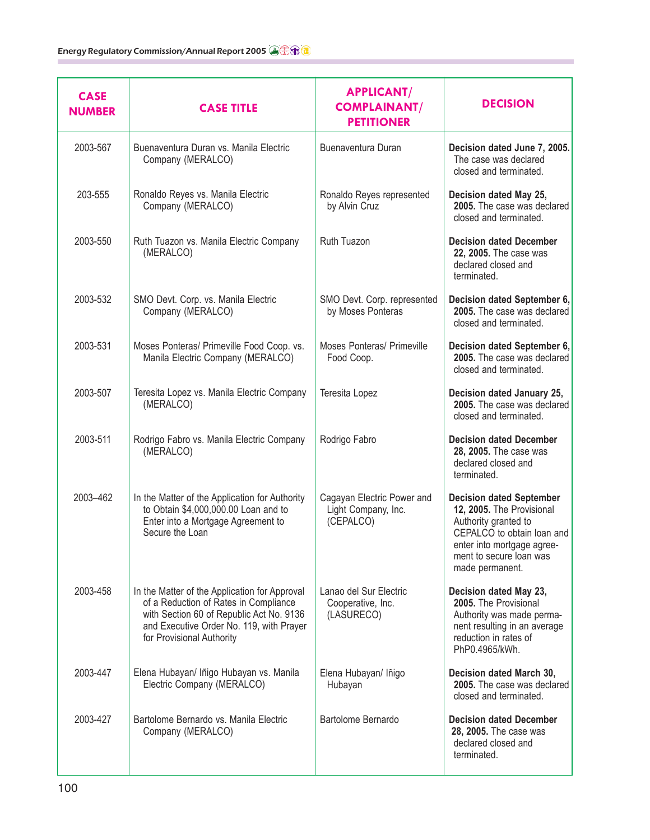| <b>CASE</b><br><b>NUMBER</b> | <b>CASE TITLE</b>                                                                                                                                                                                           | <b>APPLICANT/</b><br><b>COMPLAINANT/</b><br><b>PETITIONER</b>  | <b>DECISION</b>                                                                                                                                                                                |
|------------------------------|-------------------------------------------------------------------------------------------------------------------------------------------------------------------------------------------------------------|----------------------------------------------------------------|------------------------------------------------------------------------------------------------------------------------------------------------------------------------------------------------|
| 2003-567                     | Buenaventura Duran vs. Manila Electric<br>Company (MERALCO)                                                                                                                                                 | Buenaventura Duran                                             | Decision dated June 7, 2005.<br>The case was declared<br>closed and terminated.                                                                                                                |
| 203-555                      | Ronaldo Reyes vs. Manila Electric<br>Company (MERALCO)                                                                                                                                                      | Ronaldo Reyes represented<br>by Alvin Cruz                     | Decision dated May 25,<br>2005. The case was declared<br>closed and terminated.                                                                                                                |
| 2003-550                     | Ruth Tuazon vs. Manila Electric Company<br>(MERALCO)                                                                                                                                                        | Ruth Tuazon                                                    | <b>Decision dated December</b><br>22, 2005. The case was<br>declared closed and<br>terminated.                                                                                                 |
| 2003-532                     | SMO Devt. Corp. vs. Manila Electric<br>Company (MERALCO)                                                                                                                                                    | SMO Devt. Corp. represented<br>by Moses Ponteras               | Decision dated September 6,<br>2005. The case was declared<br>closed and terminated.                                                                                                           |
| 2003-531                     | Moses Ponteras/ Primeville Food Coop. vs.<br>Manila Electric Company (MERALCO)                                                                                                                              | Moses Ponteras/ Primeville<br>Food Coop.                       | Decision dated September 6,<br>2005. The case was declared<br>closed and terminated.                                                                                                           |
| 2003-507                     | Teresita Lopez vs. Manila Electric Company<br>(MERALCO)                                                                                                                                                     | Teresita Lopez                                                 | Decision dated January 25,<br>2005. The case was declared<br>closed and terminated.                                                                                                            |
| 2003-511                     | Rodrigo Fabro vs. Manila Electric Company<br>(MERALCO)                                                                                                                                                      | Rodrigo Fabro                                                  | <b>Decision dated December</b><br>28, 2005. The case was<br>declared closed and<br>terminated.                                                                                                 |
| 2003-462                     | In the Matter of the Application for Authority<br>to Obtain \$4,000,000.00 Loan and to<br>Enter into a Mortgage Agreement to<br>Secure the Loan                                                             | Cagayan Electric Power and<br>Light Company, Inc.<br>(CEPALCO) | <b>Decision dated September</b><br>12, 2005. The Provisional<br>Authority granted to<br>CEPALCO to obtain loan and<br>enter into mortgage agree-<br>ment to secure loan was<br>made permanent. |
| 2003-458                     | In the Matter of the Application for Approval<br>of a Reduction of Rates in Compliance<br>with Section 60 of Republic Act No. 9136<br>and Executive Order No. 119, with Prayer<br>for Provisional Authority | Lanao del Sur Electric<br>Cooperative, Inc.<br>(LASURECO)      | Decision dated May 23,<br>2005. The Provisional<br>Authority was made perma-<br>nent resulting in an average<br>reduction in rates of<br>PhP0.4965/kWh.                                        |
| 2003-447                     | Elena Hubayan/ Iñigo Hubayan vs. Manila<br>Electric Company (MERALCO)                                                                                                                                       | Elena Hubayan/ Iñigo<br>Hubayan                                | Decision dated March 30,<br>2005. The case was declared<br>closed and terminated.                                                                                                              |
| 2003-427                     | Bartolome Bernardo vs. Manila Electric<br>Company (MERALCO)                                                                                                                                                 | Bartolome Bernardo                                             | <b>Decision dated December</b><br>28, 2005. The case was<br>declared closed and<br>terminated.                                                                                                 |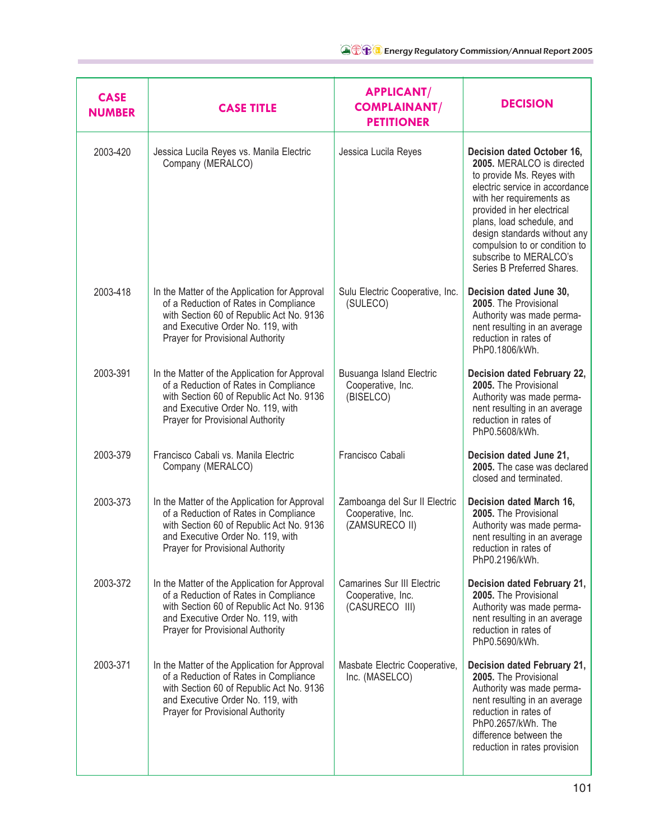| <b>CASE</b><br><b>NUMBER</b> | <b>CASE TITLE</b>                                                                                                                                                                                                  | <b>APPLICANT/</b><br><b>COMPLAINANT/</b><br><b>PETITIONER</b>        | <b>DECISION</b>                                                                                                                                                                                                                                                                                                                        |
|------------------------------|--------------------------------------------------------------------------------------------------------------------------------------------------------------------------------------------------------------------|----------------------------------------------------------------------|----------------------------------------------------------------------------------------------------------------------------------------------------------------------------------------------------------------------------------------------------------------------------------------------------------------------------------------|
| 2003-420                     | Jessica Lucila Reyes vs. Manila Electric<br>Company (MERALCO)                                                                                                                                                      | Jessica Lucila Reyes                                                 | Decision dated October 16,<br>2005. MERALCO is directed<br>to provide Ms. Reyes with<br>electric service in accordance<br>with her requirements as<br>provided in her electrical<br>plans, load schedule, and<br>design standards without any<br>compulsion to or condition to<br>subscribe to MERALCO's<br>Series B Preferred Shares. |
| 2003-418                     | In the Matter of the Application for Approval<br>of a Reduction of Rates in Compliance<br>with Section 60 of Republic Act No. 9136<br>and Executive Order No. 119, with<br>Prayer for Provisional Authority        | Sulu Electric Cooperative, Inc.<br>(SULECO)                          | Decision dated June 30,<br>2005. The Provisional<br>Authority was made perma-<br>nent resulting in an average<br>reduction in rates of<br>PhP0.1806/kWh.                                                                                                                                                                               |
| 2003-391                     | In the Matter of the Application for Approval<br>of a Reduction of Rates in Compliance<br>with Section 60 of Republic Act No. 9136<br>and Executive Order No. 119, with<br>Prayer for Provisional Authority        | Busuanga Island Electric<br>Cooperative, Inc.<br>(BISELCO)           | Decision dated February 22,<br>2005. The Provisional<br>Authority was made perma-<br>nent resulting in an average<br>reduction in rates of<br>PhP0.5608/kWh.                                                                                                                                                                           |
| 2003-379                     | Francisco Cabali vs. Manila Electric<br>Company (MERALCO)                                                                                                                                                          | Francisco Cabali                                                     | Decision dated June 21,<br>2005. The case was declared<br>closed and terminated.                                                                                                                                                                                                                                                       |
| 2003-373                     | In the Matter of the Application for Approval<br>of a Reduction of Rates in Compliance<br>with Section 60 of Republic Act No. 9136<br>and Executive Order No. 119, with<br><b>Prayer for Provisional Authority</b> | Zamboanga del Sur II Electric<br>Cooperative, Inc.<br>(ZAMSURECO II) | Decision dated March 16,<br>2005. The Provisional<br>Authority was made perma-<br>nent resulting in an average<br>reduction in rates of<br>PhP0.2196/kWh.                                                                                                                                                                              |
| 2003-372                     | In the Matter of the Application for Approval<br>of a Reduction of Rates in Compliance<br>with Section 60 of Republic Act No. 9136<br>and Executive Order No. 119, with<br>Prayer for Provisional Authority        | Camarines Sur III Electric<br>Cooperative, Inc.<br>(CASURECO III)    | Decision dated February 21,<br>2005. The Provisional<br>Authority was made perma-<br>nent resulting in an average<br>reduction in rates of<br>PhP0.5690/kWh.                                                                                                                                                                           |
| 2003-371                     | In the Matter of the Application for Approval<br>of a Reduction of Rates in Compliance<br>with Section 60 of Republic Act No. 9136<br>and Executive Order No. 119, with<br>Prayer for Provisional Authority        | Masbate Electric Cooperative,<br>Inc. (MASELCO)                      | Decision dated February 21,<br>2005. The Provisional<br>Authority was made perma-<br>nent resulting in an average<br>reduction in rates of<br>PhP0.2657/kWh. The<br>difference between the<br>reduction in rates provision                                                                                                             |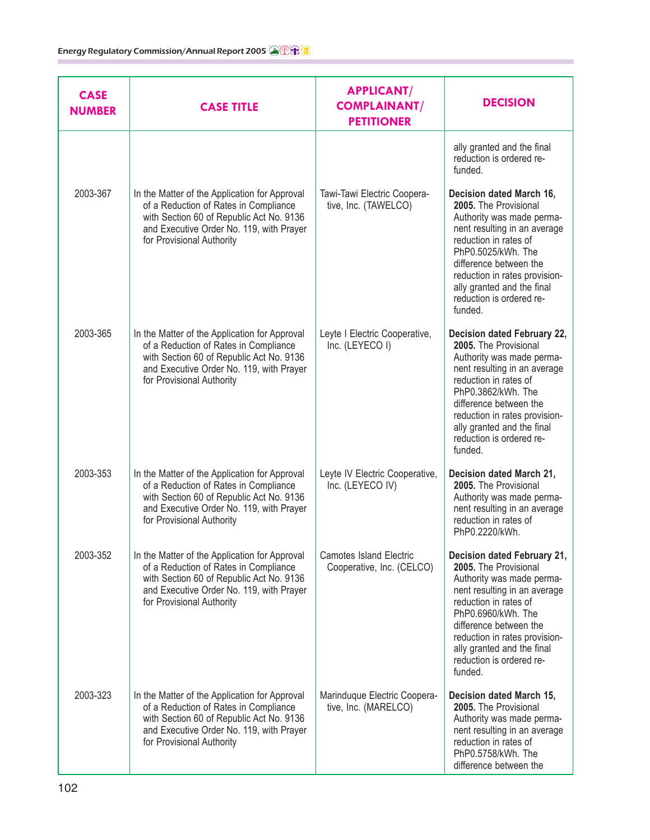| <b>CASE</b><br><b>NUMBER</b> | <b>CASE TITLE</b>                                                                                                                                                                                           | <b>APPLICANT/</b><br><b>COMPLAINANT/</b><br><b>PETITIONER</b> | <b>DECISION</b>                                                                                                                                                                                                                                                                                  |
|------------------------------|-------------------------------------------------------------------------------------------------------------------------------------------------------------------------------------------------------------|---------------------------------------------------------------|--------------------------------------------------------------------------------------------------------------------------------------------------------------------------------------------------------------------------------------------------------------------------------------------------|
|                              |                                                                                                                                                                                                             |                                                               | ally granted and the final<br>reduction is ordered re-<br>funded.                                                                                                                                                                                                                                |
| 2003-367                     | In the Matter of the Application for Approval<br>of a Reduction of Rates in Compliance<br>with Section 60 of Republic Act No. 9136<br>and Executive Order No. 119, with Prayer<br>for Provisional Authority | Tawi-Tawi Electric Coopera-<br>tive, Inc. (TAWELCO)           | Decision dated March 16,<br>2005. The Provisional<br>Authority was made perma-<br>nent resulting in an average<br>reduction in rates of<br>PhP0.5025/kWh. The<br>difference between the<br>reduction in rates provision-<br>ally granted and the final<br>reduction is ordered re-<br>funded.    |
| 2003-365                     | In the Matter of the Application for Approval<br>of a Reduction of Rates in Compliance<br>with Section 60 of Republic Act No. 9136<br>and Executive Order No. 119, with Prayer<br>for Provisional Authority | Leyte I Electric Cooperative,<br>Inc. (LEYECO I)              | Decision dated February 22,<br>2005. The Provisional<br>Authority was made perma-<br>nent resulting in an average<br>reduction in rates of<br>PhP0.3862/kWh. The<br>difference between the<br>reduction in rates provision-<br>ally granted and the final<br>reduction is ordered re-<br>funded. |
| 2003-353                     | In the Matter of the Application for Approval<br>of a Reduction of Rates in Compliance<br>with Section 60 of Republic Act No. 9136<br>and Executive Order No. 119, with Prayer<br>for Provisional Authority | Leyte IV Electric Cooperative,<br>Inc. (LEYECO IV)            | Decision dated March 21,<br>2005. The Provisional<br>Authority was made perma-<br>nent resulting in an average<br>reduction in rates of<br>PhP0.2220/kWh.                                                                                                                                        |
| 2003-352                     | In the Matter of the Application for Approval<br>of a Reduction of Rates in Compliance<br>with Section 60 of Republic Act No. 9136<br>and Executive Order No. 119, with Prayer<br>for Provisional Authority | <b>Camotes Island Electric</b><br>Cooperative, Inc. (CELCO)   | Decision dated February 21,<br>2005. The Provisional<br>Authority was made perma-<br>nent resulting in an average<br>reduction in rates of<br>PhP0.6960/kWh. The<br>difference between the<br>reduction in rates provision-<br>ally granted and the final<br>reduction is ordered re-<br>funded. |
| 2003-323                     | In the Matter of the Application for Approval<br>of a Reduction of Rates in Compliance<br>with Section 60 of Republic Act No. 9136<br>and Executive Order No. 119, with Prayer<br>for Provisional Authority | Marinduque Electric Coopera-<br>tive, Inc. (MARELCO)          | Decision dated March 15,<br>2005. The Provisional<br>Authority was made perma-<br>nent resulting in an average<br>reduction in rates of<br>PhP0.5758/kWh. The<br>difference between the                                                                                                          |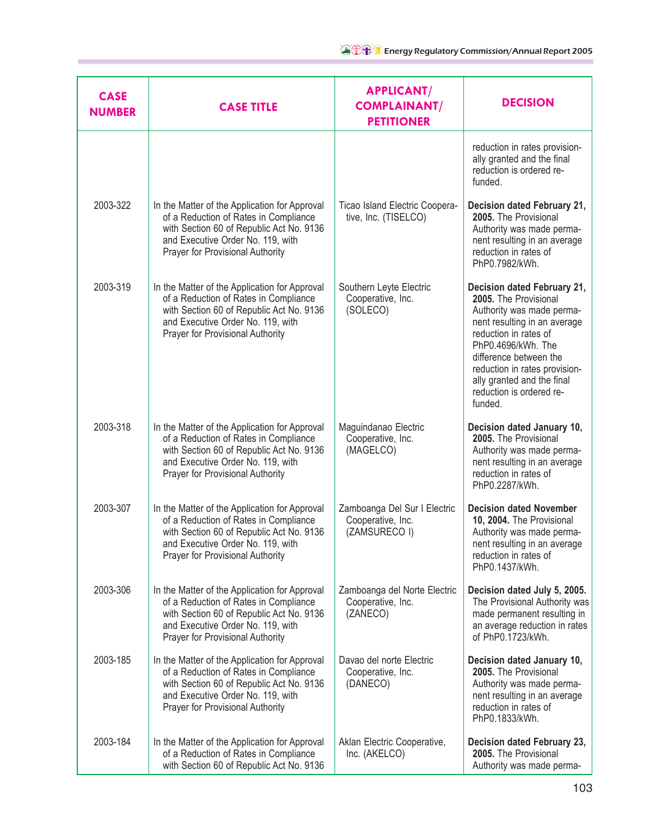| <b>CASE</b><br><b>NUMBER</b> | <b>CASE TITLE</b>                                                                                                                                                                                           | <b>APPLICANT/</b><br><b>COMPLAINANT/</b><br><b>PETITIONER</b>      | <b>DECISION</b>                                                                                                                                                                                                                                                                                  |
|------------------------------|-------------------------------------------------------------------------------------------------------------------------------------------------------------------------------------------------------------|--------------------------------------------------------------------|--------------------------------------------------------------------------------------------------------------------------------------------------------------------------------------------------------------------------------------------------------------------------------------------------|
|                              |                                                                                                                                                                                                             |                                                                    | reduction in rates provision-<br>ally granted and the final<br>reduction is ordered re-<br>funded.                                                                                                                                                                                               |
| 2003-322                     | In the Matter of the Application for Approval<br>of a Reduction of Rates in Compliance<br>with Section 60 of Republic Act No. 9136<br>and Executive Order No. 119, with<br>Prayer for Provisional Authority | Ticao Island Electric Coopera-<br>tive, Inc. (TISELCO)             | Decision dated February 21,<br>2005. The Provisional<br>Authority was made perma-<br>nent resulting in an average<br>reduction in rates of<br>PhP0.7982/kWh.                                                                                                                                     |
| 2003-319                     | In the Matter of the Application for Approval<br>of a Reduction of Rates in Compliance<br>with Section 60 of Republic Act No. 9136<br>and Executive Order No. 119, with<br>Prayer for Provisional Authority | Southern Leyte Electric<br>Cooperative, Inc.<br>(SOLECO)           | Decision dated February 21,<br>2005. The Provisional<br>Authority was made perma-<br>nent resulting in an average<br>reduction in rates of<br>PhP0.4696/kWh. The<br>difference between the<br>reduction in rates provision-<br>ally granted and the final<br>reduction is ordered re-<br>funded. |
| 2003-318                     | In the Matter of the Application for Approval<br>of a Reduction of Rates in Compliance<br>with Section 60 of Republic Act No. 9136<br>and Executive Order No. 119, with<br>Prayer for Provisional Authority | Maguindanao Electric<br>Cooperative, Inc.<br>(MAGELCO)             | Decision dated January 10,<br>2005. The Provisional<br>Authority was made perma-<br>nent resulting in an average<br>reduction in rates of<br>PhP0.2287/kWh.                                                                                                                                      |
| 2003-307                     | In the Matter of the Application for Approval<br>of a Reduction of Rates in Compliance<br>with Section 60 of Republic Act No. 9136<br>and Executive Order No. 119, with<br>Prayer for Provisional Authority | Zamboanga Del Sur I Electric<br>Cooperative, Inc.<br>(ZAMSURECO I) | <b>Decision dated November</b><br>10, 2004. The Provisional<br>Authority was made perma-<br>nent resulting in an average<br>reduction in rates of<br>PhP0.1437/kWh.                                                                                                                              |
| 2003-306                     | In the Matter of the Application for Approval<br>of a Reduction of Rates in Compliance<br>with Section 60 of Republic Act No. 9136<br>and Executive Order No. 119, with<br>Prayer for Provisional Authority | Zamboanga del Norte Electric<br>Cooperative, Inc.<br>(ZANECO)      | Decision dated July 5, 2005.<br>The Provisional Authority was<br>made permanent resulting in<br>an average reduction in rates<br>of PhP0.1723/kWh.                                                                                                                                               |
| 2003-185                     | In the Matter of the Application for Approval<br>of a Reduction of Rates in Compliance<br>with Section 60 of Republic Act No. 9136<br>and Executive Order No. 119, with<br>Prayer for Provisional Authority | Davao del norte Electric<br>Cooperative, Inc.<br>(DANECO)          | Decision dated January 10,<br>2005. The Provisional<br>Authority was made perma-<br>nent resulting in an average<br>reduction in rates of<br>PhP0.1833/kWh.                                                                                                                                      |
| 2003-184                     | In the Matter of the Application for Approval<br>of a Reduction of Rates in Compliance<br>with Section 60 of Republic Act No. 9136                                                                          | Aklan Electric Cooperative,<br>Inc. (AKELCO)                       | Decision dated February 23,<br>2005. The Provisional<br>Authority was made perma-                                                                                                                                                                                                                |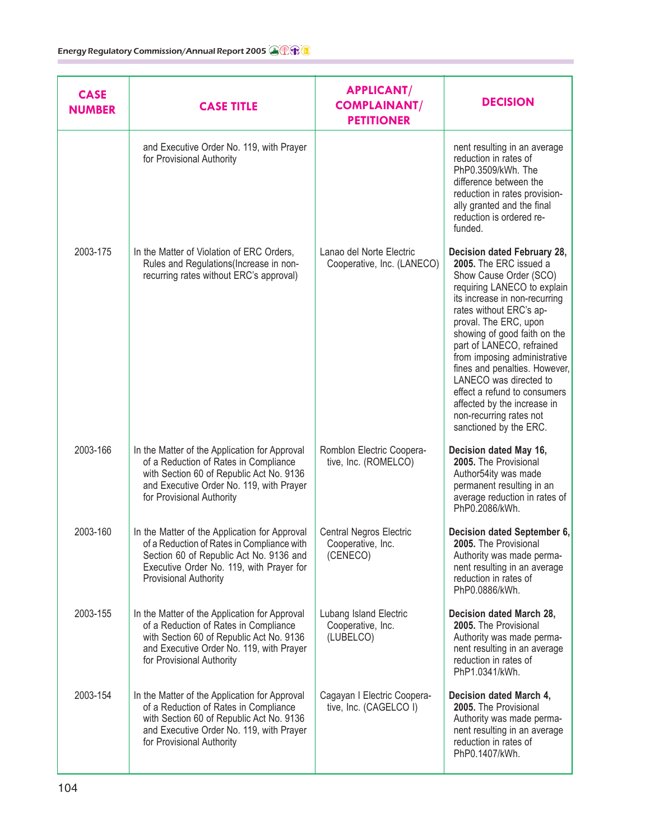| <b>CASE</b><br><b>NUMBER</b> | <b>CASE TITLE</b>                                                                                                                                                                                                  | <b>APPLICANT/</b><br><b>COMPLAINANT/</b><br><b>PETITIONER</b>   | <b>DECISION</b>                                                                                                                                                                                                                                                                                                                                                                                                                                                                 |
|------------------------------|--------------------------------------------------------------------------------------------------------------------------------------------------------------------------------------------------------------------|-----------------------------------------------------------------|---------------------------------------------------------------------------------------------------------------------------------------------------------------------------------------------------------------------------------------------------------------------------------------------------------------------------------------------------------------------------------------------------------------------------------------------------------------------------------|
|                              | and Executive Order No. 119, with Prayer<br>for Provisional Authority                                                                                                                                              |                                                                 | nent resulting in an average<br>reduction in rates of<br>PhP0.3509/kWh. The<br>difference between the<br>reduction in rates provision-<br>ally granted and the final<br>reduction is ordered re-<br>funded.                                                                                                                                                                                                                                                                     |
| 2003-175                     | In the Matter of Violation of ERC Orders,<br>Rules and Regulations (Increase in non-<br>recurring rates without ERC's approval)                                                                                    | Lanao del Norte Electric<br>Cooperative, Inc. (LANECO)          | Decision dated February 28,<br>2005. The ERC issued a<br>Show Cause Order (SCO)<br>requiring LANECO to explain<br>its increase in non-recurring<br>rates without ERC's ap-<br>proval. The ERC, upon<br>showing of good faith on the<br>part of LANECO, refrained<br>from imposing administrative<br>fines and penalties. However,<br>LANECO was directed to<br>effect a refund to consumers<br>affected by the increase in<br>non-recurring rates not<br>sanctioned by the ERC. |
| 2003-166                     | In the Matter of the Application for Approval<br>of a Reduction of Rates in Compliance<br>with Section 60 of Republic Act No. 9136<br>and Executive Order No. 119, with Prayer<br>for Provisional Authority        | Romblon Electric Coopera-<br>tive, Inc. (ROMELCO)               | Decision dated May 16,<br>2005. The Provisional<br>Author54ity was made<br>permanent resulting in an<br>average reduction in rates of<br>PhP0.2086/kWh.                                                                                                                                                                                                                                                                                                                         |
| 2003-160                     | In the Matter of the Application for Approval<br>of a Reduction of Rates in Compliance with<br>Section 60 of Republic Act No. 9136 and<br>Executive Order No. 119, with Prayer for<br><b>Provisional Authority</b> | <b>Central Negros Electric</b><br>Cooperative, Inc.<br>(CENECO) | Decision dated September 6,<br>2005. The Provisional<br>Authority was made perma-<br>nent resulting in an average<br>reduction in rates of<br>PhP0.0886/kWh.                                                                                                                                                                                                                                                                                                                    |
| 2003-155                     | In the Matter of the Application for Approval<br>of a Reduction of Rates in Compliance<br>with Section 60 of Republic Act No. 9136<br>and Executive Order No. 119, with Prayer<br>for Provisional Authority        | Lubang Island Electric<br>Cooperative, Inc.<br>(LUBELCO)        | Decision dated March 28,<br>2005. The Provisional<br>Authority was made perma-<br>nent resulting in an average<br>reduction in rates of<br>PhP1.0341/kWh.                                                                                                                                                                                                                                                                                                                       |
| 2003-154                     | In the Matter of the Application for Approval<br>of a Reduction of Rates in Compliance<br>with Section 60 of Republic Act No. 9136<br>and Executive Order No. 119, with Prayer<br>for Provisional Authority        | Cagayan I Electric Coopera-<br>tive, Inc. (CAGELCO I)           | Decision dated March 4,<br>2005. The Provisional<br>Authority was made perma-<br>nent resulting in an average<br>reduction in rates of<br>PhP0.1407/kWh.                                                                                                                                                                                                                                                                                                                        |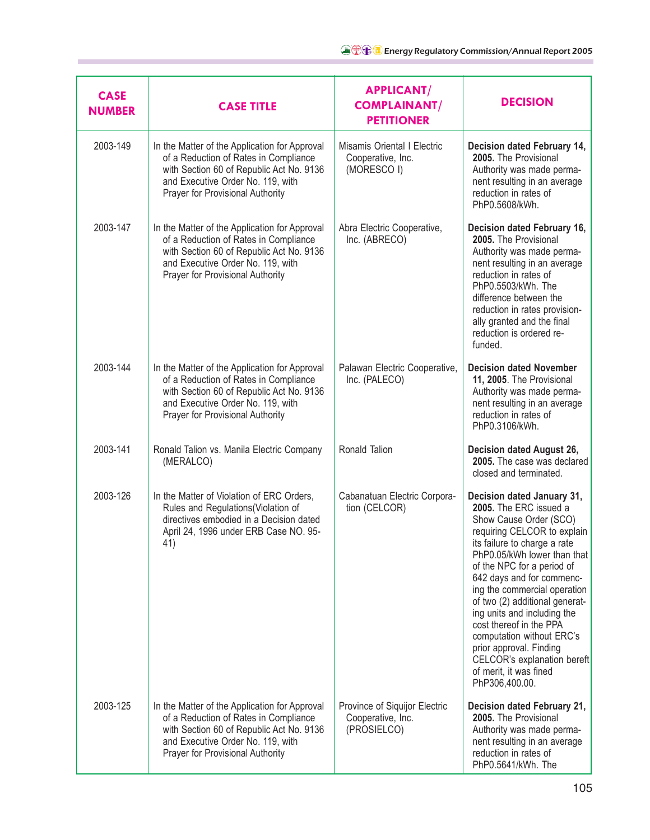| <b>CASE</b><br><b>NUMBER</b> | <b>CASE TITLE</b>                                                                                                                                                                                           | <b>APPLICANT/</b><br><b>COMPLAINANT/</b><br><b>PETITIONER</b>     | <b>DECISION</b>                                                                                                                                                                                                                                                                                                                                                                                                                                                                                        |
|------------------------------|-------------------------------------------------------------------------------------------------------------------------------------------------------------------------------------------------------------|-------------------------------------------------------------------|--------------------------------------------------------------------------------------------------------------------------------------------------------------------------------------------------------------------------------------------------------------------------------------------------------------------------------------------------------------------------------------------------------------------------------------------------------------------------------------------------------|
| 2003-149                     | In the Matter of the Application for Approval<br>of a Reduction of Rates in Compliance<br>with Section 60 of Republic Act No. 9136<br>and Executive Order No. 119, with<br>Prayer for Provisional Authority | Misamis Oriental I Electric<br>Cooperative, Inc.<br>(MORESCO I)   | Decision dated February 14,<br>2005. The Provisional<br>Authority was made perma-<br>nent resulting in an average<br>reduction in rates of<br>PhP0.5608/kWh.                                                                                                                                                                                                                                                                                                                                           |
| 2003-147                     | In the Matter of the Application for Approval<br>of a Reduction of Rates in Compliance<br>with Section 60 of Republic Act No. 9136<br>and Executive Order No. 119, with<br>Prayer for Provisional Authority | Abra Electric Cooperative,<br>Inc. (ABRECO)                       | Decision dated February 16,<br>2005. The Provisional<br>Authority was made perma-<br>nent resulting in an average<br>reduction in rates of<br>PhP0.5503/kWh. The<br>difference between the<br>reduction in rates provision-<br>ally granted and the final<br>reduction is ordered re-<br>funded.                                                                                                                                                                                                       |
| 2003-144                     | In the Matter of the Application for Approval<br>of a Reduction of Rates in Compliance<br>with Section 60 of Republic Act No. 9136<br>and Executive Order No. 119, with<br>Prayer for Provisional Authority | Palawan Electric Cooperative,<br>Inc. (PALECO)                    | <b>Decision dated November</b><br>11, 2005. The Provisional<br>Authority was made perma-<br>nent resulting in an average<br>reduction in rates of<br>PhP0.3106/kWh.                                                                                                                                                                                                                                                                                                                                    |
| 2003-141                     | Ronald Talion vs. Manila Electric Company<br>(MERALCO)                                                                                                                                                      | Ronald Talion                                                     | Decision dated August 26,<br>2005. The case was declared<br>closed and terminated.                                                                                                                                                                                                                                                                                                                                                                                                                     |
| 2003-126                     | In the Matter of Violation of ERC Orders,<br>Rules and Regulations(Violation of<br>directives embodied in a Decision dated<br>April 24, 1996 under ERB Case NO. 95-<br>41)                                  | Cabanatuan Electric Corpora-<br>tion (CELCOR)                     | Decision dated January 31,<br>2005. The ERC issued a<br>Show Cause Order (SCO)<br>requiring CELCOR to explain<br>its failure to charge a rate<br>PhP0.05/kWh lower than that<br>of the NPC for a period of<br>642 days and for commenc-<br>ing the commercial operation<br>of two (2) additional generat-<br>ing units and including the<br>cost thereof in the PPA<br>computation without ERC's<br>prior approval. Finding<br>CELCOR's explanation bereft<br>of merit, it was fined<br>PhP306,400.00. |
| 2003-125                     | In the Matter of the Application for Approval<br>of a Reduction of Rates in Compliance<br>with Section 60 of Republic Act No. 9136<br>and Executive Order No. 119, with<br>Prayer for Provisional Authority | Province of Siquijor Electric<br>Cooperative, Inc.<br>(PROSIELCO) | Decision dated February 21,<br>2005. The Provisional<br>Authority was made perma-<br>nent resulting in an average<br>reduction in rates of<br>PhP0.5641/kWh. The                                                                                                                                                                                                                                                                                                                                       |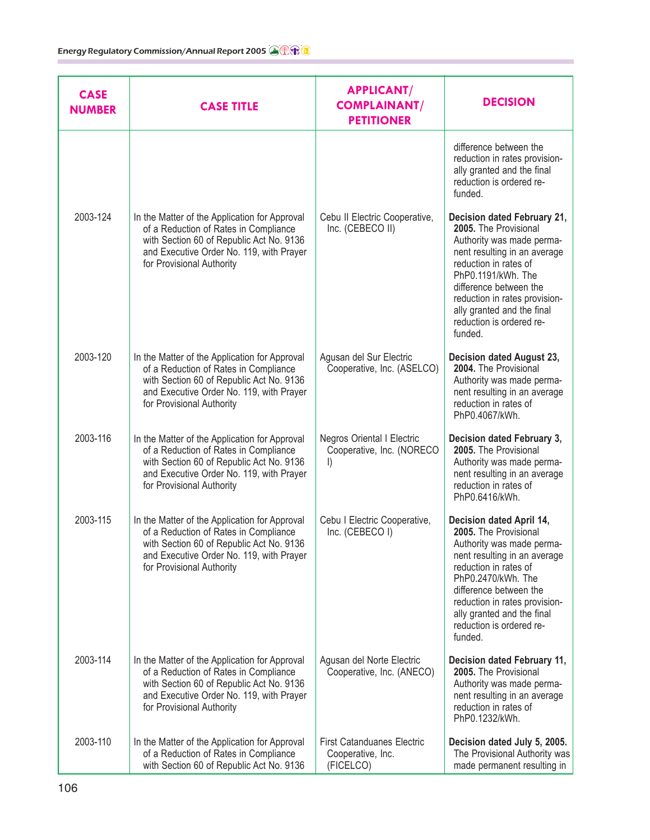| <b>CASE</b><br><b>NUMBER</b> | <b>CASE TITLE</b>                                                                                                                                                                                           | <b>APPLICANT/</b><br><b>COMPLAINANT/</b><br><b>PETITIONER</b>       | <b>DECISION</b>                                                                                                                                                                                                                                                                                  |
|------------------------------|-------------------------------------------------------------------------------------------------------------------------------------------------------------------------------------------------------------|---------------------------------------------------------------------|--------------------------------------------------------------------------------------------------------------------------------------------------------------------------------------------------------------------------------------------------------------------------------------------------|
|                              |                                                                                                                                                                                                             |                                                                     | difference between the<br>reduction in rates provision-<br>ally granted and the final<br>reduction is ordered re-<br>funded.                                                                                                                                                                     |
| 2003-124                     | In the Matter of the Application for Approval<br>of a Reduction of Rates in Compliance<br>with Section 60 of Republic Act No. 9136<br>and Executive Order No. 119, with Prayer<br>for Provisional Authority | Cebu II Electric Cooperative,<br>Inc. (CEBECO II)                   | Decision dated February 21,<br>2005. The Provisional<br>Authority was made perma-<br>nent resulting in an average<br>reduction in rates of<br>PhP0.1191/kWh. The<br>difference between the<br>reduction in rates provision-<br>ally granted and the final<br>reduction is ordered re-<br>funded. |
| 2003-120                     | In the Matter of the Application for Approval<br>of a Reduction of Rates in Compliance<br>with Section 60 of Republic Act No. 9136<br>and Executive Order No. 119, with Prayer<br>for Provisional Authority | Agusan del Sur Electric<br>Cooperative, Inc. (ASELCO)               | Decision dated August 23,<br>2004. The Provisional<br>Authority was made perma-<br>nent resulting in an average<br>reduction in rates of<br>PhP0.4067/kWh.                                                                                                                                       |
| 2003-116                     | In the Matter of the Application for Approval<br>of a Reduction of Rates in Compliance<br>with Section 60 of Republic Act No. 9136<br>and Executive Order No. 119, with Prayer<br>for Provisional Authority | Negros Oriental I Electric<br>Cooperative, Inc. (NORECO<br>$\vert$  | Decision dated February 3,<br>2005. The Provisional<br>Authority was made perma-<br>nent resulting in an average<br>reduction in rates of<br>PhP0.6416/kWh.                                                                                                                                      |
| 2003-115                     | In the Matter of the Application for Approval<br>of a Reduction of Rates in Compliance<br>with Section 60 of Republic Act No. 9136<br>and Executive Order No. 119, with Prayer<br>for Provisional Authority | Cebu I Electric Cooperative,<br>Inc. (CEBECO I)                     | Decision dated April 14,<br>2005. The Provisional<br>Authority was made perma-<br>nent resulting in an average<br>reduction in rates of<br>PhP0.2470/kWh. The<br>difference between the<br>reduction in rates provision-<br>ally granted and the final<br>reduction is ordered re-<br>funded.    |
| 2003-114                     | In the Matter of the Application for Approval<br>of a Reduction of Rates in Compliance<br>with Section 60 of Republic Act No. 9136<br>and Executive Order No. 119, with Prayer<br>for Provisional Authority | Agusan del Norte Electric<br>Cooperative, Inc. (ANECO)              | Decision dated February 11,<br>2005. The Provisional<br>Authority was made perma-<br>nent resulting in an average<br>reduction in rates of<br>PhP0.1232/kWh.                                                                                                                                     |
| 2003-110                     | In the Matter of the Application for Approval<br>of a Reduction of Rates in Compliance<br>with Section 60 of Republic Act No. 9136                                                                          | <b>First Catanduanes Electric</b><br>Cooperative, Inc.<br>(FICELCO) | Decision dated July 5, 2005.<br>The Provisional Authority was<br>made permanent resulting in                                                                                                                                                                                                     |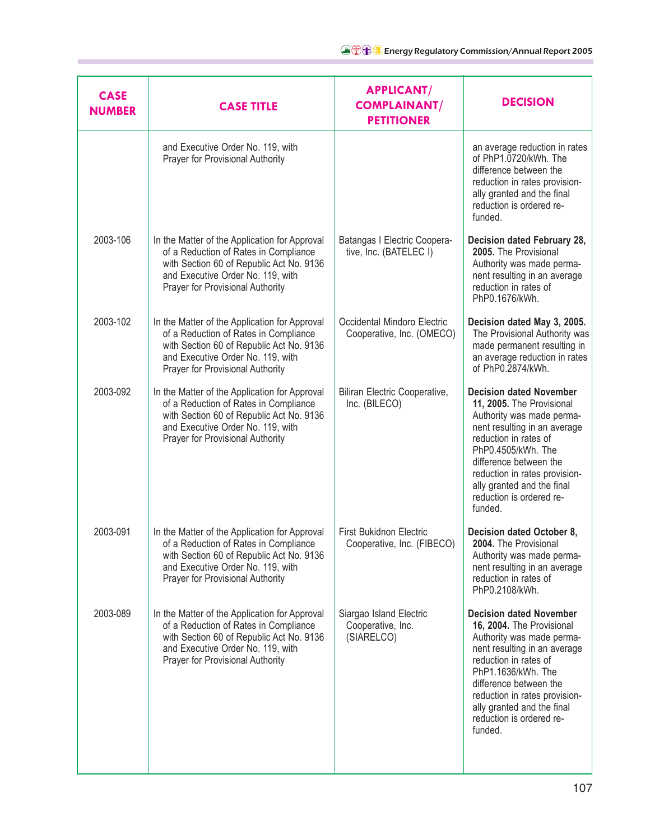| <b>CASE</b><br><b>NUMBER</b> | <b>CASE TITLE</b>                                                                                                                                                                                           | <b>APPLICANT/</b><br><b>COMPLAINANT/</b><br><b>PETITIONER</b> | <b>DECISION</b>                                                                                                                                                                                                                                                                                         |
|------------------------------|-------------------------------------------------------------------------------------------------------------------------------------------------------------------------------------------------------------|---------------------------------------------------------------|---------------------------------------------------------------------------------------------------------------------------------------------------------------------------------------------------------------------------------------------------------------------------------------------------------|
|                              | and Executive Order No. 119, with<br>Prayer for Provisional Authority                                                                                                                                       |                                                               | an average reduction in rates<br>of PhP1.0720/kWh. The<br>difference between the<br>reduction in rates provision-<br>ally granted and the final<br>reduction is ordered re-<br>funded.                                                                                                                  |
| 2003-106                     | In the Matter of the Application for Approval<br>of a Reduction of Rates in Compliance<br>with Section 60 of Republic Act No. 9136<br>and Executive Order No. 119, with<br>Prayer for Provisional Authority | Batangas I Electric Coopera-<br>tive, Inc. (BATELEC I)        | Decision dated February 28,<br>2005. The Provisional<br>Authority was made perma-<br>nent resulting in an average<br>reduction in rates of<br>PhP0.1676/kWh.                                                                                                                                            |
| 2003-102                     | In the Matter of the Application for Approval<br>of a Reduction of Rates in Compliance<br>with Section 60 of Republic Act No. 9136<br>and Executive Order No. 119, with<br>Prayer for Provisional Authority | Occidental Mindoro Electric<br>Cooperative, Inc. (OMECO)      | Decision dated May 3, 2005.<br>The Provisional Authority was<br>made permanent resulting in<br>an average reduction in rates<br>of PhP0.2874/kWh.                                                                                                                                                       |
| 2003-092                     | In the Matter of the Application for Approval<br>of a Reduction of Rates in Compliance<br>with Section 60 of Republic Act No. 9136<br>and Executive Order No. 119, with<br>Prayer for Provisional Authority | Biliran Electric Cooperative,<br>Inc. (BILECO)                | <b>Decision dated November</b><br>11, 2005. The Provisional<br>Authority was made perma-<br>nent resulting in an average<br>reduction in rates of<br>PhP0.4505/kWh. The<br>difference between the<br>reduction in rates provision-<br>ally granted and the final<br>reduction is ordered re-<br>funded. |
| 2003-091                     | In the Matter of the Application for Approval<br>of a Reduction of Rates in Compliance<br>with Section 60 of Republic Act No. 9136<br>and Executive Order No. 119, with<br>Prayer for Provisional Authority | <b>First Bukidnon Electric</b><br>Cooperative, Inc. (FIBECO)  | Decision dated October 8,<br>2004. The Provisional<br>Authority was made perma-<br>nent resulting in an average<br>reduction in rates of<br>PhP0.2108/kWh.                                                                                                                                              |
| 2003-089                     | In the Matter of the Application for Approval<br>of a Reduction of Rates in Compliance<br>with Section 60 of Republic Act No. 9136<br>and Executive Order No. 119, with<br>Prayer for Provisional Authority | Siargao Island Electric<br>Cooperative, Inc.<br>(SIARELCO)    | <b>Decision dated November</b><br>16, 2004. The Provisional<br>Authority was made perma-<br>nent resulting in an average<br>reduction in rates of<br>PhP1.1636/kWh. The<br>difference between the<br>reduction in rates provision-<br>ally granted and the final<br>reduction is ordered re-<br>funded. |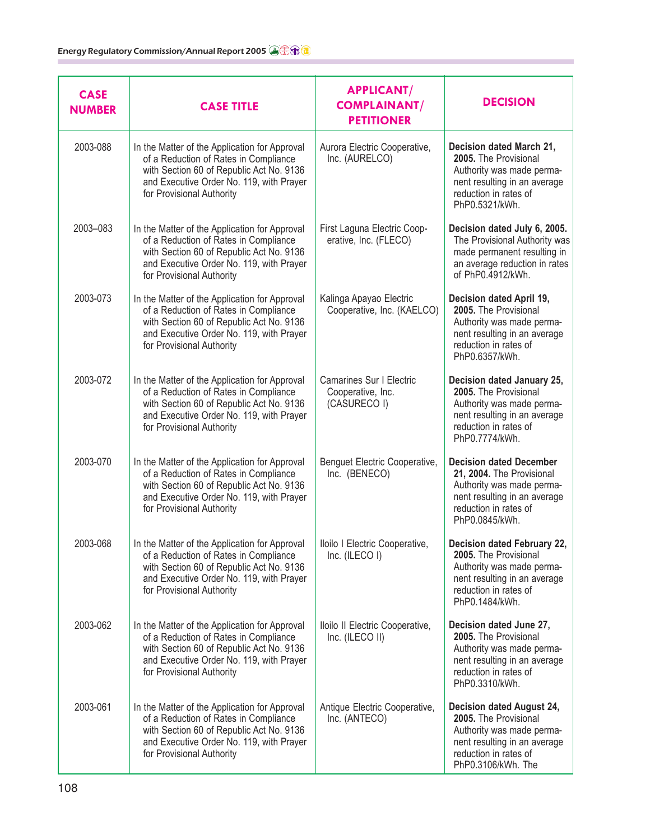| <b>CASE</b><br><b>NUMBER</b> | <b>CASE TITLE</b>                                                                                                                                                                                           | <b>APPLICANT/</b><br><b>COMPLAINANT/</b><br><b>PETITIONER</b> | <b>DECISION</b>                                                                                                                                                     |
|------------------------------|-------------------------------------------------------------------------------------------------------------------------------------------------------------------------------------------------------------|---------------------------------------------------------------|---------------------------------------------------------------------------------------------------------------------------------------------------------------------|
| 2003-088                     | In the Matter of the Application for Approval<br>of a Reduction of Rates in Compliance<br>with Section 60 of Republic Act No. 9136<br>and Executive Order No. 119, with Prayer<br>for Provisional Authority | Aurora Electric Cooperative,<br>Inc. (AURELCO)                | Decision dated March 21,<br>2005. The Provisional<br>Authority was made perma-<br>nent resulting in an average<br>reduction in rates of<br>PhP0.5321/kWh.           |
| 2003-083                     | In the Matter of the Application for Approval<br>of a Reduction of Rates in Compliance<br>with Section 60 of Republic Act No. 9136<br>and Executive Order No. 119, with Prayer<br>for Provisional Authority | First Laguna Electric Coop-<br>erative, Inc. (FLECO)          | Decision dated July 6, 2005.<br>The Provisional Authority was<br>made permanent resulting in<br>an average reduction in rates<br>of PhP0.4912/kWh.                  |
| 2003-073                     | In the Matter of the Application for Approval<br>of a Reduction of Rates in Compliance<br>with Section 60 of Republic Act No. 9136<br>and Executive Order No. 119, with Prayer<br>for Provisional Authority | Kalinga Apayao Electric<br>Cooperative, Inc. (KAELCO)         | Decision dated April 19,<br>2005. The Provisional<br>Authority was made perma-<br>nent resulting in an average<br>reduction in rates of<br>PhP0.6357/kWh.           |
| 2003-072                     | In the Matter of the Application for Approval<br>of a Reduction of Rates in Compliance<br>with Section 60 of Republic Act No. 9136<br>and Executive Order No. 119, with Prayer<br>for Provisional Authority | Camarines Sur I Electric<br>Cooperative, Inc.<br>(CASURECO I) | Decision dated January 25,<br>2005. The Provisional<br>Authority was made perma-<br>nent resulting in an average<br>reduction in rates of<br>PhP0.7774/kWh.         |
| 2003-070                     | In the Matter of the Application for Approval<br>of a Reduction of Rates in Compliance<br>with Section 60 of Republic Act No. 9136<br>and Executive Order No. 119, with Prayer<br>for Provisional Authority | Benguet Electric Cooperative,<br>Inc. (BENECO)                | <b>Decision dated December</b><br>21, 2004. The Provisional<br>Authority was made perma-<br>nent resulting in an average<br>reduction in rates of<br>PhP0.0845/kWh. |
| 2003-068                     | In the Matter of the Application for Approval<br>of a Reduction of Rates in Compliance<br>with Section 60 of Republic Act No. 9136<br>and Executive Order No. 119, with Prayer<br>for Provisional Authority | Iloilo I Electric Cooperative,<br>Inc. (ILECO I)              | Decision dated February 22,<br>2005. The Provisional<br>Authority was made perma-<br>nent resulting in an average<br>reduction in rates of<br>PhP0.1484/kWh.        |
| 2003-062                     | In the Matter of the Application for Approval<br>of a Reduction of Rates in Compliance<br>with Section 60 of Republic Act No. 9136<br>and Executive Order No. 119, with Prayer<br>for Provisional Authority | Iloilo II Electric Cooperative,<br>Inc. (ILECO II)            | Decision dated June 27,<br>2005. The Provisional<br>Authority was made perma-<br>nent resulting in an average<br>reduction in rates of<br>PhP0.3310/kWh.            |
| 2003-061                     | In the Matter of the Application for Approval<br>of a Reduction of Rates in Compliance<br>with Section 60 of Republic Act No. 9136<br>and Executive Order No. 119, with Prayer<br>for Provisional Authority | Antique Electric Cooperative,<br>Inc. (ANTECO)                | Decision dated August 24,<br>2005. The Provisional<br>Authority was made perma-<br>nent resulting in an average<br>reduction in rates of<br>PhP0.3106/kWh. The      |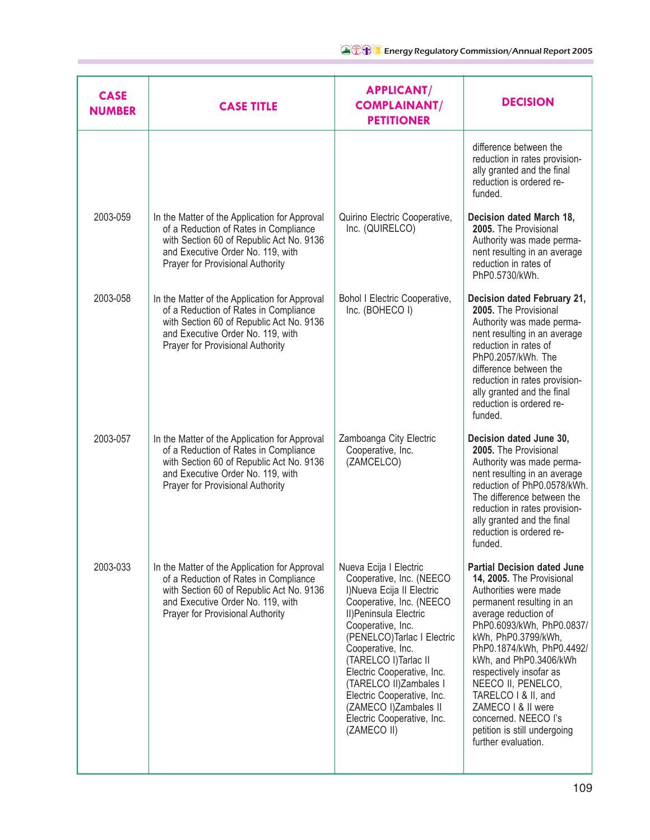| <b>CASE</b><br><b>NUMBER</b> | <b>CASE TITLE</b>                                                                                                                                                                                           | <b>APPLICANT/</b><br><b>COMPLAINANT/</b><br><b>PETITIONER</b>                                                                                                                                                                                                                                                                                                                                       | <b>DECISION</b>                                                                                                                                                                                                                                                                                                                                                                                                                       |
|------------------------------|-------------------------------------------------------------------------------------------------------------------------------------------------------------------------------------------------------------|-----------------------------------------------------------------------------------------------------------------------------------------------------------------------------------------------------------------------------------------------------------------------------------------------------------------------------------------------------------------------------------------------------|---------------------------------------------------------------------------------------------------------------------------------------------------------------------------------------------------------------------------------------------------------------------------------------------------------------------------------------------------------------------------------------------------------------------------------------|
|                              |                                                                                                                                                                                                             |                                                                                                                                                                                                                                                                                                                                                                                                     | difference between the<br>reduction in rates provision-<br>ally granted and the final<br>reduction is ordered re-<br>funded.                                                                                                                                                                                                                                                                                                          |
| 2003-059                     | In the Matter of the Application for Approval<br>of a Reduction of Rates in Compliance<br>with Section 60 of Republic Act No. 9136<br>and Executive Order No. 119, with<br>Prayer for Provisional Authority | Quirino Electric Cooperative,<br>Inc. (QUIRELCO)                                                                                                                                                                                                                                                                                                                                                    | Decision dated March 18,<br>2005. The Provisional<br>Authority was made perma-<br>nent resulting in an average<br>reduction in rates of<br>PhP0.5730/kWh.                                                                                                                                                                                                                                                                             |
| 2003-058                     | In the Matter of the Application for Approval<br>of a Reduction of Rates in Compliance<br>with Section 60 of Republic Act No. 9136<br>and Executive Order No. 119, with<br>Prayer for Provisional Authority | Bohol I Electric Cooperative,<br>Inc. (BOHECO I)                                                                                                                                                                                                                                                                                                                                                    | Decision dated February 21,<br>2005. The Provisional<br>Authority was made perma-<br>nent resulting in an average<br>reduction in rates of<br>PhP0.2057/kWh. The<br>difference between the<br>reduction in rates provision-<br>ally granted and the final<br>reduction is ordered re-<br>funded.                                                                                                                                      |
| 2003-057                     | In the Matter of the Application for Approval<br>of a Reduction of Rates in Compliance<br>with Section 60 of Republic Act No. 9136<br>and Executive Order No. 119, with<br>Prayer for Provisional Authority | Zamboanga City Electric<br>Cooperative, Inc.<br>(ZAMCELCO)                                                                                                                                                                                                                                                                                                                                          | Decision dated June 30,<br>2005. The Provisional<br>Authority was made perma-<br>nent resulting in an average<br>reduction of PhP0.0578/kWh.<br>The difference between the<br>reduction in rates provision-<br>ally granted and the final<br>reduction is ordered re-<br>funded.                                                                                                                                                      |
| 2003-033                     | In the Matter of the Application for Approval<br>of a Reduction of Rates in Compliance<br>with Section 60 of Republic Act No. 9136<br>and Executive Order No. 119, with<br>Prayer for Provisional Authority | Nueva Ecija I Electric<br>Cooperative, Inc. (NEECO<br>I) Nueva Ecija II Electric<br>Cooperative, Inc. (NEECO<br>II) Peninsula Electric<br>Cooperative, Inc.<br>(PENELCO)Tarlac I Electric<br>Cooperative, Inc.<br>(TARELCO I) Tarlac II<br>Electric Cooperative, Inc.<br>(TARELCO II)Zambales I<br>Electric Cooperative, Inc.<br>(ZAMECO I)Zambales II<br>Electric Cooperative, Inc.<br>(ZAMECO II) | <b>Partial Decision dated June</b><br>14, 2005. The Provisional<br>Authorities were made<br>permanent resulting in an<br>average reduction of<br>PhP0.6093/kWh, PhP0.0837/<br>kWh, PhP0.3799/kWh,<br>PhP0.1874/kWh, PhP0.4492/<br>kWh, and PhP0.3406/kWh<br>respectively insofar as<br>NEECO II, PENELCO,<br>TARELCO   & II, and<br>ZAMECO I & II were<br>concerned. NEECO I's<br>petition is still undergoing<br>further evaluation. |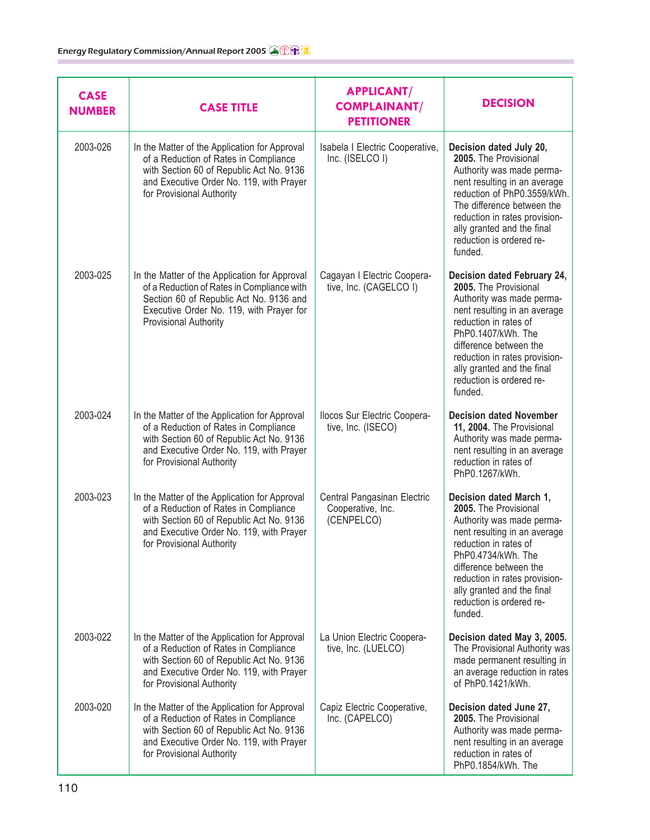| <b>CASE</b><br><b>NUMBER</b> | <b>CASE TITLE</b>                                                                                                                                                                                                  | <b>APPLICANT/</b><br><b>COMPLAINANT/</b><br><b>PETITIONER</b>  | <b>DECISION</b>                                                                                                                                                                                                                                                                                  |
|------------------------------|--------------------------------------------------------------------------------------------------------------------------------------------------------------------------------------------------------------------|----------------------------------------------------------------|--------------------------------------------------------------------------------------------------------------------------------------------------------------------------------------------------------------------------------------------------------------------------------------------------|
| 2003-026                     | In the Matter of the Application for Approval<br>of a Reduction of Rates in Compliance<br>with Section 60 of Republic Act No. 9136<br>and Executive Order No. 119, with Prayer<br>for Provisional Authority        | Isabela I Electric Cooperative,<br>Inc. (ISELCO I)             | Decision dated July 20,<br>2005. The Provisional<br>Authority was made perma-<br>nent resulting in an average<br>reduction of PhP0.3559/kWh.<br>The difference between the<br>reduction in rates provision-<br>ally granted and the final<br>reduction is ordered re-<br>funded.                 |
| 2003-025                     | In the Matter of the Application for Approval<br>of a Reduction of Rates in Compliance with<br>Section 60 of Republic Act No. 9136 and<br>Executive Order No. 119, with Prayer for<br><b>Provisional Authority</b> | Cagayan I Electric Coopera-<br>tive, Inc. (CAGELCO I)          | Decision dated February 24,<br>2005. The Provisional<br>Authority was made perma-<br>nent resulting in an average<br>reduction in rates of<br>PhP0.1407/kWh. The<br>difference between the<br>reduction in rates provision-<br>ally granted and the final<br>reduction is ordered re-<br>funded. |
| 2003-024                     | In the Matter of the Application for Approval<br>of a Reduction of Rates in Compliance<br>with Section 60 of Republic Act No. 9136<br>and Executive Order No. 119, with Prayer<br>for Provisional Authority        | Ilocos Sur Electric Coopera-<br>tive, Inc. (ISECO)             | <b>Decision dated November</b><br>11, 2004. The Provisional<br>Authority was made perma-<br>nent resulting in an average<br>reduction in rates of<br>PhP0.1267/kWh.                                                                                                                              |
| 2003-023                     | In the Matter of the Application for Approval<br>of a Reduction of Rates in Compliance<br>with Section 60 of Republic Act No. 9136<br>and Executive Order No. 119, with Prayer<br>for Provisional Authority        | Central Pangasinan Electric<br>Cooperative, Inc.<br>(CENPELCO) | Decision dated March 1,<br>2005. The Provisional<br>Authority was made perma-<br>nent resulting in an average<br>reduction in rates of<br>PhP0.4734/kWh. The<br>difference between the<br>reduction in rates provision-<br>ally granted and the final<br>reduction is ordered re-<br>funded.     |
| 2003-022                     | In the Matter of the Application for Approval<br>of a Reduction of Rates in Compliance<br>with Section 60 of Republic Act No. 9136<br>and Executive Order No. 119, with Prayer<br>for Provisional Authority        | La Union Electric Coopera-<br>tive, Inc. (LUELCO)              | Decision dated May 3, 2005.<br>The Provisional Authority was<br>made permanent resulting in<br>an average reduction in rates<br>of PhP0.1421/kWh.                                                                                                                                                |
| 2003-020                     | In the Matter of the Application for Approval<br>of a Reduction of Rates in Compliance<br>with Section 60 of Republic Act No. 9136<br>and Executive Order No. 119, with Prayer<br>for Provisional Authority        | Capiz Electric Cooperative,<br>Inc. (CAPELCO)                  | Decision dated June 27,<br>2005. The Provisional<br>Authority was made perma-<br>nent resulting in an average<br>reduction in rates of<br>PhP0.1854/kWh. The                                                                                                                                     |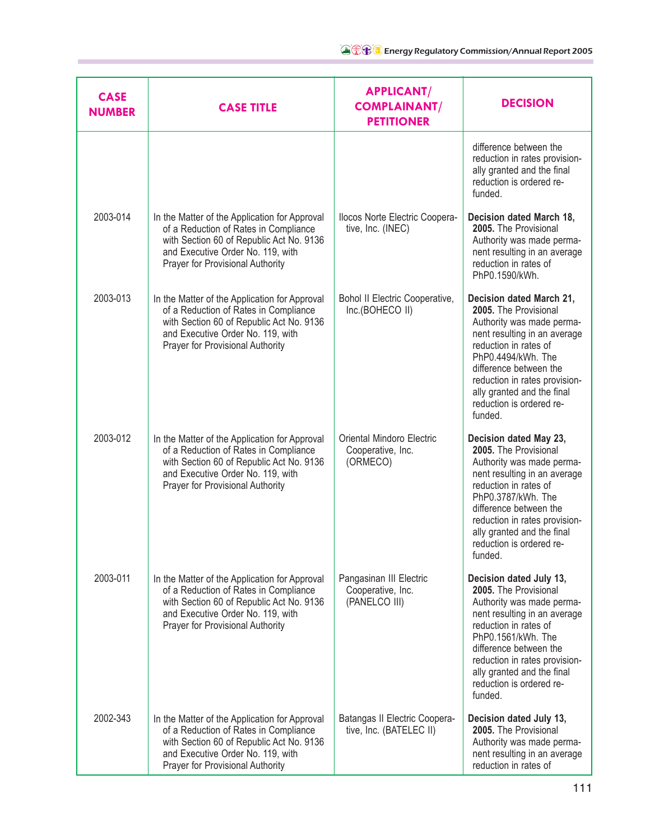| <b>CASE</b><br><b>NUMBER</b> | <b>CASE TITLE</b>                                                                                                                                                                                           | <b>APPLICANT/</b><br><b>COMPLAINANT/</b><br><b>PETITIONER</b> | <b>DECISION</b>                                                                                                                                                                                                                                                                               |
|------------------------------|-------------------------------------------------------------------------------------------------------------------------------------------------------------------------------------------------------------|---------------------------------------------------------------|-----------------------------------------------------------------------------------------------------------------------------------------------------------------------------------------------------------------------------------------------------------------------------------------------|
|                              |                                                                                                                                                                                                             |                                                               | difference between the<br>reduction in rates provision-<br>ally granted and the final<br>reduction is ordered re-<br>funded.                                                                                                                                                                  |
| 2003-014                     | In the Matter of the Application for Approval<br>of a Reduction of Rates in Compliance<br>with Section 60 of Republic Act No. 9136<br>and Executive Order No. 119, with<br>Prayer for Provisional Authority | Ilocos Norte Electric Coopera-<br>tive, Inc. (INEC)           | Decision dated March 18,<br>2005. The Provisional<br>Authority was made perma-<br>nent resulting in an average<br>reduction in rates of<br>PhP0.1590/kWh.                                                                                                                                     |
| 2003-013                     | In the Matter of the Application for Approval<br>of a Reduction of Rates in Compliance<br>with Section 60 of Republic Act No. 9136<br>and Executive Order No. 119, with<br>Prayer for Provisional Authority | Bohol II Electric Cooperative,<br>Inc.(BOHECO II)             | Decision dated March 21,<br>2005. The Provisional<br>Authority was made perma-<br>nent resulting in an average<br>reduction in rates of<br>PhP0.4494/kWh. The<br>difference between the<br>reduction in rates provision-<br>ally granted and the final<br>reduction is ordered re-<br>funded. |
| 2003-012                     | In the Matter of the Application for Approval<br>of a Reduction of Rates in Compliance<br>with Section 60 of Republic Act No. 9136<br>and Executive Order No. 119, with<br>Prayer for Provisional Authority | Oriental Mindoro Electric<br>Cooperative, Inc.<br>(ORMECO)    | Decision dated May 23,<br>2005. The Provisional<br>Authority was made perma-<br>nent resulting in an average<br>reduction in rates of<br>PhP0.3787/kWh. The<br>difference between the<br>reduction in rates provision-<br>ally granted and the final<br>reduction is ordered re-<br>funded.   |
| 2003-011                     | In the Matter of the Application for Approval<br>of a Reduction of Rates in Compliance<br>with Section 60 of Republic Act No. 9136<br>and Executive Order No. 119, with<br>Prayer for Provisional Authority | Pangasinan III Electric<br>Cooperative, Inc.<br>(PANELCO III) | Decision dated July 13,<br>2005. The Provisional<br>Authority was made perma-<br>nent resulting in an average<br>reduction in rates of<br>PhP0.1561/kWh. The<br>difference between the<br>reduction in rates provision-<br>ally granted and the final<br>reduction is ordered re-<br>funded.  |
| 2002-343                     | In the Matter of the Application for Approval<br>of a Reduction of Rates in Compliance<br>with Section 60 of Republic Act No. 9136<br>and Executive Order No. 119, with<br>Prayer for Provisional Authority | Batangas II Electric Coopera-<br>tive, Inc. (BATELEC II)      | Decision dated July 13,<br>2005. The Provisional<br>Authority was made perma-<br>nent resulting in an average<br>reduction in rates of                                                                                                                                                        |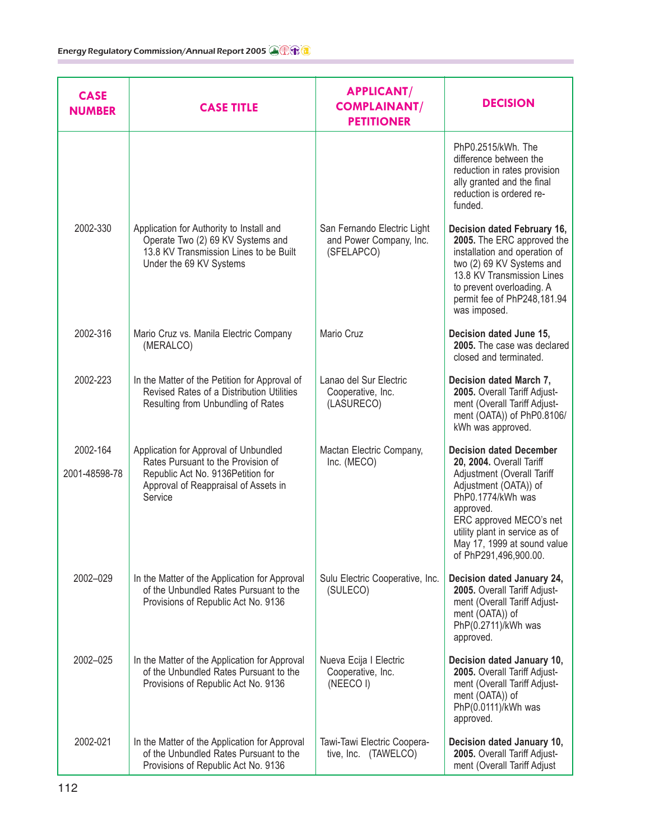| <b>CASE</b><br><b>NUMBER</b> | <b>CASE TITLE</b>                                                                                                                                                    | <b>APPLICANT/</b><br><b>COMPLAINANT/</b><br><b>PETITIONER</b>        | <b>DECISION</b>                                                                                                                                                                                                                                                          |
|------------------------------|----------------------------------------------------------------------------------------------------------------------------------------------------------------------|----------------------------------------------------------------------|--------------------------------------------------------------------------------------------------------------------------------------------------------------------------------------------------------------------------------------------------------------------------|
|                              |                                                                                                                                                                      |                                                                      | PhP0.2515/kWh. The<br>difference between the<br>reduction in rates provision<br>ally granted and the final<br>reduction is ordered re-<br>funded.                                                                                                                        |
| 2002-330                     | Application for Authority to Install and<br>Operate Two (2) 69 KV Systems and<br>13.8 KV Transmission Lines to be Built<br>Under the 69 KV Systems                   | San Fernando Electric Light<br>and Power Company, Inc.<br>(SFELAPCO) | Decision dated February 16,<br>2005. The ERC approved the<br>installation and operation of<br>two (2) 69 KV Systems and<br>13.8 KV Transmission Lines<br>to prevent overloading. A<br>permit fee of PhP248,181.94<br>was imposed.                                        |
| 2002-316                     | Mario Cruz vs. Manila Electric Company<br>(MERALCO)                                                                                                                  | Mario Cruz                                                           | Decision dated June 15,<br>2005. The case was declared<br>closed and terminated.                                                                                                                                                                                         |
| 2002-223                     | In the Matter of the Petition for Approval of<br>Revised Rates of a Distribution Utilities<br>Resulting from Unbundling of Rates                                     | Lanao del Sur Electric<br>Cooperative, Inc.<br>(LASURECO)            | Decision dated March 7,<br>2005. Overall Tariff Adjust-<br>ment (Overall Tariff Adjust-<br>ment (OATA)) of PhP0.8106/<br>kWh was approved.                                                                                                                               |
| 2002-164<br>2001-48598-78    | Application for Approval of Unbundled<br>Rates Pursuant to the Provision of<br>Republic Act No. 9136 Petition for<br>Approval of Reappraisal of Assets in<br>Service | Mactan Electric Company,<br>Inc. (MECO)                              | <b>Decision dated December</b><br>20, 2004. Overall Tariff<br>Adjustment (Overall Tariff<br>Adjustment (OATA)) of<br>PhP0.1774/kWh was<br>approved.<br>ERC approved MECO's net<br>utility plant in service as of<br>May 17, 1999 at sound value<br>of PhP291,496,900.00. |
| 2002-029                     | In the Matter of the Application for Approval<br>of the Unbundled Rates Pursuant to the<br>Provisions of Republic Act No. 9136                                       | Sulu Electric Cooperative, Inc.<br>(SULECO)                          | Decision dated January 24,<br>2005. Overall Tariff Adjust-<br>ment (Overall Tariff Adjust-<br>ment (OATA)) of<br>PhP(0.2711)/kWh was<br>approved.                                                                                                                        |
| 2002-025                     | In the Matter of the Application for Approval<br>of the Unbundled Rates Pursuant to the<br>Provisions of Republic Act No. 9136                                       | Nueva Ecija I Electric<br>Cooperative, Inc.<br>(NEECOI)              | Decision dated January 10,<br>2005. Overall Tariff Adjust-<br>ment (Overall Tariff Adjust-<br>ment (OATA)) of<br>PhP(0.0111)/kWh was<br>approved.                                                                                                                        |
| 2002-021                     | In the Matter of the Application for Approval<br>of the Unbundled Rates Pursuant to the<br>Provisions of Republic Act No. 9136                                       | Tawi-Tawi Electric Coopera-<br>tive, Inc. (TAWELCO)                  | Decision dated January 10,<br>2005. Overall Tariff Adjust-<br>ment (Overall Tariff Adjust                                                                                                                                                                                |